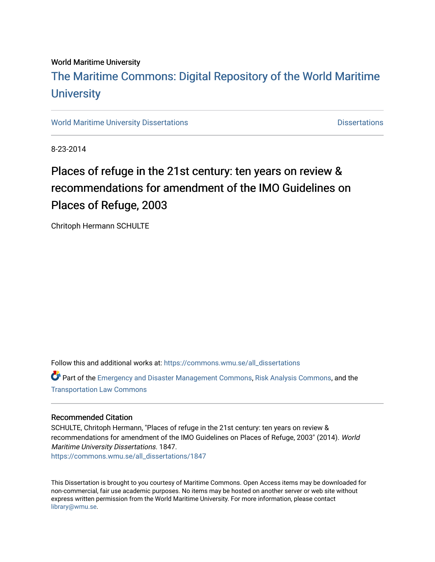#### World Maritime University

## [The Maritime Commons: Digital Repository of the World Maritime](https://commons.wmu.se/)  **University**

[World Maritime University Dissertations](https://commons.wmu.se/all_dissertations) **Distributions** [Dissertations](https://commons.wmu.se/dissertations) Dissertations

8-23-2014

# Places of refuge in the 21st century: ten years on review & recommendations for amendment of the IMO Guidelines on Places of Refuge, 2003

Chritoph Hermann SCHULTE

Follow this and additional works at: [https://commons.wmu.se/all\\_dissertations](https://commons.wmu.se/all_dissertations?utm_source=commons.wmu.se%2Fall_dissertations%2F1847&utm_medium=PDF&utm_campaign=PDFCoverPages) 

Part of the [Emergency and Disaster Management Commons,](http://network.bepress.com/hgg/discipline/1321?utm_source=commons.wmu.se%2Fall_dissertations%2F1847&utm_medium=PDF&utm_campaign=PDFCoverPages) [Risk Analysis Commons,](http://network.bepress.com/hgg/discipline/1199?utm_source=commons.wmu.se%2Fall_dissertations%2F1847&utm_medium=PDF&utm_campaign=PDFCoverPages) and the [Transportation Law Commons](http://network.bepress.com/hgg/discipline/885?utm_source=commons.wmu.se%2Fall_dissertations%2F1847&utm_medium=PDF&utm_campaign=PDFCoverPages) 

#### Recommended Citation

SCHULTE, Chritoph Hermann, "Places of refuge in the 21st century: ten years on review & recommendations for amendment of the IMO Guidelines on Places of Refuge, 2003" (2014). World Maritime University Dissertations. 1847. [https://commons.wmu.se/all\\_dissertations/1847](https://commons.wmu.se/all_dissertations/1847?utm_source=commons.wmu.se%2Fall_dissertations%2F1847&utm_medium=PDF&utm_campaign=PDFCoverPages)

This Dissertation is brought to you courtesy of Maritime Commons. Open Access items may be downloaded for non-commercial, fair use academic purposes. No items may be hosted on another server or web site without express written permission from the World Maritime University. For more information, please contact [library@wmu.se](mailto:library@wmu.edu).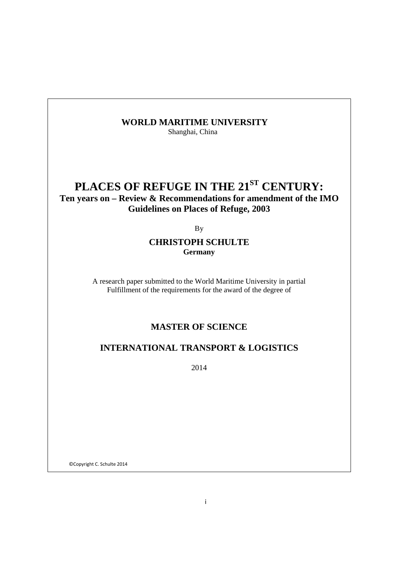### **WORLD MARITIME UNIVERSITY**

Shanghai, China

# PLACES OF REFUGE IN THE 21<sup>ST</sup> CENTURY:

## **Ten years on – Review & Recommendations for amendment of the IMO Guidelines on Places of Refuge, 2003**

By

#### **CHRISTOPH SCHULTE Germany**

A research paper submitted to the World Maritime University in partial Fulfillment of the requirements for the award of the degree of

## **MASTER OF SCIENCE**

### **INTERNATIONAL TRANSPORT & LOGISTICS**

2014

©Copyright C. Schulte 2014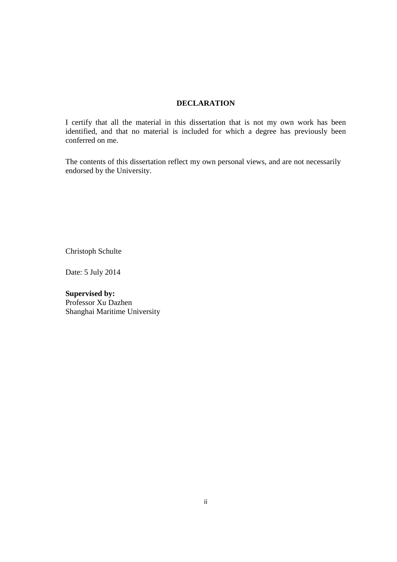#### **DECLARATION**

I certify that all the material in this dissertation that is not my own work has been identified, and that no material is included for which a degree has previously been conferred on me.

The contents of this dissertation reflect my own personal views, and are not necessarily endorsed by the University.

Christoph Schulte

Date: 5 July 2014

**Supervised by:**  Professor Xu Dazhen Shanghai Maritime University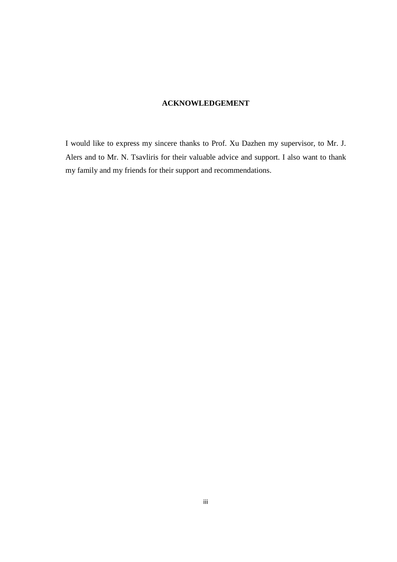### **ACKNOWLEDGEMENT**

I would like to express my sincere thanks to Prof. Xu Dazhen my supervisor, to Mr. J. Alers and to Mr. N. Tsavliris for their valuable advice and support. I also want to thank my family and my friends for their support and recommendations.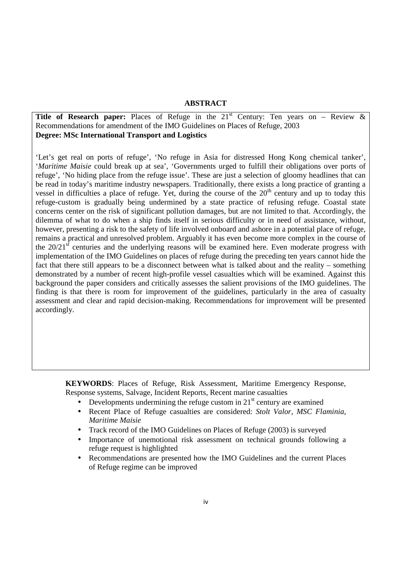#### **ABSTRACT**

**Title of Research paper:** Places of Refuge in the  $21<sup>st</sup>$  Century: Ten years on – Review  $\&$ Recommendations for amendment of the IMO Guidelines on Places of Refuge, 2003 **Degree: MSc International Transport and Logistics** 

'Let's get real on ports of refuge', 'No refuge in Asia for distressed Hong Kong chemical tanker', '*Maritime Maisie* could break up at sea', 'Governments urged to fulfill their obligations over ports of refuge', 'No hiding place from the refuge issue'. These are just a selection of gloomy headlines that can be read in today's maritime industry newspapers. Traditionally, there exists a long practice of granting a vessel in difficulties a place of refuge. Yet, during the course of the  $20<sup>th</sup>$  century and up to today this refuge-custom is gradually being undermined by a state practice of refusing refuge. Coastal state concerns center on the risk of significant pollution damages, but are not limited to that. Accordingly, the dilemma of what to do when a ship finds itself in serious difficulty or in need of assistance, without, however, presenting a risk to the safety of life involved onboard and ashore in a potential place of refuge, remains a practical and unresolved problem. Arguably it has even become more complex in the course of the  $20/21<sup>st</sup>$  centuries and the underlying reasons will be examined here. Even moderate progress with implementation of the IMO Guidelines on places of refuge during the preceding ten years cannot hide the fact that there still appears to be a disconnect between what is talked about and the reality – something demonstrated by a number of recent high-profile vessel casualties which will be examined. Against this background the paper considers and critically assesses the salient provisions of the IMO guidelines. The finding is that there is room for improvement of the guidelines, particularly in the area of casualty assessment and clear and rapid decision-making. Recommendations for improvement will be presented accordingly.

**KEYWORDS**: Places of Refuge, Risk Assessment, Maritime Emergency Response, Response systems, Salvage, Incident Reports, Recent marine casualties

- Developments undermining the refuge custom in  $21<sup>st</sup>$  century are examined
- Recent Place of Refuge casualties are considered: *Stolt Valor*, *MSC Flaminia, Maritime Maisie*
- Track record of the IMO Guidelines on Places of Refuge (2003) is surveyed
- Importance of unemotional risk assessment on technical grounds following a refuge request is highlighted
- Recommendations are presented how the IMO Guidelines and the current Places of Refuge regime can be improved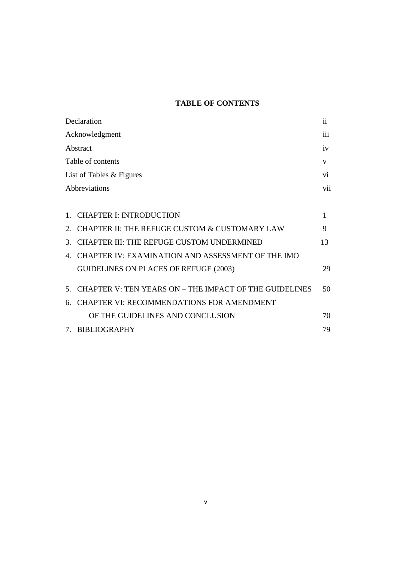## **TABLE OF CONTENTS**

| Declaration                                                                  | ii  |
|------------------------------------------------------------------------------|-----|
| Acknowledgment                                                               | 111 |
| Abstract                                                                     | iv  |
| Table of contents                                                            | V   |
| List of Tables & Figures                                                     | Vİ. |
| Abbreviations                                                                | vii |
|                                                                              |     |
| <b>CHAPTER I: INTRODUCTION</b><br>1                                          | 1   |
| CHAPTER II: THE REFUGE CUSTOM & CUSTOMARY LAW<br>$\mathcal{D}_{\mathcal{L}}$ | 9   |
| <b>CHAPTER III: THE REFUGE CUSTOM UNDERMINED</b><br>3.                       | 13  |
| CHAPTER IV: EXAMINATION AND ASSESSMENT OF THE IMO<br>$\mathbf{4}$            |     |
| GUIDELINES ON PLACES OF REFUGE (2003)                                        | 29  |
| CHAPTER V: TEN YEARS ON - THE IMPACT OF THE GUIDELINES<br>$5^{\circ}$        | 50  |
| <b>CHAPTER VI: RECOMMENDATIONS FOR AMENDMENT</b><br>6.                       |     |
| OF THE GUIDELINES AND CONCLUSION                                             | 70  |
| 7. BIBLIOGRAPHY                                                              | 79  |
|                                                                              |     |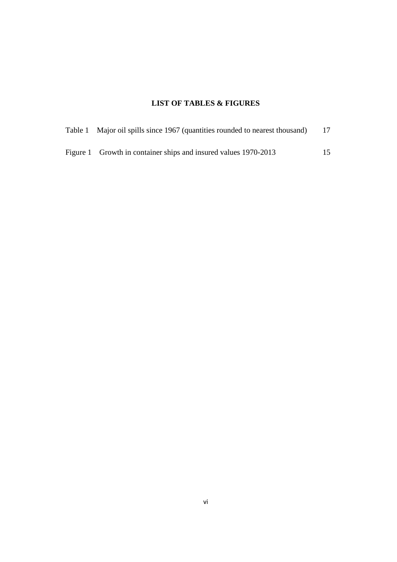## **LIST OF TABLES & FIGURES**

| Table 1 Major oil spills since 1967 (quantities rounded to nearest thousand) | 17 |
|------------------------------------------------------------------------------|----|
| Figure 1 Growth in container ships and insured values 1970-2013              | 15 |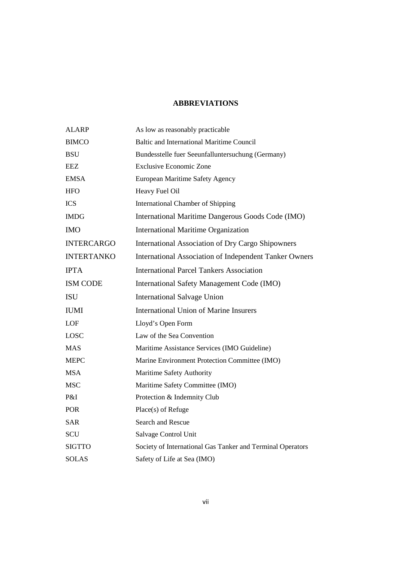## **ABBREVIATIONS**

| <b>ALARP</b>      | As low as reasonably practicable                           |
|-------------------|------------------------------------------------------------|
| <b>BIMCO</b>      | Baltic and International Maritime Council                  |
| <b>BSU</b>        | Bundesstelle fuer Seeunfalluntersuchung (Germany)          |
| EEZ               | <b>Exclusive Economic Zone</b>                             |
| <b>EMSA</b>       | European Maritime Safety Agency                            |
| <b>HFO</b>        | Heavy Fuel Oil                                             |
| <b>ICS</b>        | <b>International Chamber of Shipping</b>                   |
| <b>IMDG</b>       | International Maritime Dangerous Goods Code (IMO)          |
| <b>IMO</b>        | <b>International Maritime Organization</b>                 |
| <b>INTERCARGO</b> | International Association of Dry Cargo Shipowners          |
| <b>INTERTANKO</b> | International Association of Independent Tanker Owners     |
| <b>IPTA</b>       | <b>International Parcel Tankers Association</b>            |
| <b>ISM CODE</b>   | International Safety Management Code (IMO)                 |
| <b>ISU</b>        | <b>International Salvage Union</b>                         |
| <b>IUMI</b>       | <b>International Union of Marine Insurers</b>              |
| <b>LOF</b>        | Lloyd's Open Form                                          |
| LOSC              | Law of the Sea Convention                                  |
| <b>MAS</b>        | Maritime Assistance Services (IMO Guideline)               |
| <b>MEPC</b>       | Marine Environment Protection Committee (IMO)              |
| <b>MSA</b>        | Maritime Safety Authority                                  |
| <b>MSC</b>        | Maritime Safety Committee (IMO)                            |
| P&I               | Protection & Indemnity Club                                |
| <b>POR</b>        | Place(s) of Refuge                                         |
| <b>SAR</b>        | Search and Rescue                                          |
| <b>SCU</b>        | Salvage Control Unit                                       |
| <b>SIGTTO</b>     | Society of International Gas Tanker and Terminal Operators |
| SOLAS             | Safety of Life at Sea (IMO)                                |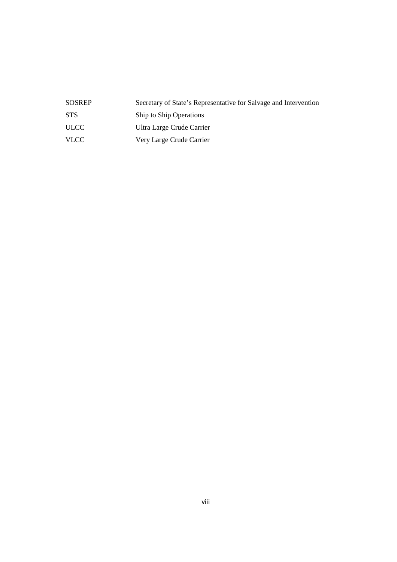| <b>SOSREP</b> | Secretary of State's Representative for Salvage and Intervention |
|---------------|------------------------------------------------------------------|
| <b>STS</b>    | Ship to Ship Operations                                          |
| <b>ULCC</b>   | Ultra Large Crude Carrier                                        |
| <b>VLCC</b>   | Very Large Crude Carrier                                         |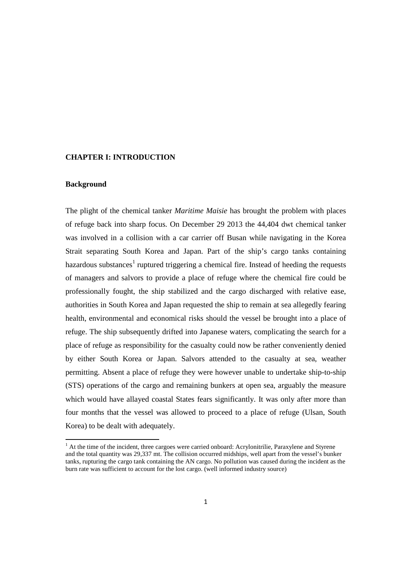#### **CHAPTER I: INTRODUCTION**

#### **Background**

<u>.</u>

The plight of the chemical tanker *Maritime Maisie* has brought the problem with places of refuge back into sharp focus. On December 29 2013 the 44,404 dwt chemical tanker was involved in a collision with a car carrier off Busan while navigating in the Korea Strait separating South Korea and Japan. Part of the ship's cargo tanks containing hazardous substances<sup>1</sup> ruptured triggering a chemical fire. Instead of heeding the requests of managers and salvors to provide a place of refuge where the chemical fire could be professionally fought, the ship stabilized and the cargo discharged with relative ease, authorities in South Korea and Japan requested the ship to remain at sea allegedly fearing health, environmental and economical risks should the vessel be brought into a place of refuge. The ship subsequently drifted into Japanese waters, complicating the search for a place of refuge as responsibility for the casualty could now be rather conveniently denied by either South Korea or Japan. Salvors attended to the casualty at sea, weather permitting. Absent a place of refuge they were however unable to undertake ship-to-ship (STS) operations of the cargo and remaining bunkers at open sea, arguably the measure which would have allayed coastal States fears significantly. It was only after more than four months that the vessel was allowed to proceed to a place of refuge (Ulsan, South Korea) to be dealt with adequately.

<sup>&</sup>lt;sup>1</sup> At the time of the incident, three cargoes were carried onboard: Acrylonitrilie, Paraxylene and Styrene and the total quantity was 29,337 mt. The collision occurred midships, well apart from the vessel's bunker tanks, rupturing the cargo tank containing the AN cargo. No pollution was caused during the incident as the burn rate was sufficient to account for the lost cargo. (well informed industry source)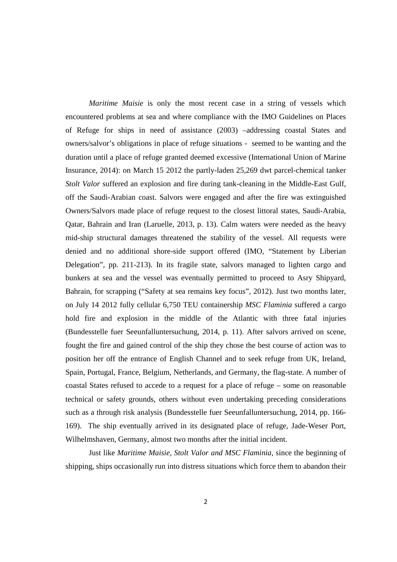*Maritime Maisie* is only the most recent case in a string of vessels which encountered problems at sea and where compliance with the IMO Guidelines on Places of Refuge for ships in need of assistance (2003) –addressing coastal States and owners/salvor's obligations in place of refuge situations - seemed to be wanting and the duration until a place of refuge granted deemed excessive (International Union of Marine Insurance, 2014): on March 15 2012 the partly-laden 25,269 dwt parcel-chemical tanker *Stolt Valor* suffered an explosion and fire during tank-cleaning in the Middle-East Gulf, off the Saudi-Arabian coast. Salvors were engaged and after the fire was extinguished Owners/Salvors made place of refuge request to the closest littoral states, Saudi-Arabia, Qatar, Bahrain and Iran (Laruelle, 2013, p. 13). Calm waters were needed as the heavy mid-ship structural damages threatened the stability of the vessel. All requests were denied and no additional shore-side support offered (IMO, "Statement by Liberian Delegation", pp. 211-213). In its fragile state, salvors managed to lighten cargo and bunkers at sea and the vessel was eventually permitted to proceed to Asry Shipyard, Bahrain, for scrapping ("Safety at sea remains key focus", 2012). Just two months later, on July 14 2012 fully cellular 6,750 TEU containership *MSC Flaminia* suffered a cargo hold fire and explosion in the middle of the Atlantic with three fatal injuries (Bundesstelle fuer Seeunfalluntersuchung, 2014, p. 11). After salvors arrived on scene, fought the fire and gained control of the ship they chose the best course of action was to position her off the entrance of English Channel and to seek refuge from UK, Ireland, Spain, Portugal, France, Belgium, Netherlands, and Germany, the flag-state. A number of coastal States refused to accede to a request for a place of refuge – some on reasonable technical or safety grounds, others without even undertaking preceding considerations such as a through risk analysis (Bundesstelle fuer Seeunfalluntersuchung, 2014, pp. 166- 169). The ship eventually arrived in its designated place of refuge, Jade-Weser Port, Wilhelmshaven, Germany, almost two months after the initial incident.

 Just like *Maritime Maisie, Stolt Valor and MSC Flaminia,* since the beginning of shipping, ships occasionally run into distress situations which force them to abandon their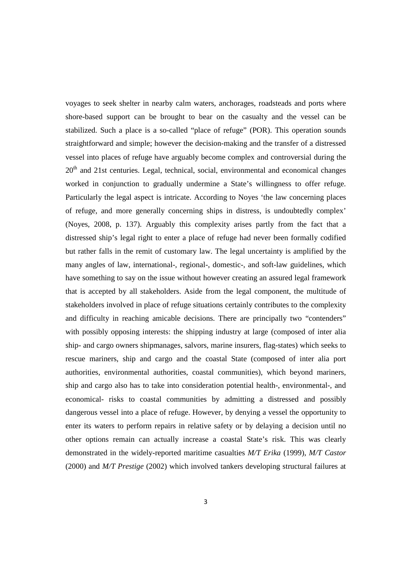voyages to seek shelter in nearby calm waters, anchorages, roadsteads and ports where shore-based support can be brought to bear on the casualty and the vessel can be stabilized. Such a place is a so-called "place of refuge" (POR). This operation sounds straightforward and simple; however the decision-making and the transfer of a distressed vessel into places of refuge have arguably become complex and controversial during the  $20<sup>th</sup>$  and 21st centuries. Legal, technical, social, environmental and economical changes worked in conjunction to gradually undermine a State's willingness to offer refuge. Particularly the legal aspect is intricate. According to Noyes 'the law concerning places of refuge, and more generally concerning ships in distress, is undoubtedly complex' (Noyes, 2008, p. 137). Arguably this complexity arises partly from the fact that a distressed ship's legal right to enter a place of refuge had never been formally codified but rather falls in the remit of customary law. The legal uncertainty is amplified by the many angles of law, international-, regional-, domestic-, and soft-law guidelines, which have something to say on the issue without however creating an assured legal framework that is accepted by all stakeholders. Aside from the legal component, the multitude of stakeholders involved in place of refuge situations certainly contributes to the complexity and difficulty in reaching amicable decisions. There are principally two "contenders" with possibly opposing interests: the shipping industry at large (composed of inter alia ship- and cargo owners shipmanages, salvors, marine insurers, flag-states) which seeks to rescue mariners, ship and cargo and the coastal State (composed of inter alia port authorities, environmental authorities, coastal communities), which beyond mariners, ship and cargo also has to take into consideration potential health-, environmental-, and economical- risks to coastal communities by admitting a distressed and possibly dangerous vessel into a place of refuge. However, by denying a vessel the opportunity to enter its waters to perform repairs in relative safety or by delaying a decision until no other options remain can actually increase a coastal State's risk. This was clearly demonstrated in the widely-reported maritime casualties *M/T Erika* (1999), *M/T Castor* (2000) and *M/T Prestige* (2002) which involved tankers developing structural failures at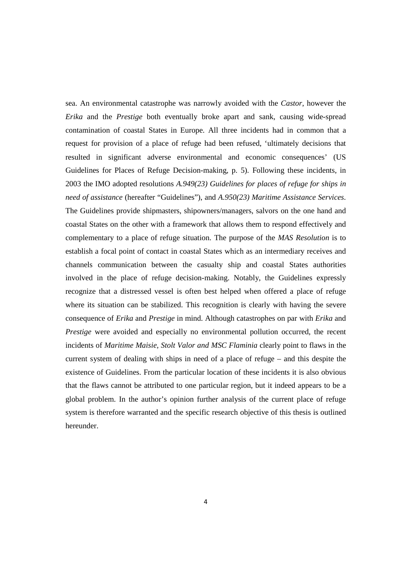sea. An environmental catastrophe was narrowly avoided with the *Castor*, however the *Erika* and the *Prestige* both eventually broke apart and sank, causing wide-spread contamination of coastal States in Europe. All three incidents had in common that a request for provision of a place of refuge had been refused, 'ultimately decisions that resulted in significant adverse environmental and economic consequences' (US Guidelines for Places of Refuge Decision-making, p. 5). Following these incidents, in 2003 the IMO adopted resolutions *A.949(23) Guidelines for places of refuge for ships in need of assistance* (hereafter "Guidelines"), and *A.950(23) Maritime Assistance Services*. The Guidelines provide shipmasters, shipowners/managers, salvors on the one hand and coastal States on the other with a framework that allows them to respond effectively and complementary to a place of refuge situation. The purpose of the *MAS Resolution* is to establish a focal point of contact in coastal States which as an intermediary receives and channels communication between the casualty ship and coastal States authorities involved in the place of refuge decision-making. Notably, the Guidelines expressly recognize that a distressed vessel is often best helped when offered a place of refuge where its situation can be stabilized. This recognition is clearly with having the severe consequence of *Erika* and *Prestige* in mind. Although catastrophes on par with *Erika* and *Prestige* were avoided and especially no environmental pollution occurred, the recent incidents of *Maritime Maisie, Stolt Valor and MSC Flaminia* clearly point to flaws in the current system of dealing with ships in need of a place of refuge – and this despite the existence of Guidelines. From the particular location of these incidents it is also obvious that the flaws cannot be attributed to one particular region, but it indeed appears to be a global problem. In the author's opinion further analysis of the current place of refuge system is therefore warranted and the specific research objective of this thesis is outlined hereunder.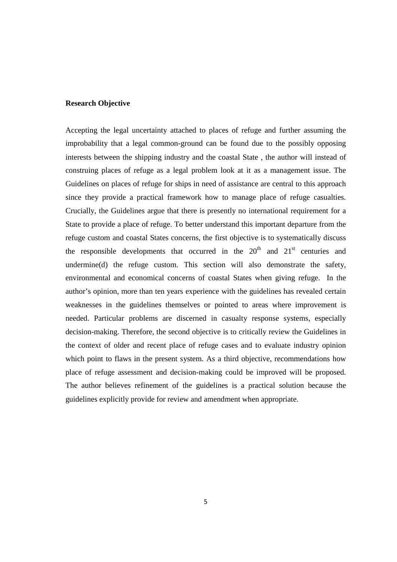#### **Research Objective**

Accepting the legal uncertainty attached to places of refuge and further assuming the improbability that a legal common-ground can be found due to the possibly opposing interests between the shipping industry and the coastal State , the author will instead of construing places of refuge as a legal problem look at it as a management issue. The Guidelines on places of refuge for ships in need of assistance are central to this approach since they provide a practical framework how to manage place of refuge casualties. Crucially, the Guidelines argue that there is presently no international requirement for a State to provide a place of refuge. To better understand this important departure from the refuge custom and coastal States concerns, the first objective is to systematically discuss the responsible developments that occurred in the  $20<sup>th</sup>$  and  $21<sup>st</sup>$  centuries and undermine(d) the refuge custom. This section will also demonstrate the safety, environmental and economical concerns of coastal States when giving refuge. In the author's opinion, more than ten years experience with the guidelines has revealed certain weaknesses in the guidelines themselves or pointed to areas where improvement is needed. Particular problems are discerned in casualty response systems, especially decision-making. Therefore, the second objective is to critically review the Guidelines in the context of older and recent place of refuge cases and to evaluate industry opinion which point to flaws in the present system. As a third objective, recommendations how place of refuge assessment and decision-making could be improved will be proposed. The author believes refinement of the guidelines is a practical solution because the guidelines explicitly provide for review and amendment when appropriate.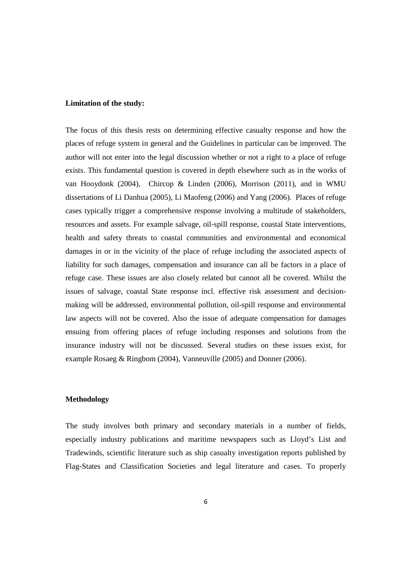#### **Limitation of the study:**

The focus of this thesis rests on determining effective casualty response and how the places of refuge system in general and the Guidelines in particular can be improved. The author will not enter into the legal discussion whether or not a right to a place of refuge exists. This fundamental question is covered in depth elsewhere such as in the works of van Hooydonk (2004), Chircop & Linden (2006), Morrison (2011), and in WMU dissertations of Li Danhua (2005), Li Maofeng (2006) and Yang (2006). Places of refuge cases typically trigger a comprehensive response involving a multitude of stakeholders, resources and assets. For example salvage, oil-spill response, coastal State interventions, health and safety threats to coastal communities and environmental and economical damages in or in the vicinity of the place of refuge including the associated aspects of liability for such damages, compensation and insurance can all be factors in a place of refuge case. These issues are also closely related but cannot all be covered. Whilst the issues of salvage, coastal State response incl. effective risk assessment and decisionmaking will be addressed, environmental pollution, oil-spill response and environmental law aspects will not be covered. Also the issue of adequate compensation for damages ensuing from offering places of refuge including responses and solutions from the insurance industry will not be discussed. Several studies on these issues exist, for example Rosaeg & Ringbom (2004), Vanneuville (2005) and Donner (2006).

#### **Methodology**

The study involves both primary and secondary materials in a number of fields, especially industry publications and maritime newspapers such as Lloyd's List and Tradewinds, scientific literature such as ship casualty investigation reports published by Flag-States and Classification Societies and legal literature and cases. To properly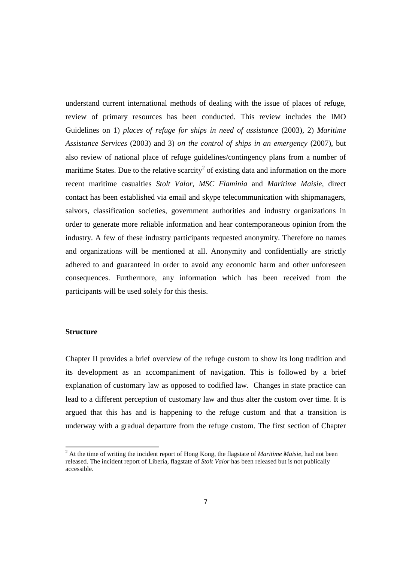understand current international methods of dealing with the issue of places of refuge, review of primary resources has been conducted. This review includes the IMO Guidelines on 1) *places of refuge for ships in need of assistance* (2003), 2) *Maritime Assistance Services* (2003) and 3) *on the control of ships in an emergency* (2007), but also review of national place of refuge guidelines/contingency plans from a number of maritime States. Due to the relative scarcity<sup>2</sup> of existing data and information on the more recent maritime casualties *Stolt Valor*, *MSC Flaminia* and *Maritime Maisie*, direct contact has been established via email and skype telecommunication with shipmanagers, salvors, classification societies, government authorities and industry organizations in order to generate more reliable information and hear contemporaneous opinion from the industry. A few of these industry participants requested anonymity. Therefore no names and organizations will be mentioned at all. Anonymity and confidentially are strictly adhered to and guaranteed in order to avoid any economic harm and other unforeseen consequences. Furthermore, any information which has been received from the participants will be used solely for this thesis.

#### **Structure**

<u>.</u>

Chapter II provides a brief overview of the refuge custom to show its long tradition and its development as an accompaniment of navigation. This is followed by a brief explanation of customary law as opposed to codified law. Changes in state practice can lead to a different perception of customary law and thus alter the custom over time. It is argued that this has and is happening to the refuge custom and that a transition is underway with a gradual departure from the refuge custom. The first section of Chapter

<sup>&</sup>lt;sup>2</sup> At the time of writing the incident report of Hong Kong, the flagstate of *Maritime Maisie*, had not been released. The incident report of Liberia, flagstate of *Stolt Valor* has been released but is not publically accessible.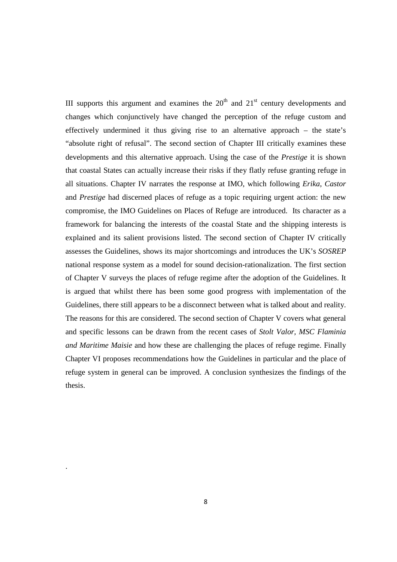III supports this argument and examines the  $20<sup>th</sup>$  and  $21<sup>st</sup>$  century developments and changes which conjunctively have changed the perception of the refuge custom and effectively undermined it thus giving rise to an alternative approach – the state's "absolute right of refusal". The second section of Chapter III critically examines these developments and this alternative approach. Using the case of the *Prestige* it is shown that coastal States can actually increase their risks if they flatly refuse granting refuge in all situations. Chapter IV narrates the response at IMO, which following *Erika*, *Castor*  and *Prestige* had discerned places of refuge as a topic requiring urgent action: the new compromise, the IMO Guidelines on Places of Refuge are introduced. Its character as a framework for balancing the interests of the coastal State and the shipping interests is explained and its salient provisions listed. The second section of Chapter IV critically assesses the Guidelines, shows its major shortcomings and introduces the UK's *SOSREP*  national response system as a model for sound decision-rationalization. The first section of Chapter V surveys the places of refuge regime after the adoption of the Guidelines. It is argued that whilst there has been some good progress with implementation of the Guidelines, there still appears to be a disconnect between what is talked about and reality. The reasons for this are considered. The second section of Chapter V covers what general and specific lessons can be drawn from the recent cases of *Stolt Valor, MSC Flaminia and Maritime Maisie* and how these are challenging the places of refuge regime. Finally Chapter VI proposes recommendations how the Guidelines in particular and the place of refuge system in general can be improved. A conclusion synthesizes the findings of the thesis.

.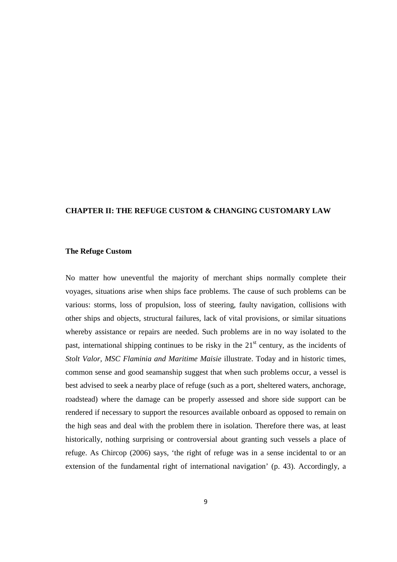#### **CHAPTER II: THE REFUGE CUSTOM & CHANGING CUSTOMARY LAW**

#### **The Refuge Custom**

No matter how uneventful the majority of merchant ships normally complete their voyages, situations arise when ships face problems. The cause of such problems can be various: storms, loss of propulsion, loss of steering, faulty navigation, collisions with other ships and objects, structural failures, lack of vital provisions, or similar situations whereby assistance or repairs are needed. Such problems are in no way isolated to the past, international shipping continues to be risky in the  $21<sup>st</sup>$  century, as the incidents of *Stolt Valor, MSC Flaminia and Maritime Maisie* illustrate. Today and in historic times, common sense and good seamanship suggest that when such problems occur, a vessel is best advised to seek a nearby place of refuge (such as a port, sheltered waters, anchorage, roadstead) where the damage can be properly assessed and shore side support can be rendered if necessary to support the resources available onboard as opposed to remain on the high seas and deal with the problem there in isolation. Therefore there was, at least historically, nothing surprising or controversial about granting such vessels a place of refuge. As Chircop (2006) says, 'the right of refuge was in a sense incidental to or an extension of the fundamental right of international navigation' (p. 43). Accordingly, a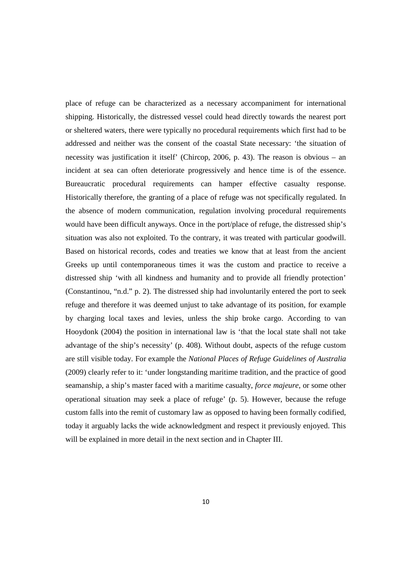place of refuge can be characterized as a necessary accompaniment for international shipping. Historically, the distressed vessel could head directly towards the nearest port or sheltered waters, there were typically no procedural requirements which first had to be addressed and neither was the consent of the coastal State necessary: 'the situation of necessity was justification it itself' (Chircop, 2006, p. 43). The reason is obvious – an incident at sea can often deteriorate progressively and hence time is of the essence. Bureaucratic procedural requirements can hamper effective casualty response. Historically therefore, the granting of a place of refuge was not specifically regulated. In the absence of modern communication, regulation involving procedural requirements would have been difficult anyways. Once in the port/place of refuge, the distressed ship's situation was also not exploited. To the contrary, it was treated with particular goodwill. Based on historical records, codes and treaties we know that at least from the ancient Greeks up until contemporaneous times it was the custom and practice to receive a distressed ship 'with all kindness and humanity and to provide all friendly protection' (Constantinou, "n.d." p. 2). The distressed ship had involuntarily entered the port to seek refuge and therefore it was deemed unjust to take advantage of its position, for example by charging local taxes and levies, unless the ship broke cargo. According to van Hooydonk (2004) the position in international law is 'that the local state shall not take advantage of the ship's necessity' (p. 408). Without doubt, aspects of the refuge custom are still visible today. For example the *National Places of Refuge Guidelines of Australia* (2009) clearly refer to it: 'under longstanding maritime tradition, and the practice of good seamanship, a ship's master faced with a maritime casualty, *force majeure*, or some other operational situation may seek a place of refuge' (p. 5). However, because the refuge custom falls into the remit of customary law as opposed to having been formally codified, today it arguably lacks the wide acknowledgment and respect it previously enjoyed. This will be explained in more detail in the next section and in Chapter III.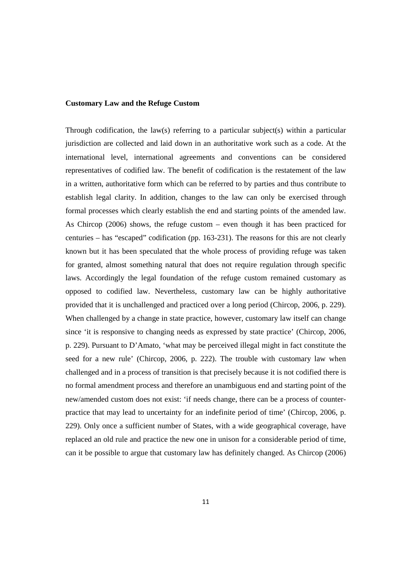#### **Customary Law and the Refuge Custom**

Through codification, the law(s) referring to a particular subject(s) within a particular jurisdiction are collected and laid down in an authoritative work such as a code. At the international level, international agreements and conventions can be considered representatives of codified law. The benefit of codification is the restatement of the law in a written, authoritative form which can be referred to by parties and thus contribute to establish legal clarity. In addition, changes to the law can only be exercised through formal processes which clearly establish the end and starting points of the amended law. As Chircop (2006) shows, the refuge custom – even though it has been practiced for centuries – has "escaped" codification (pp. 163-231). The reasons for this are not clearly known but it has been speculated that the whole process of providing refuge was taken for granted, almost something natural that does not require regulation through specific laws. Accordingly the legal foundation of the refuge custom remained customary as opposed to codified law. Nevertheless, customary law can be highly authoritative provided that it is unchallenged and practiced over a long period (Chircop, 2006, p. 229). When challenged by a change in state practice, however, customary law itself can change since 'it is responsive to changing needs as expressed by state practice' (Chircop, 2006, p. 229). Pursuant to D'Amato, 'what may be perceived illegal might in fact constitute the seed for a new rule' (Chircop, 2006, p. 222). The trouble with customary law when challenged and in a process of transition is that precisely because it is not codified there is no formal amendment process and therefore an unambiguous end and starting point of the new/amended custom does not exist: 'if needs change, there can be a process of counterpractice that may lead to uncertainty for an indefinite period of time' (Chircop, 2006, p. 229). Only once a sufficient number of States, with a wide geographical coverage, have replaced an old rule and practice the new one in unison for a considerable period of time, can it be possible to argue that customary law has definitely changed. As Chircop (2006)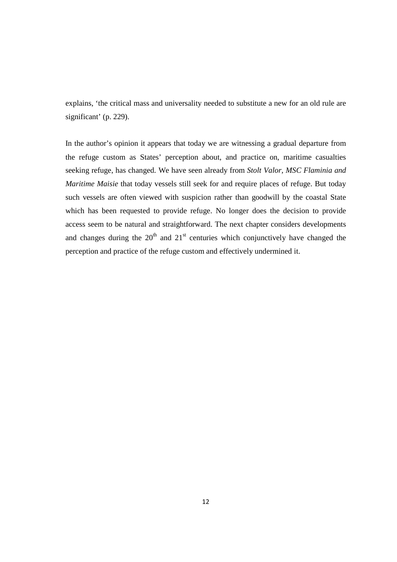explains, 'the critical mass and universality needed to substitute a new for an old rule are significant' (p. 229).

In the author's opinion it appears that today we are witnessing a gradual departure from the refuge custom as States' perception about, and practice on, maritime casualties seeking refuge, has changed. We have seen already from *Stolt Valor, MSC Flaminia and Maritime Maisie* that today vessels still seek for and require places of refuge. But today such vessels are often viewed with suspicion rather than goodwill by the coastal State which has been requested to provide refuge. No longer does the decision to provide access seem to be natural and straightforward. The next chapter considers developments and changes during the  $20<sup>th</sup>$  and  $21<sup>st</sup>$  centuries which conjunctively have changed the perception and practice of the refuge custom and effectively undermined it.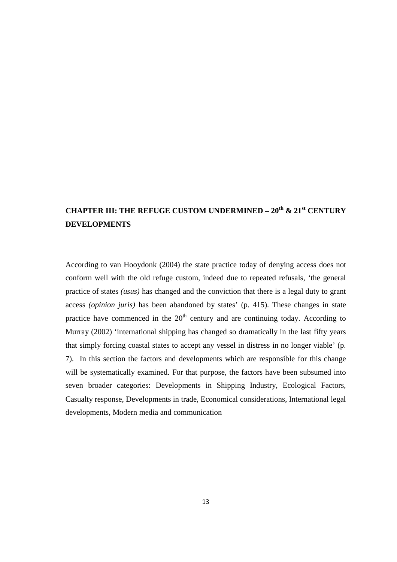## **CHAPTER III: THE REFUGE CUSTOM UNDERMINED – 20th & 21st CENTURY DEVELOPMENTS**

According to van Hooydonk (2004) the state practice today of denying access does not conform well with the old refuge custom, indeed due to repeated refusals, 'the general practice of states *(usus)* has changed and the conviction that there is a legal duty to grant access *(opinion juris)* has been abandoned by states' (p. 415). These changes in state practice have commenced in the  $20<sup>th</sup>$  century and are continuing today. According to Murray (2002) 'international shipping has changed so dramatically in the last fifty years that simply forcing coastal states to accept any vessel in distress in no longer viable' (p. 7). In this section the factors and developments which are responsible for this change will be systematically examined. For that purpose, the factors have been subsumed into seven broader categories: Developments in Shipping Industry, Ecological Factors, Casualty response, Developments in trade, Economical considerations, International legal developments, Modern media and communication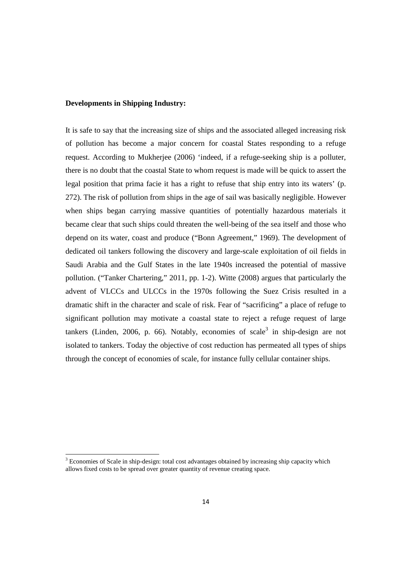#### **Developments in Shipping Industry:**

<u>.</u>

It is safe to say that the increasing size of ships and the associated alleged increasing risk of pollution has become a major concern for coastal States responding to a refuge request. According to Mukherjee (2006) 'indeed, if a refuge-seeking ship is a polluter, there is no doubt that the coastal State to whom request is made will be quick to assert the legal position that prima facie it has a right to refuse that ship entry into its waters' (p. 272). The risk of pollution from ships in the age of sail was basically negligible. However when ships began carrying massive quantities of potentially hazardous materials it became clear that such ships could threaten the well-being of the sea itself and those who depend on its water, coast and produce ("Bonn Agreement," 1969). The development of dedicated oil tankers following the discovery and large-scale exploitation of oil fields in Saudi Arabia and the Gulf States in the late 1940s increased the potential of massive pollution. ("Tanker Chartering," 2011, pp. 1-2). Witte (2008) argues that particularly the advent of VLCCs and ULCCs in the 1970s following the Suez Crisis resulted in a dramatic shift in the character and scale of risk. Fear of "sacrificing" a place of refuge to significant pollution may motivate a coastal state to reject a refuge request of large tankers (Linden, 2006, p. 66). Notably, economies of scale<sup>3</sup> in ship-design are not isolated to tankers. Today the objective of cost reduction has permeated all types of ships through the concept of economies of scale, for instance fully cellular container ships.

<sup>&</sup>lt;sup>3</sup> Economies of Scale in ship-design: total cost advantages obtained by increasing ship capacity which allows fixed costs to be spread over greater quantity of revenue creating space.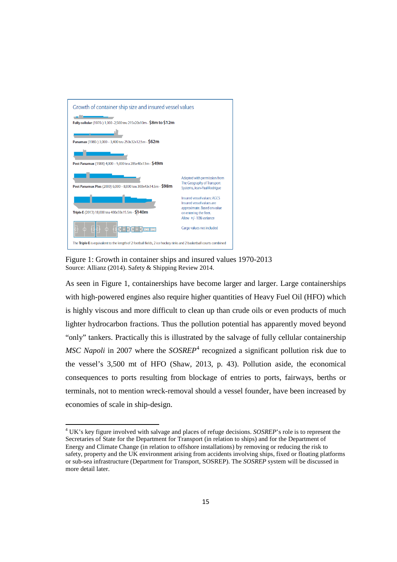

Figure 1: Growth in container ships and insured values 1970-2013 Source: Allianz (2014). Safety & Shipping Review 2014.

.<br>-

As seen in Figure 1, containerships have become larger and larger. Large containerships with high-powered engines also require higher quantities of Heavy Fuel Oil (HFO) which is highly viscous and more difficult to clean up than crude oils or even products of much lighter hydrocarbon fractions. Thus the pollution potential has apparently moved beyond "only" tankers. Practically this is illustrated by the salvage of fully cellular containership *MSC Napoli* in 2007 where the *SOSREP*<sup>4</sup> recognized a significant pollution risk due to the vessel's 3,500 mt of HFO (Shaw, 2013, p. 43). Pollution aside, the economical consequences to ports resulting from blockage of entries to ports, fairways, berths or terminals, not to mention wreck-removal should a vessel founder, have been increased by economies of scale in ship-design.

<sup>4</sup> UK's key figure involved with salvage and places of refuge decisions. *SOSREP*'s role is to represent the Secretaries of State for the Department for Transport (in relation to ships) and for the Department of Energy and Climate Change (in relation to offshore installations) by removing or reducing the risk to safety, property and the UK environment arising from accidents involving ships, fixed or floating platforms or sub-sea infrastructure (Department for Transport, SOSREP). The *SOSREP* system will be discussed in more detail later.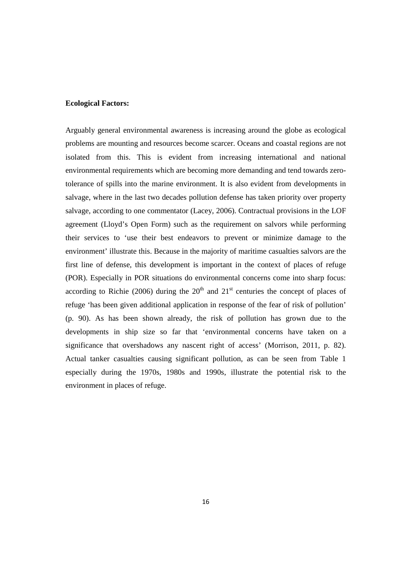#### **Ecological Factors:**

Arguably general environmental awareness is increasing around the globe as ecological problems are mounting and resources become scarcer. Oceans and coastal regions are not isolated from this. This is evident from increasing international and national environmental requirements which are becoming more demanding and tend towards zerotolerance of spills into the marine environment. It is also evident from developments in salvage, where in the last two decades pollution defense has taken priority over property salvage, according to one commentator (Lacey, 2006). Contractual provisions in the LOF agreement (Lloyd's Open Form) such as the requirement on salvors while performing their services to 'use their best endeavors to prevent or minimize damage to the environment' illustrate this. Because in the majority of maritime casualties salvors are the first line of defense, this development is important in the context of places of refuge (POR). Especially in POR situations do environmental concerns come into sharp focus: according to Richie (2006) during the  $20<sup>th</sup>$  and  $21<sup>st</sup>$  centuries the concept of places of refuge 'has been given additional application in response of the fear of risk of pollution' (p. 90). As has been shown already, the risk of pollution has grown due to the developments in ship size so far that 'environmental concerns have taken on a significance that overshadows any nascent right of access' (Morrison, 2011, p. 82). Actual tanker casualties causing significant pollution, as can be seen from Table 1 especially during the 1970s, 1980s and 1990s, illustrate the potential risk to the environment in places of refuge.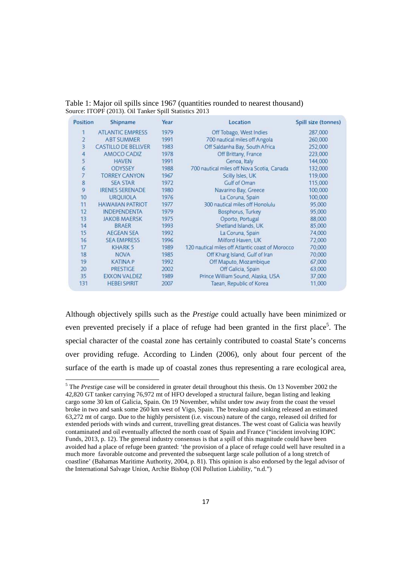Table 1: Major oil spills since 1967 (quantities rounded to nearest thousand) Source: ITOPF (2013). Oil Tanker Spill Statistics 2013

| Position                | Shipname                   | Year | Location                                         | Spill size (tonnes) |
|-------------------------|----------------------------|------|--------------------------------------------------|---------------------|
|                         | <b>ATLANTIC EMPRESS</b>    | 1979 | Off Tobago, West Indies                          | 287,000             |
| $\overline{c}$          | <b>ABT SUMMER</b>          | 1991 | 700 nautical miles off Angola                    | 260,000             |
| $\overline{\mathbf{3}}$ | <b>CASTILLO DE BELLVER</b> | 1983 | Off Saldanha Bay, South Africa                   | 252,000             |
| 4                       | AMOCO CADIZ                | 1978 | Off Brittany, France                             | 223,000             |
| 5                       | <b>HAVEN</b>               | 1991 | Genoa, Italy                                     | 144,000             |
| 6                       | <b>ODYSSEY</b>             | 1988 | 700 nautical miles off Nova Scotia, Canada       | 132,000             |
|                         | <b>TORREY CANYON</b>       | 1967 | Scilly Isles, UK                                 | 119,000             |
| 8                       | <b>SEA STAR</b>            | 1972 | Gulf of Oman                                     | 115,000             |
| 9                       | <b>IRENES SERENADE</b>     | 1980 | Navarino Bay, Greece                             | 100,000             |
| 10                      | <b>URQUIOLA</b>            | 1976 | La Coruna, Spain                                 | 100,000             |
| 11                      | <b>HAWAIIAN PATRIOT</b>    | 1977 | 300 nautical miles off Honolulu                  | 95,000              |
| 12                      | <b>INDEPENDENTA</b>        | 1979 | Bosphorus, Turkey                                | 95,000              |
| 13                      | <b>JAKOB MAERSK</b>        | 1975 | Oporto, Portugal                                 | 88,000              |
| 14                      | <b>BRAER</b>               | 1993 | Shetland Islands, UK                             | 85,000              |
| 15                      | <b>AEGEAN SEA</b>          | 1992 | La Coruna, Spain                                 | 74,000              |
| 16                      | <b>SEA EMPRESS</b>         | 1996 | Milford Haven, UK                                | 72,000              |
| 17                      | KHARK <sub>5</sub>         | 1989 | 120 nautical miles off Atlantic coast of Morocco | 70,000              |
| 18                      | <b>NOVA</b>                | 1985 | Off Kharg Island, Gulf of Iran                   | 70,000              |
| 19                      | <b>KATINA P</b>            | 1992 | Off Maputo, Mozambique                           | 67,000              |
| 20                      | <b>PRESTIGE</b>            | 2002 | Off Galicia, Spain                               | 63,000              |
| 35                      | <b>EXXON VALDEZ</b>        | 1989 | Prince William Sound, Alaska, USA                | 37,000              |
| 131                     | <b>HEBEI SPIRIT</b>        | 2007 | Taean, Republic of Korea                         | 11,000              |

Although objectively spills such as the *Prestige* could actually have been minimized or even prevented precisely if a place of refuge had been granted in the first place<sup>5</sup>. The special character of the coastal zone has certainly contributed to coastal State's concerns over providing refuge. According to Linden (2006), only about four percent of the surface of the earth is made up of coastal zones thus representing a rare ecological area,

<u>.</u>

<sup>&</sup>lt;sup>5</sup> The *Prestige* case will be considered in greater detail throughout this thesis. On 13 November 2002 the 42,820 GT tanker carrying 76,972 mt of HFO developed a structural failure, began listing and leaking cargo some 30 km of Galicia, Spain. On 19 November, whilst under tow away from the coast the vessel broke in two and sank some 260 km west of Vigo, Spain. The breakup and sinking released an estimated 63,272 mt of cargo. Due to the highly persistent (i.e. viscous) nature of the cargo, released oil drifted for extended periods with winds and current, travelling great distances. The west coast of Galicia was heavily contaminated and oil eventually affected the north coast of Spain and France ("incident involving IOPC Funds, 2013, p. 12). The general industry consensus is that a spill of this magnitude could have been avoided had a place of refuge been granted: 'the provision of a place of refuge could well have resulted in a much more favorable outcome and prevented the subsequent large scale pollution of a long stretch of coastline' (Bahamas Maritime Authority, 2004, p. 81). This opinion is also endorsed by the legal advisor of the International Salvage Union, Archie Bishop (Oil Pollution Liability, "n.d.")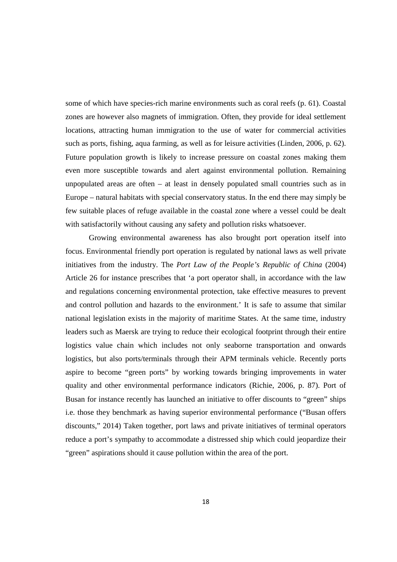some of which have species-rich marine environments such as coral reefs (p. 61). Coastal zones are however also magnets of immigration. Often, they provide for ideal settlement locations, attracting human immigration to the use of water for commercial activities such as ports, fishing, aqua farming, as well as for leisure activities (Linden, 2006, p. 62). Future population growth is likely to increase pressure on coastal zones making them even more susceptible towards and alert against environmental pollution. Remaining unpopulated areas are often – at least in densely populated small countries such as in Europe – natural habitats with special conservatory status. In the end there may simply be few suitable places of refuge available in the coastal zone where a vessel could be dealt with satisfactorily without causing any safety and pollution risks whatsoever.

 Growing environmental awareness has also brought port operation itself into focus. Environmental friendly port operation is regulated by national laws as well private initiatives from the industry. The *Port Law of the People's Republic of China* (2004) Article 26 for instance prescribes that 'a port operator shall, in accordance with the law and regulations concerning environmental protection, take effective measures to prevent and control pollution and hazards to the environment.' It is safe to assume that similar national legislation exists in the majority of maritime States. At the same time, industry leaders such as Maersk are trying to reduce their ecological footprint through their entire logistics value chain which includes not only seaborne transportation and onwards logistics, but also ports/terminals through their APM terminals vehicle. Recently ports aspire to become "green ports" by working towards bringing improvements in water quality and other environmental performance indicators (Richie, 2006, p. 87). Port of Busan for instance recently has launched an initiative to offer discounts to "green" ships i.e. those they benchmark as having superior environmental performance ("Busan offers discounts," 2014) Taken together, port laws and private initiatives of terminal operators reduce a port's sympathy to accommodate a distressed ship which could jeopardize their "green" aspirations should it cause pollution within the area of the port.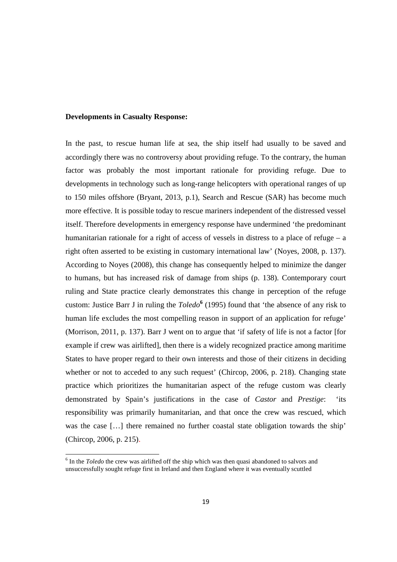#### **Developments in Casualty Response:**

<u>.</u>

In the past, to rescue human life at sea, the ship itself had usually to be saved and accordingly there was no controversy about providing refuge. To the contrary, the human factor was probably the most important rationale for providing refuge. Due to developments in technology such as long-range helicopters with operational ranges of up to 150 miles offshore (Bryant, 2013, p.1), Search and Rescue (SAR) has become much more effective. It is possible today to rescue mariners independent of the distressed vessel itself. Therefore developments in emergency response have undermined 'the predominant humanitarian rationale for a right of access of vessels in distress to a place of refuge  $-$  a right often asserted to be existing in customary international law' (Noyes, 2008, p. 137). According to Noyes (2008), this change has consequently helped to minimize the danger to humans, but has increased risk of damage from ships (p. 138). Contemporary court ruling and State practice clearly demonstrates this change in perception of the refuge custom: Justice Barr J in ruling the *Toledo***<sup>6</sup>** (1995) found that 'the absence of any risk to human life excludes the most compelling reason in support of an application for refuge' (Morrison, 2011, p. 137). Barr J went on to argue that 'if safety of life is not a factor [for example if crew was airlifted], then there is a widely recognized practice among maritime States to have proper regard to their own interests and those of their citizens in deciding whether or not to acceded to any such request' (Chircop, 2006, p. 218). Changing state practice which prioritizes the humanitarian aspect of the refuge custom was clearly demonstrated by Spain's justifications in the case of *Castor* and *Prestige*: 'its responsibility was primarily humanitarian, and that once the crew was rescued, which was the case […] there remained no further coastal state obligation towards the ship' (Chircop, 2006, p. 215).

<sup>&</sup>lt;sup>6</sup> In the *Toledo* the crew was airlifted off the ship which was then quasi abandoned to salvors and unsuccessfully sought refuge first in Ireland and then England where it was eventually scuttled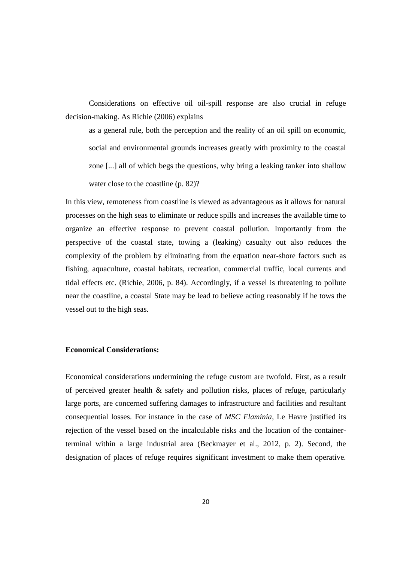Considerations on effective oil oil-spill response are also crucial in refuge decision-making. As Richie (2006) explains

as a general rule, both the perception and the reality of an oil spill on economic, social and environmental grounds increases greatly with proximity to the coastal zone [...] all of which begs the questions, why bring a leaking tanker into shallow water close to the coastline (p. 82)?

In this view, remoteness from coastline is viewed as advantageous as it allows for natural processes on the high seas to eliminate or reduce spills and increases the available time to organize an effective response to prevent coastal pollution. Importantly from the perspective of the coastal state, towing a (leaking) casualty out also reduces the complexity of the problem by eliminating from the equation near-shore factors such as fishing, aquaculture, coastal habitats, recreation, commercial traffic, local currents and tidal effects etc. (Richie, 2006, p. 84). Accordingly, if a vessel is threatening to pollute near the coastline, a coastal State may be lead to believe acting reasonably if he tows the vessel out to the high seas.

#### **Economical Considerations:**

Economical considerations undermining the refuge custom are twofold. First, as a result of perceived greater health & safety and pollution risks, places of refuge, particularly large ports, are concerned suffering damages to infrastructure and facilities and resultant consequential losses. For instance in the case of *MSC Flaminia*, Le Havre justified its rejection of the vessel based on the incalculable risks and the location of the containerterminal within a large industrial area (Beckmayer et al., 2012, p. 2). Second, the designation of places of refuge requires significant investment to make them operative.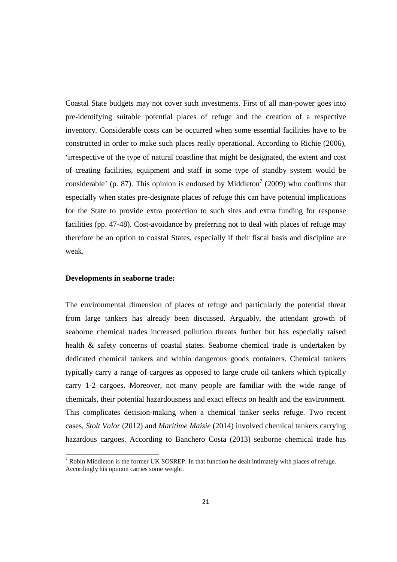Coastal State budgets may not cover such investments. First of all man-power goes into pre-identifying suitable potential places of refuge and the creation of a respective inventory. Considerable costs can be occurred when some essential facilities have to be constructed in order to make such places really operational. According to Richie (2006), 'irrespective of the type of natural coastline that might be designated, the extent and cost of creating facilities, equipment and staff in some type of standby system would be considerable' (p. 87). This opinion is endorsed by Middleton<sup>7</sup> (2009) who confirms that especially when states pre-designate places of refuge this can have potential implications for the State to provide extra protection to such sites and extra funding for response facilities (pp. 47-48). Cost-avoidance by preferring not to deal with places of refuge may therefore be an option to coastal States, especially if their fiscal basis and discipline are weak.

#### **Developments in seaborne trade:**

<u>.</u>

The environmental dimension of places of refuge and particularly the potential threat from large tankers has already been discussed. Arguably, the attendant growth of seaborne chemical trades increased pollution threats further but has especially raised health & safety concerns of coastal states. Seaborne chemical trade is undertaken by dedicated chemical tankers and within dangerous goods containers. Chemical tankers typically carry a range of cargoes as opposed to large crude oil tankers which typically carry 1-2 cargoes. Moreover, not many people are familiar with the wide range of chemicals, their potential hazardousness and exact effects on health and the environment. This complicates decision-making when a chemical tanker seeks refuge. Two recent cases, *Stolt Valor* (2012) and *Maritime Maisie* (2014) involved chemical tankers carrying hazardous cargoes. According to Banchero Costa (2013) seaborne chemical trade has

 $7$  Robin Middleton is the former UK SOSREP. In that function he dealt intimately with places of refuge. Accordingly his opinion carries some weight.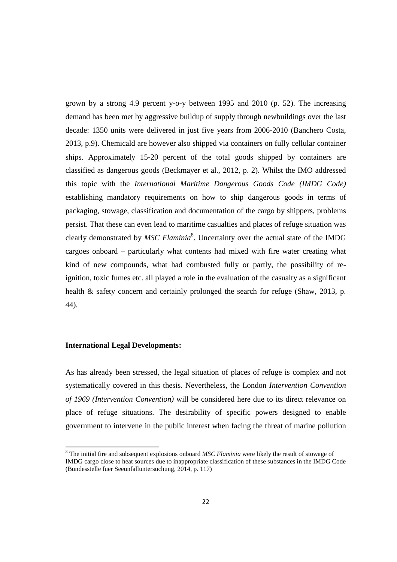grown by a strong 4.9 percent y-o-y between 1995 and 2010 (p. 52). The increasing demand has been met by aggressive buildup of supply through newbuildings over the last decade: 1350 units were delivered in just five years from 2006-2010 (Banchero Costa, 2013, p.9). Chemicald are however also shipped via containers on fully cellular container ships. Approximately 15-20 percent of the total goods shipped by containers are classified as dangerous goods (Beckmayer et al., 2012, p. 2). Whilst the IMO addressed this topic with the *International Maritime Dangerous Goods Code (IMDG Code)* establishing mandatory requirements on how to ship dangerous goods in terms of packaging, stowage, classification and documentation of the cargo by shippers, problems persist. That these can even lead to maritime casualties and places of refuge situation was clearly demonstrated by *MSC Flaminia*<sup>8</sup>. Uncertainty over the actual state of the IMDG cargoes onboard – particularly what contents had mixed with fire water creating what kind of new compounds, what had combusted fully or partly, the possibility of reignition, toxic fumes etc. all played a role in the evaluation of the casualty as a significant health & safety concern and certainly prolonged the search for refuge (Shaw, 2013, p. 44).

#### **International Legal Developments:**

<u>.</u>

As has already been stressed, the legal situation of places of refuge is complex and not systematically covered in this thesis. Nevertheless, the London *Intervention Convention of 1969 (Intervention Convention)* will be considered here due to its direct relevance on place of refuge situations. The desirability of specific powers designed to enable government to intervene in the public interest when facing the threat of marine pollution

<sup>&</sup>lt;sup>8</sup> The initial fire and subsequent explosions onboard *MSC Flaminia* were likely the result of stowage of IMDG cargo close to heat sources due to inappropriate classification of these substances in the IMDG Code (Bundesstelle fuer Seeunfalluntersuchung, 2014, p. 117)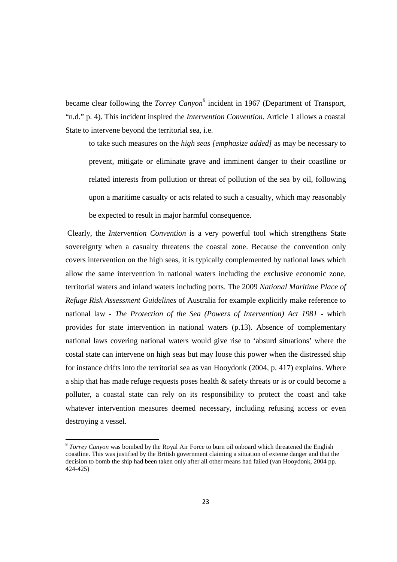became clear following the *Torrey Canyon<sup>9</sup>* incident in 1967 (Department of Transport, "n.d." p. 4). This incident inspired the *Intervention Convention*. Article 1 allows a coastal State to intervene beyond the territorial sea, i.e.

to take such measures on the *high seas [emphasize added]* as may be necessary to prevent, mitigate or eliminate grave and imminent danger to their coastline or related interests from pollution or threat of pollution of the sea by oil, following upon a maritime casualty or acts related to such a casualty, which may reasonably be expected to result in major harmful consequence.

 Clearly, the *Intervention Convention* is a very powerful tool which strengthens State sovereignty when a casualty threatens the coastal zone. Because the convention only covers intervention on the high seas, it is typically complemented by national laws which allow the same intervention in national waters including the exclusive economic zone, territorial waters and inland waters including ports. The 2009 *National Maritime Place of Refuge Risk Assessment Guidelines* of Australia for example explicitly make reference to national law - *The Protection of the Sea (Powers of Intervention) Act 1981 -* which provides for state intervention in national waters (p.13). Absence of complementary national laws covering national waters would give rise to 'absurd situations' where the costal state can intervene on high seas but may loose this power when the distressed ship for instance drifts into the territorial sea as van Hooydonk (2004, p. 417) explains. Where a ship that has made refuge requests poses health & safety threats or is or could become a polluter, a coastal state can rely on its responsibility to protect the coast and take whatever intervention measures deemed necessary, including refusing access or even destroying a vessel.

<u>.</u>

<sup>&</sup>lt;sup>9</sup> Torrey Canyon was bombed by the Royal Air Force to burn oil onboard which threatened the English coastline. This was justified by the British government claiming a situation of exteme danger and that the decision to bomb the ship had been taken only after all other means had failed (van Hooydonk, 2004 pp. 424-425)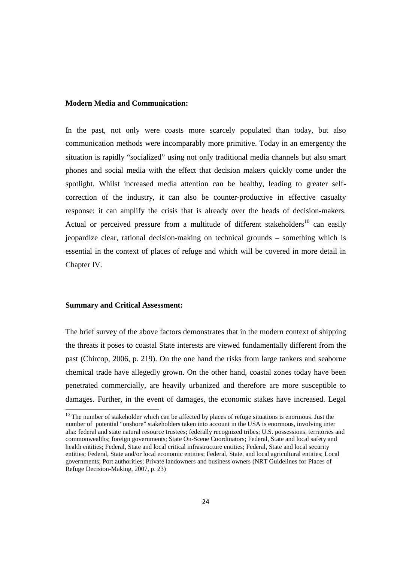#### **Modern Media and Communication:**

In the past, not only were coasts more scarcely populated than today, but also communication methods were incomparably more primitive. Today in an emergency the situation is rapidly "socialized" using not only traditional media channels but also smart phones and social media with the effect that decision makers quickly come under the spotlight. Whilst increased media attention can be healthy, leading to greater selfcorrection of the industry, it can also be counter-productive in effective casualty response: it can amplify the crisis that is already over the heads of decision-makers. Actual or perceived pressure from a multitude of different stakeholders<sup>10</sup> can easily jeopardize clear, rational decision-making on technical grounds – something which is essential in the context of places of refuge and which will be covered in more detail in Chapter IV.

#### **Summary and Critical Assessment:**

<u>.</u>

The brief survey of the above factors demonstrates that in the modern context of shipping the threats it poses to coastal State interests are viewed fundamentally different from the past (Chircop, 2006, p. 219). On the one hand the risks from large tankers and seaborne chemical trade have allegedly grown. On the other hand, coastal zones today have been penetrated commercially, are heavily urbanized and therefore are more susceptible to damages. Further, in the event of damages, the economic stakes have increased. Legal

 $10$  The number of stakeholder which can be affected by places of refuge situations is enormous. Just the number of potential "onshore" stakeholders taken into account in the USA is enormous, involving inter alia: federal and state natural resource trustees; federally recognized tribes; U.S. possessions, territories and commonwealths; foreign governments; State On-Scene Coordinators; Federal, State and local safety and health entities; Federal, State and local critical infrastructure entities; Federal, State and local security entities; Federal, State and/or local economic entities; Federal, State, and local agricultural entities; Local governments; Port authorities; Private landowners and business owners (NRT Guidelines for Places of Refuge Decision-Making, 2007, p. 23)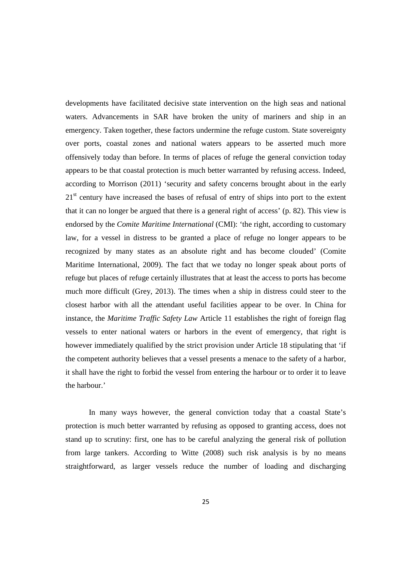developments have facilitated decisive state intervention on the high seas and national waters. Advancements in SAR have broken the unity of mariners and ship in an emergency. Taken together, these factors undermine the refuge custom. State sovereignty over ports, coastal zones and national waters appears to be asserted much more offensively today than before. In terms of places of refuge the general conviction today appears to be that coastal protection is much better warranted by refusing access. Indeed, according to Morrison (2011) 'security and safety concerns brought about in the early 21<sup>st</sup> century have increased the bases of refusal of entry of ships into port to the extent that it can no longer be argued that there is a general right of access' (p. 82). This view is endorsed by the *Comite Maritime International* (CMI): 'the right, according to customary law, for a vessel in distress to be granted a place of refuge no longer appears to be recognized by many states as an absolute right and has become clouded' (Comite Maritime International, 2009). The fact that we today no longer speak about ports of refuge but places of refuge certainly illustrates that at least the access to ports has become much more difficult (Grey, 2013). The times when a ship in distress could steer to the closest harbor with all the attendant useful facilities appear to be over. In China for instance, the *Maritime Traffic Safety Law* Article 11 establishes the right of foreign flag vessels to enter national waters or harbors in the event of emergency, that right is however immediately qualified by the strict provision under Article 18 stipulating that 'if the competent authority believes that a vessel presents a menace to the safety of a harbor, it shall have the right to forbid the vessel from entering the harbour or to order it to leave the harbour.'

 In many ways however, the general conviction today that a coastal State's protection is much better warranted by refusing as opposed to granting access, does not stand up to scrutiny: first, one has to be careful analyzing the general risk of pollution from large tankers. According to Witte (2008) such risk analysis is by no means straightforward, as larger vessels reduce the number of loading and discharging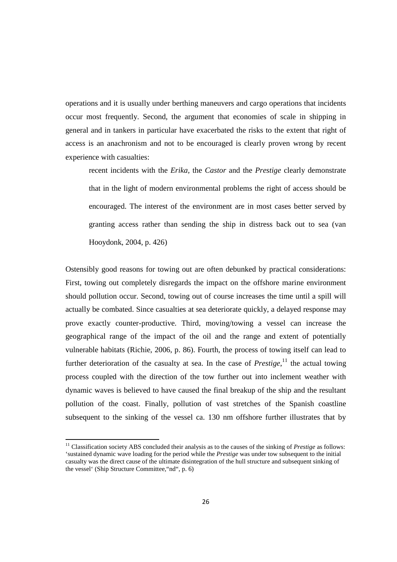operations and it is usually under berthing maneuvers and cargo operations that incidents occur most frequently. Second, the argument that economies of scale in shipping in general and in tankers in particular have exacerbated the risks to the extent that right of access is an anachronism and not to be encouraged is clearly proven wrong by recent experience with casualties:

recent incidents with the *Erika,* the *Castor* and the *Prestige* clearly demonstrate that in the light of modern environmental problems the right of access should be encouraged. The interest of the environment are in most cases better served by granting access rather than sending the ship in distress back out to sea (van Hooydonk, 2004, p. 426)

Ostensibly good reasons for towing out are often debunked by practical considerations: First, towing out completely disregards the impact on the offshore marine environment should pollution occur. Second, towing out of course increases the time until a spill will actually be combated. Since casualties at sea deteriorate quickly, a delayed response may prove exactly counter-productive. Third, moving/towing a vessel can increase the geographical range of the impact of the oil and the range and extent of potentially vulnerable habitats (Richie, 2006, p. 86). Fourth, the process of towing itself can lead to further deterioration of the casualty at sea. In the case of *Prestige*,<sup>11</sup> the actual towing process coupled with the direction of the tow further out into inclement weather with dynamic waves is believed to have caused the final breakup of the ship and the resultant pollution of the coast. Finally, pollution of vast stretches of the Spanish coastline subsequent to the sinking of the vessel ca. 130 nm offshore further illustrates that by

<u>.</u>

<sup>&</sup>lt;sup>11</sup> Classification society ABS concluded their analysis as to the causes of the sinking of *Prestige* as follows: 'sustained dynamic wave loading for the period while the *Prestige* was under tow subsequent to the initial casualty was the direct cause of the ultimate disintegration of the hull structure and subsequent sinking of the vessel' (Ship Structure Committee,"nd", p. 6)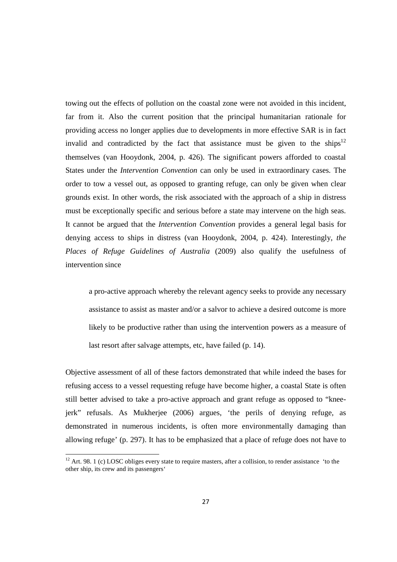towing out the effects of pollution on the coastal zone were not avoided in this incident, far from it. Also the current position that the principal humanitarian rationale for providing access no longer applies due to developments in more effective SAR is in fact invalid and contradicted by the fact that assistance must be given to the ships<sup>12</sup> themselves (van Hooydonk, 2004, p. 426). The significant powers afforded to coastal States under the *Intervention Convention* can only be used in extraordinary cases. The order to tow a vessel out, as opposed to granting refuge, can only be given when clear grounds exist. In other words, the risk associated with the approach of a ship in distress must be exceptionally specific and serious before a state may intervene on the high seas. It cannot be argued that the *Intervention Convention* provides a general legal basis for denying access to ships in distress (van Hooydonk, 2004, p. 424). Interestingly, *the Places of Refuge Guidelines of Australia* (2009) also qualify the usefulness of intervention since

a pro-active approach whereby the relevant agency seeks to provide any necessary assistance to assist as master and/or a salvor to achieve a desired outcome is more likely to be productive rather than using the intervention powers as a measure of last resort after salvage attempts, etc, have failed (p. 14).

Objective assessment of all of these factors demonstrated that while indeed the bases for refusing access to a vessel requesting refuge have become higher, a coastal State is often still better advised to take a pro-active approach and grant refuge as opposed to "kneejerk" refusals. As Mukherjee (2006) argues, 'the perils of denying refuge, as demonstrated in numerous incidents, is often more environmentally damaging than allowing refuge' (p. 297). It has to be emphasized that a place of refuge does not have to

<u>.</u>

 $12$  Art. 98. 1 (c) LOSC obliges every state to require masters, after a collision, to render assistance 'to the other ship, its crew and its passengers'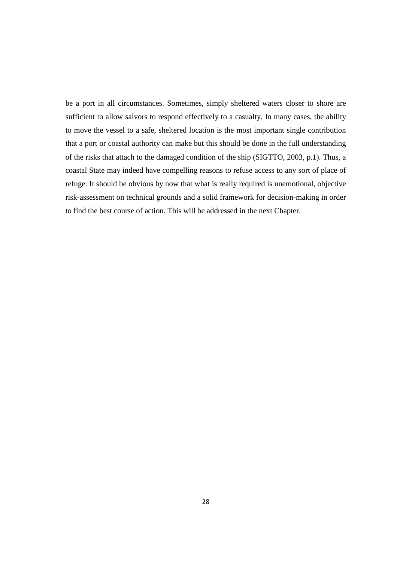be a port in all circumstances. Sometimes, simply sheltered waters closer to shore are sufficient to allow salvors to respond effectively to a casualty. In many cases, the ability to move the vessel to a safe, sheltered location is the most important single contribution that a port or coastal authority can make but this should be done in the full understanding of the risks that attach to the damaged condition of the ship (SIGTTO, 2003, p.1). Thus, a coastal State may indeed have compelling reasons to refuse access to any sort of place of refuge. It should be obvious by now that what is really required is unemotional, objective risk-assessment on technical grounds and a solid framework for decision-making in order to find the best course of action. This will be addressed in the next Chapter.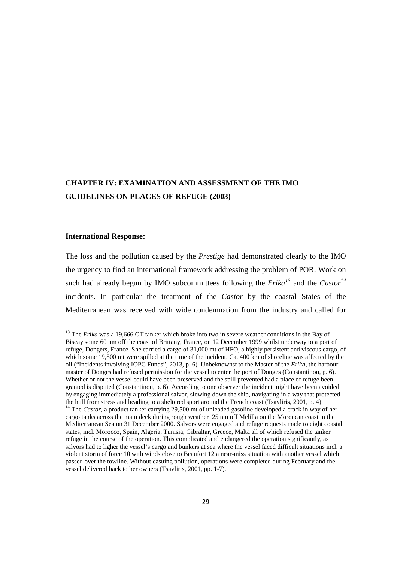# **CHAPTER IV: EXAMINATION AND ASSESSMENT OF THE IMO GUIDELINES ON PLACES OF REFUGE (2003)**

## **International Response:**

<u>.</u>

The loss and the pollution caused by the *Prestige* had demonstrated clearly to the IMO the urgency to find an international framework addressing the problem of POR. Work on such had already begun by IMO subcommittees following the  $Erika^{13}$  and the  $Castor^{14}$ incidents. In particular the treatment of the *Castor* by the coastal States of the Mediterranean was received with wide condemnation from the industry and called for

<sup>&</sup>lt;sup>13</sup> The *Erika* was a 19,666 GT tanker which broke into two in severe weather conditions in the Bay of Biscay some 60 nm off the coast of Brittany, France, on 12 December 1999 whilst underway to a port of refuge, Dongers, France. She carried a cargo of 31,000 mt of HFO, a highly persistent and viscous cargo, of which some 19,800 mt were spilled at the time of the incident. Ca. 400 km of shoreline was affected by the oil ("Incidents involving IOPC Funds", 2013, p. 6). Unbeknownst to the Master of the *Erika*, the harbour master of Donges had refused permission for the vessel to enter the port of Donges (Constantinou, p. 6). Whether or not the vessel could have been preserved and the spill prevented had a place of refuge been granted is disputed (Constantinou, p. 6). According to one observer the incident might have been avoided by engaging immediately a professional salvor, slowing down the ship, navigating in a way that protected the hull from stress and heading to a sheltered sport around the French coast (Tsavliris, 2001, p. 4)

<sup>&</sup>lt;sup>14</sup> The *Castor*, a product tanker carrying 29,500 mt of unleaded gasoline developed a crack in way of her cargo tanks across the main deck during rough weather 25 nm off Melilla on the Moroccan coast in the Mediterranean Sea on 31 December 2000. Salvors were engaged and refuge requests made to eight coastal states, incl. Morocco, Spain, Algeria, Tunisia, Gibraltar, Greece, Malta all of which refused the tanker refuge in the course of the operation. This complicated and endangered the operation significantly, as salvors had to ligher the vessel's cargo and bunkers at sea where the vessel faced difficult situations incl. a violent storm of force 10 with winds close to Beaufort 12 a near-miss situation with another vessel which passed over the towline. Without casuing pollution, operations were completed during February and the vessel delivered back to her owners (Tsavliris, 2001, pp. 1-7).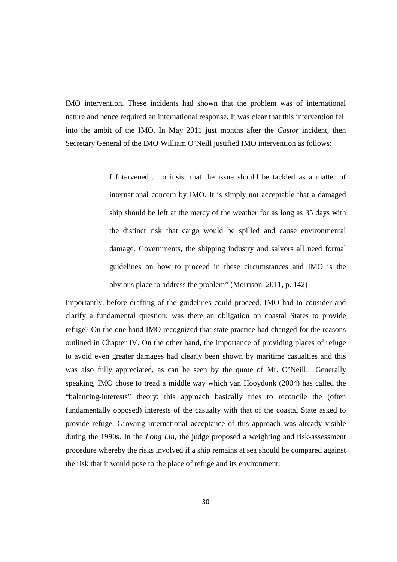IMO intervention. These incidents had shown that the problem was of international nature and hence required an international response. It was clear that this intervention fell into the ambit of the IMO. In May 2011 just months after the *Castor* incident, then Secretary General of the IMO William O'Neill justified IMO intervention as follows:

> I Intervened… to insist that the issue should be tackled as a matter of international concern by IMO. It is simply not acceptable that a damaged ship should be left at the mercy of the weather for as long as 35 days with the distinct risk that cargo would be spilled and cause environmental damage. Governments, the shipping industry and salvors all need formal guidelines on how to proceed in these circumstances and IMO is the obvious place to address the problem" (Morrison, 2011, p. 142)

Importantly, before drafting of the guidelines could proceed, IMO had to consider and clarify a fundamental question: was there an obligation on coastal States to provide refuge? On the one hand IMO recognized that state practice had changed for the reasons outlined in Chapter IV. On the other hand, the importance of providing places of refuge to avoid even greater damages had clearly been shown by maritime casualties and this was also fully appreciated, as can be seen by the quote of Mr. O'Neill. Generally speaking, IMO chose to tread a middle way which van Hooydonk (2004) has called the "balancing-interests" theory: this approach basically tries to reconcile the (often fundamentally opposed) interests of the casualty with that of the coastal State asked to provide refuge. Growing international acceptance of this approach was already visible during the 1990s. In the *Long Lin*, the judge proposed a weighting and risk-assessment procedure whereby the risks involved if a ship remains at sea should be compared against the risk that it would pose to the place of refuge and its environment: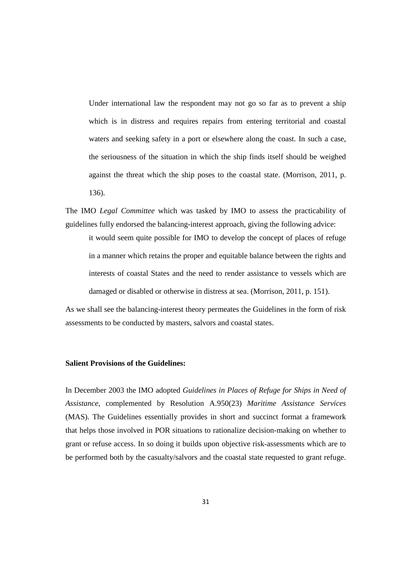Under international law the respondent may not go so far as to prevent a ship which is in distress and requires repairs from entering territorial and coastal waters and seeking safety in a port or elsewhere along the coast. In such a case, the seriousness of the situation in which the ship finds itself should be weighed against the threat which the ship poses to the coastal state. (Morrison, 2011, p. 136).

The IMO *Legal Committee* which was tasked by IMO to assess the practicability of guidelines fully endorsed the balancing-interest approach, giving the following advice:

it would seem quite possible for IMO to develop the concept of places of refuge in a manner which retains the proper and equitable balance between the rights and interests of coastal States and the need to render assistance to vessels which are damaged or disabled or otherwise in distress at sea. (Morrison, 2011, p. 151).

As we shall see the balancing-interest theory permeates the Guidelines in the form of risk assessments to be conducted by masters, salvors and coastal states.

# **Salient Provisions of the Guidelines:**

In December 2003 the IMO adopted *Guidelines in Places of Refuge for Ships in Need of Assistance*, complemented by Resolution A.950(23) *Maritime Assistance Services* (MAS). The Guidelines essentially provides in short and succinct format a framework that helps those involved in POR situations to rationalize decision-making on whether to grant or refuse access. In so doing it builds upon objective risk-assessments which are to be performed both by the casualty/salvors and the coastal state requested to grant refuge.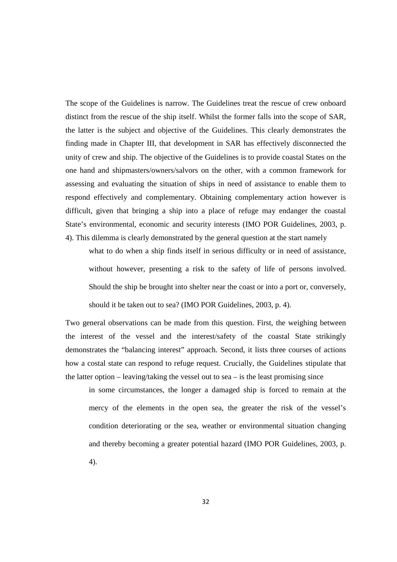The scope of the Guidelines is narrow. The Guidelines treat the rescue of crew onboard distinct from the rescue of the ship itself. Whilst the former falls into the scope of SAR, the latter is the subject and objective of the Guidelines. This clearly demonstrates the finding made in Chapter III, that development in SAR has effectively disconnected the unity of crew and ship. The objective of the Guidelines is to provide coastal States on the one hand and shipmasters/owners/salvors on the other, with a common framework for assessing and evaluating the situation of ships in need of assistance to enable them to respond effectively and complementary. Obtaining complementary action however is difficult, given that bringing a ship into a place of refuge may endanger the coastal State's environmental, economic and security interests (IMO POR Guidelines, 2003, p. 4). This dilemma is clearly demonstrated by the general question at the start namely

what to do when a ship finds itself in serious difficulty or in need of assistance, without however, presenting a risk to the safety of life of persons involved. Should the ship be brought into shelter near the coast or into a port or, conversely, should it be taken out to sea? (IMO POR Guidelines, 2003, p. 4).

Two general observations can be made from this question. First, the weighing between the interest of the vessel and the interest/safety of the coastal State strikingly demonstrates the "balancing interest" approach. Second, it lists three courses of actions how a costal state can respond to refuge request. Crucially, the Guidelines stipulate that the latter option – leaving/taking the vessel out to sea – is the least promising since

in some circumstances, the longer a damaged ship is forced to remain at the mercy of the elements in the open sea, the greater the risk of the vessel's condition deteriorating or the sea, weather or environmental situation changing and thereby becoming a greater potential hazard (IMO POR Guidelines, 2003, p. 4).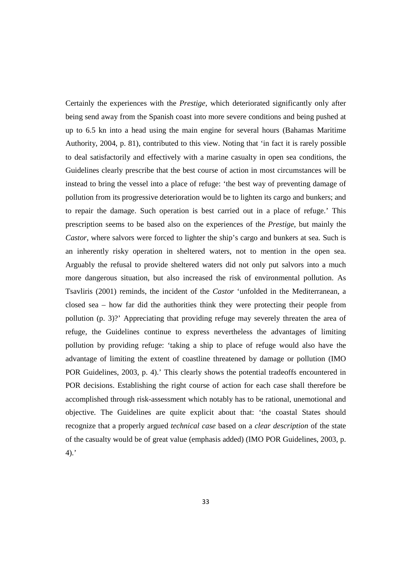Certainly the experiences with the *Prestige*, which deteriorated significantly only after being send away from the Spanish coast into more severe conditions and being pushed at up to 6.5 kn into a head using the main engine for several hours (Bahamas Maritime Authority, 2004, p. 81), contributed to this view. Noting that 'in fact it is rarely possible to deal satisfactorily and effectively with a marine casualty in open sea conditions, the Guidelines clearly prescribe that the best course of action in most circumstances will be instead to bring the vessel into a place of refuge: 'the best way of preventing damage of pollution from its progressive deterioration would be to lighten its cargo and bunkers; and to repair the damage. Such operation is best carried out in a place of refuge.' This prescription seems to be based also on the experiences of the *Prestige*, but mainly the *Castor*, where salvors were forced to lighter the ship's cargo and bunkers at sea. Such is an inherently risky operation in sheltered waters, not to mention in the open sea. Arguably the refusal to provide sheltered waters did not only put salvors into a much more dangerous situation, but also increased the risk of environmental pollution. As Tsavliris (2001) reminds, the incident of the *Castor* 'unfolded in the Mediterranean, a closed sea – how far did the authorities think they were protecting their people from pollution (p. 3)?' Appreciating that providing refuge may severely threaten the area of refuge, the Guidelines continue to express nevertheless the advantages of limiting pollution by providing refuge: 'taking a ship to place of refuge would also have the advantage of limiting the extent of coastline threatened by damage or pollution (IMO POR Guidelines, 2003, p. 4).' This clearly shows the potential tradeoffs encountered in POR decisions. Establishing the right course of action for each case shall therefore be accomplished through risk-assessment which notably has to be rational, unemotional and objective. The Guidelines are quite explicit about that: 'the coastal States should recognize that a properly argued *technical case* based on a *clear description* of the state of the casualty would be of great value (emphasis added) (IMO POR Guidelines, 2003, p.  $4$ ).'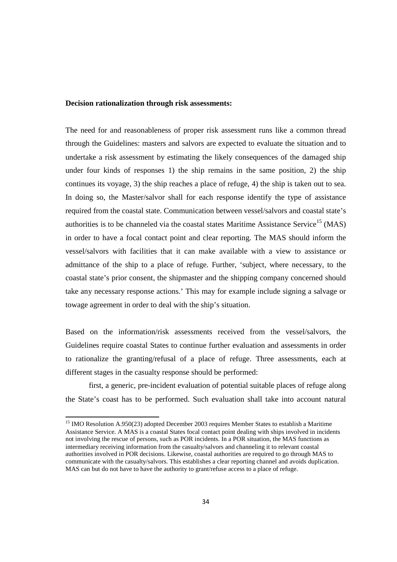#### **Decision rationalization through risk assessments:**

The need for and reasonableness of proper risk assessment runs like a common thread through the Guidelines: masters and salvors are expected to evaluate the situation and to undertake a risk assessment by estimating the likely consequences of the damaged ship under four kinds of responses 1) the ship remains in the same position, 2) the ship continues its voyage, 3) the ship reaches a place of refuge, 4) the ship is taken out to sea. In doing so, the Master/salvor shall for each response identify the type of assistance required from the coastal state. Communication between vessel/salvors and coastal state's authorities is to be channeled via the coastal states Maritime Assistance Service<sup>15</sup> (MAS) in order to have a focal contact point and clear reporting. The MAS should inform the vessel/salvors with facilities that it can make available with a view to assistance or admittance of the ship to a place of refuge. Further, 'subject, where necessary, to the coastal state's prior consent, the shipmaster and the shipping company concerned should take any necessary response actions.' This may for example include signing a salvage or towage agreement in order to deal with the ship's situation.

Based on the information/risk assessments received from the vessel/salvors, the Guidelines require coastal States to continue further evaluation and assessments in order to rationalize the granting/refusal of a place of refuge. Three assessments, each at different stages in the casualty response should be performed:

 first, a generic, pre-incident evaluation of potential suitable places of refuge along the State's coast has to be performed. Such evaluation shall take into account natural

<sup>&</sup>lt;sup>15</sup> IMO Resolution A.950(23) adopted December 2003 requires Member States to establish a Maritime Assistance Service. A MAS is a coastal States focal contact point dealing with ships involved in incidents not involving the rescue of persons, such as POR incidents. In a POR situation, the MAS functions as intermediary receiving information from the casualty/salvors and channeling it to relevant coastal authorities involved in POR decisions. Likewise, coastal authorities are required to go through MAS to communicate with the casualty/salvors. This establishes a clear reporting channel and avoids duplication. MAS can but do not have to have the authority to grant/refuse access to a place of refuge.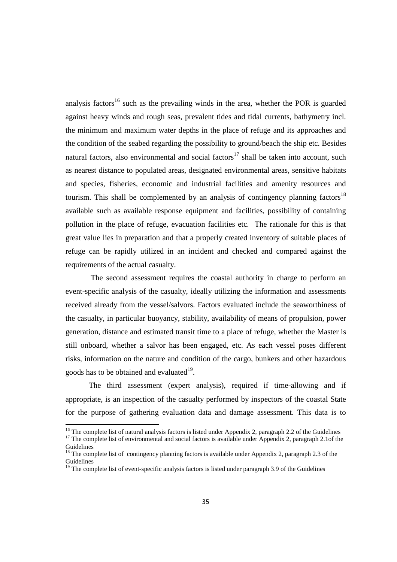analysis factors<sup>16</sup> such as the prevailing winds in the area, whether the POR is guarded against heavy winds and rough seas, prevalent tides and tidal currents, bathymetry incl. the minimum and maximum water depths in the place of refuge and its approaches and the condition of the seabed regarding the possibility to ground/beach the ship etc. Besides natural factors, also environmental and social factors<sup>17</sup> shall be taken into account, such as nearest distance to populated areas, designated environmental areas, sensitive habitats and species, fisheries, economic and industrial facilities and amenity resources and tourism. This shall be complemented by an analysis of contingency planning factors<sup>18</sup> available such as available response equipment and facilities, possibility of containing pollution in the place of refuge, evacuation facilities etc. The rationale for this is that great value lies in preparation and that a properly created inventory of suitable places of refuge can be rapidly utilized in an incident and checked and compared against the requirements of the actual casualty.

 The second assessment requires the coastal authority in charge to perform an event-specific analysis of the casualty, ideally utilizing the information and assessments received already from the vessel/salvors. Factors evaluated include the seaworthiness of the casualty, in particular buoyancy, stability, availability of means of propulsion, power generation, distance and estimated transit time to a place of refuge, whether the Master is still onboard, whether a salvor has been engaged, etc. As each vessel poses different risks, information on the nature and condition of the cargo, bunkers and other hazardous goods has to be obtained and evaluated $19$ .

 The third assessment (expert analysis), required if time-allowing and if appropriate, is an inspection of the casualty performed by inspectors of the coastal State for the purpose of gathering evaluation data and damage assessment. This data is to

<sup>&</sup>lt;sup>16</sup> The complete list of natural analysis factors is listed under Appendix 2, paragraph 2.2 of the Guidelines

<sup>&</sup>lt;sup>17</sup> The complete list of environmental and social factors is available under Appendix 2, paragraph 2.1of the Guidelines

 $18$  The complete list of contingency planning factors is available under Appendix 2, paragraph 2.3 of the Guidelines

 $19$  The complete list of event-specific analysis factors is listed under paragraph 3.9 of the Guidelines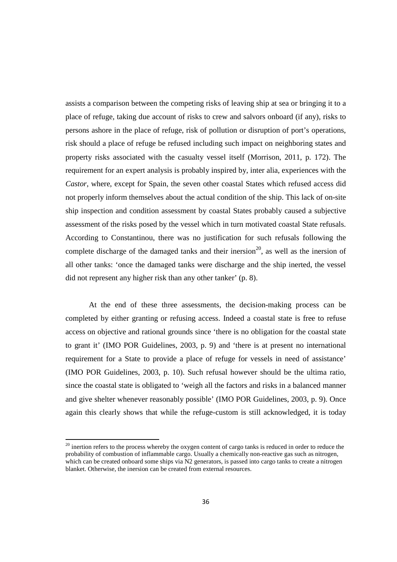assists a comparison between the competing risks of leaving ship at sea or bringing it to a place of refuge, taking due account of risks to crew and salvors onboard (if any), risks to persons ashore in the place of refuge, risk of pollution or disruption of port's operations, risk should a place of refuge be refused including such impact on neighboring states and property risks associated with the casualty vessel itself (Morrison, 2011, p. 172). The requirement for an expert analysis is probably inspired by, inter alia, experiences with the *Castor*, where, except for Spain, the seven other coastal States which refused access did not properly inform themselves about the actual condition of the ship. This lack of on-site ship inspection and condition assessment by coastal States probably caused a subjective assessment of the risks posed by the vessel which in turn motivated coastal State refusals. According to Constantinou, there was no justification for such refusals following the complete discharge of the damaged tanks and their inersion<sup>20</sup>, as well as the inersion of all other tanks: 'once the damaged tanks were discharge and the ship inerted, the vessel did not represent any higher risk than any other tanker' (p. 8).

 At the end of these three assessments, the decision-making process can be completed by either granting or refusing access. Indeed a coastal state is free to refuse access on objective and rational grounds since 'there is no obligation for the coastal state to grant it' (IMO POR Guidelines, 2003, p. 9) and 'there is at present no international requirement for a State to provide a place of refuge for vessels in need of assistance' (IMO POR Guidelines, 2003, p. 10). Such refusal however should be the ultima ratio, since the coastal state is obligated to 'weigh all the factors and risks in a balanced manner and give shelter whenever reasonably possible' (IMO POR Guidelines, 2003, p. 9). Once again this clearly shows that while the refuge-custom is still acknowledged, it is today

<sup>&</sup>lt;sup>20</sup> inertion refers to the process whereby the oxygen content of cargo tanks is reduced in order to reduce the probability of combustion of inflammable cargo. Usually a chemically non-reactive gas such as nitrogen, which can be created onboard some ships via N2 generators, is passed into cargo tanks to create a nitrogen blanket. Otherwise, the inersion can be created from external resources.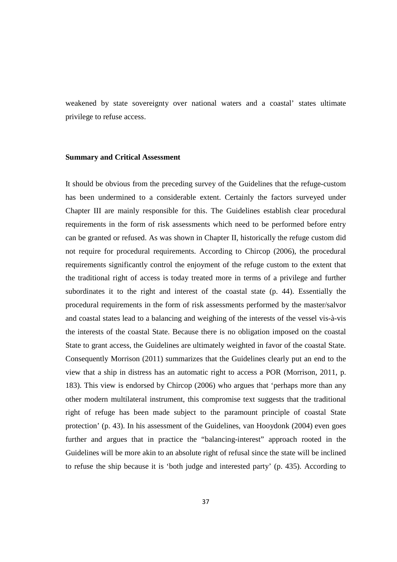weakened by state sovereignty over national waters and a coastal' states ultimate privilege to refuse access.

#### **Summary and Critical Assessment**

It should be obvious from the preceding survey of the Guidelines that the refuge-custom has been undermined to a considerable extent. Certainly the factors surveyed under Chapter III are mainly responsible for this. The Guidelines establish clear procedural requirements in the form of risk assessments which need to be performed before entry can be granted or refused. As was shown in Chapter II, historically the refuge custom did not require for procedural requirements. According to Chircop (2006), the procedural requirements significantly control the enjoyment of the refuge custom to the extent that the traditional right of access is today treated more in terms of a privilege and further subordinates it to the right and interest of the coastal state (p. 44). Essentially the procedural requirements in the form of risk assessments performed by the master/salvor and coastal states lead to a balancing and weighing of the interests of the vessel vis-à-vis the interests of the coastal State. Because there is no obligation imposed on the coastal State to grant access, the Guidelines are ultimately weighted in favor of the coastal State. Consequently Morrison (2011) summarizes that the Guidelines clearly put an end to the view that a ship in distress has an automatic right to access a POR (Morrison, 2011, p. 183). This view is endorsed by Chircop (2006) who argues that 'perhaps more than any other modern multilateral instrument, this compromise text suggests that the traditional right of refuge has been made subject to the paramount principle of coastal State protection' (p. 43). In his assessment of the Guidelines, van Hooydonk (2004) even goes further and argues that in practice the "balancing-interest" approach rooted in the Guidelines will be more akin to an absolute right of refusal since the state will be inclined to refuse the ship because it is 'both judge and interested party' (p. 435). According to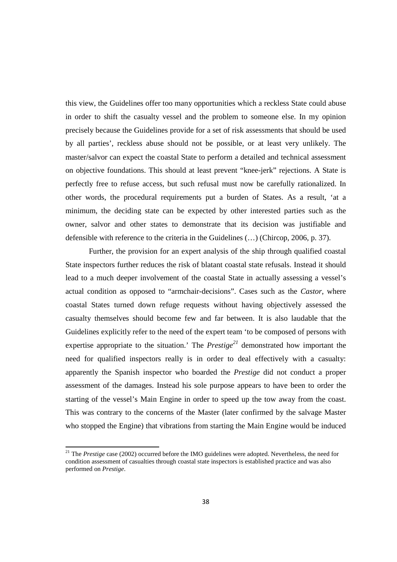this view, the Guidelines offer too many opportunities which a reckless State could abuse in order to shift the casualty vessel and the problem to someone else. In my opinion precisely because the Guidelines provide for a set of risk assessments that should be used by all parties', reckless abuse should not be possible, or at least very unlikely. The master/salvor can expect the coastal State to perform a detailed and technical assessment on objective foundations. This should at least prevent "knee-jerk" rejections. A State is perfectly free to refuse access, but such refusal must now be carefully rationalized. In other words, the procedural requirements put a burden of States. As a result, 'at a minimum, the deciding state can be expected by other interested parties such as the owner, salvor and other states to demonstrate that its decision was justifiable and defensible with reference to the criteria in the Guidelines (…) (Chircop, 2006, p. 37).

 Further, the provision for an expert analysis of the ship through qualified coastal State inspectors further reduces the risk of blatant coastal state refusals. Instead it should lead to a much deeper involvement of the coastal State in actually assessing a vessel's actual condition as opposed to "armchair-decisions". Cases such as the *Castor*, where coastal States turned down refuge requests without having objectively assessed the casualty themselves should become few and far between. It is also laudable that the Guidelines explicitly refer to the need of the expert team 'to be composed of persons with expertise appropriate to the situation.' The *Prestige<sup>21</sup>* demonstrated how important the need for qualified inspectors really is in order to deal effectively with a casualty: apparently the Spanish inspector who boarded the *Prestige* did not conduct a proper assessment of the damages. Instead his sole purpose appears to have been to order the starting of the vessel's Main Engine in order to speed up the tow away from the coast. This was contrary to the concerns of the Master (later confirmed by the salvage Master who stopped the Engine) that vibrations from starting the Main Engine would be induced

<sup>21</sup> The *Prestige* case (2002) occurred before the IMO guidelines were adopted. Nevertheless, the need for condition assessment of casualties through coastal state inspectors is established practice and was also performed on *Prestige*.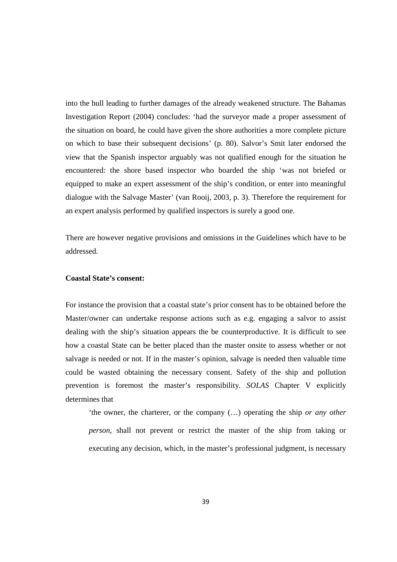into the hull leading to further damages of the already weakened structure. The Bahamas Investigation Report (2004) concludes: 'had the surveyor made a proper assessment of the situation on board, he could have given the shore authorities a more complete picture on which to base their subsequent decisions' (p. 80). Salvor's Smit later endorsed the view that the Spanish inspector arguably was not qualified enough for the situation he encountered: the shore based inspector who boarded the ship 'was not briefed or equipped to make an expert assessment of the ship's condition, or enter into meaningful dialogue with the Salvage Master' (van Rooij, 2003, p. 3). Therefore the requirement for an expert analysis performed by qualified inspectors is surely a good one.

There are however negative provisions and omissions in the Guidelines which have to be addressed.

## **Coastal State's consent:**

For instance the provision that a coastal state's prior consent has to be obtained before the Master/owner can undertake response actions such as e.g. engaging a salvor to assist dealing with the ship's situation appears the be counterproductive. It is difficult to see how a coastal State can be better placed than the master onsite to assess whether or not salvage is needed or not. If in the master's opinion, salvage is needed then valuable time could be wasted obtaining the necessary consent. Safety of the ship and pollution prevention is foremost the master's responsibility. *SOLAS* Chapter V explicitly determines that

'the owner, the charterer, or the company (…) operating the ship *or any other person*, shall not prevent or restrict the master of the ship from taking or executing any decision, which, in the master's professional judgment, is necessary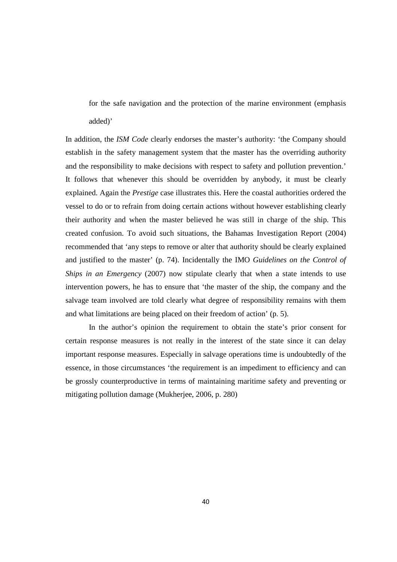for the safe navigation and the protection of the marine environment (emphasis added)'

In addition, the *ISM Code* clearly endorses the master's authority: 'the Company should establish in the safety management system that the master has the overriding authority and the responsibility to make decisions with respect to safety and pollution prevention.' It follows that whenever this should be overridden by anybody, it must be clearly explained. Again the *Prestige* case illustrates this. Here the coastal authorities ordered the vessel to do or to refrain from doing certain actions without however establishing clearly their authority and when the master believed he was still in charge of the ship. This created confusion. To avoid such situations, the Bahamas Investigation Report (2004) recommended that 'any steps to remove or alter that authority should be clearly explained and justified to the master' (p. 74). Incidentally the IMO *Guidelines on the Control of Ships in an Emergency* (2007) now stipulate clearly that when a state intends to use intervention powers, he has to ensure that 'the master of the ship, the company and the salvage team involved are told clearly what degree of responsibility remains with them and what limitations are being placed on their freedom of action' (p. 5).

 In the author's opinion the requirement to obtain the state's prior consent for certain response measures is not really in the interest of the state since it can delay important response measures. Especially in salvage operations time is undoubtedly of the essence, in those circumstances 'the requirement is an impediment to efficiency and can be grossly counterproductive in terms of maintaining maritime safety and preventing or mitigating pollution damage (Mukherjee, 2006, p. 280)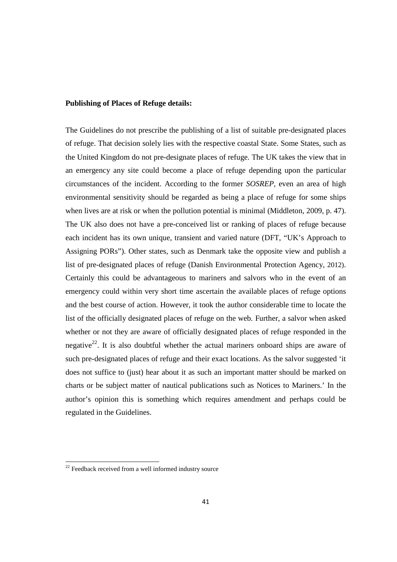## **Publishing of Places of Refuge details:**

The Guidelines do not prescribe the publishing of a list of suitable pre-designated places of refuge. That decision solely lies with the respective coastal State. Some States, such as the United Kingdom do not pre-designate places of refuge. The UK takes the view that in an emergency any site could become a place of refuge depending upon the particular circumstances of the incident. According to the former *SOSREP*, even an area of high environmental sensitivity should be regarded as being a place of refuge for some ships when lives are at risk or when the pollution potential is minimal (Middleton, 2009, p. 47). The UK also does not have a pre-conceived list or ranking of places of refuge because each incident has its own unique, transient and varied nature (DFT, "UK's Approach to Assigning PORs"). Other states, such as Denmark take the opposite view and publish a list of pre-designated places of refuge (Danish Environmental Protection Agency, 2012). Certainly this could be advantageous to mariners and salvors who in the event of an emergency could within very short time ascertain the available places of refuge options and the best course of action. However, it took the author considerable time to locate the list of the officially designated places of refuge on the web. Further, a salvor when asked whether or not they are aware of officially designated places of refuge responded in the negative<sup>22</sup>. It is also doubtful whether the actual mariners onboard ships are aware of such pre-designated places of refuge and their exact locations. As the salvor suggested 'it does not suffice to (just) hear about it as such an important matter should be marked on charts or be subject matter of nautical publications such as Notices to Mariners.' In the author's opinion this is something which requires amendment and perhaps could be regulated in the Guidelines.

<sup>&</sup>lt;sup>22</sup> Feedback received from a well informed industry source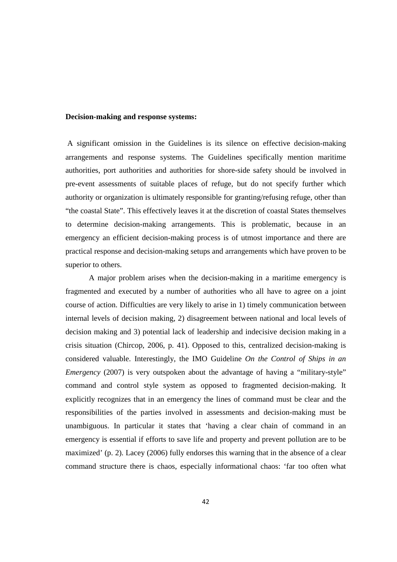## **Decision-making and response systems:**

 A significant omission in the Guidelines is its silence on effective decision-making arrangements and response systems. The Guidelines specifically mention maritime authorities, port authorities and authorities for shore-side safety should be involved in pre-event assessments of suitable places of refuge, but do not specify further which authority or organization is ultimately responsible for granting/refusing refuge, other than "the coastal State". This effectively leaves it at the discretion of coastal States themselves to determine decision-making arrangements. This is problematic, because in an emergency an efficient decision-making process is of utmost importance and there are practical response and decision-making setups and arrangements which have proven to be superior to others.

 A major problem arises when the decision-making in a maritime emergency is fragmented and executed by a number of authorities who all have to agree on a joint course of action. Difficulties are very likely to arise in 1) timely communication between internal levels of decision making, 2) disagreement between national and local levels of decision making and 3) potential lack of leadership and indecisive decision making in a crisis situation (Chircop, 2006, p. 41). Opposed to this, centralized decision-making is considered valuable. Interestingly, the IMO Guideline *On the Control of Ships in an Emergency* (2007) is very outspoken about the advantage of having a "military-style" command and control style system as opposed to fragmented decision-making. It explicitly recognizes that in an emergency the lines of command must be clear and the responsibilities of the parties involved in assessments and decision-making must be unambiguous. In particular it states that 'having a clear chain of command in an emergency is essential if efforts to save life and property and prevent pollution are to be maximized' (p. 2). Lacey (2006) fully endorses this warning that in the absence of a clear command structure there is chaos, especially informational chaos: 'far too often what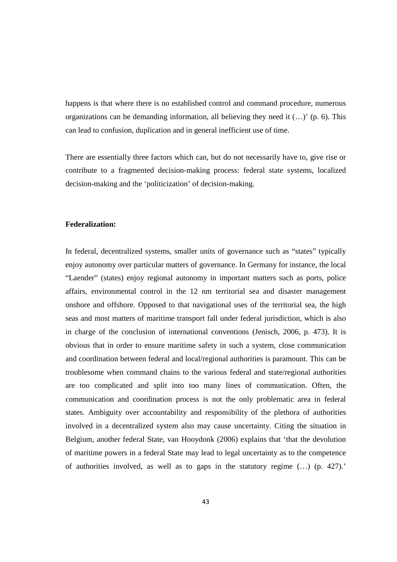happens is that where there is no established control and command procedure, numerous organizations can be demanding information, all believing they need it (…)' (p. 6). This can lead to confusion, duplication and in general inefficient use of time.

There are essentially three factors which can, but do not necessarily have to, give rise or contribute to a fragmented decision-making process: federal state systems, localized decision-making and the 'politicization' of decision-making.

## **Federalization:**

In federal, decentralized systems, smaller units of governance such as "states" typically enjoy autonomy over particular matters of governance. In Germany for instance, the local "Laender" (states) enjoy regional autonomy in important matters such as ports, police affairs, environmental control in the 12 nm territorial sea and disaster management onshore and offshore. Opposed to that navigational uses of the territorial sea, the high seas and most matters of maritime transport fall under federal jurisdiction, which is also in charge of the conclusion of international conventions (Jenisch, 2006, p. 473). It is obvious that in order to ensure maritime safety in such a system, close communication and coordination between federal and local/regional authorities is paramount. This can be troublesome when command chains to the various federal and state/regional authorities are too complicated and split into too many lines of communication. Often, the communication and coordination process is not the only problematic area in federal states. Ambiguity over accountability and responsibility of the plethora of authorities involved in a decentralized system also may cause uncertainty. Citing the situation in Belgium, another federal State, van Hooydonk (2006) explains that 'that the devolution of maritime powers in a federal State may lead to legal uncertainty as to the competence of authorities involved, as well as to gaps in the statutory regime (…) (p. 427).'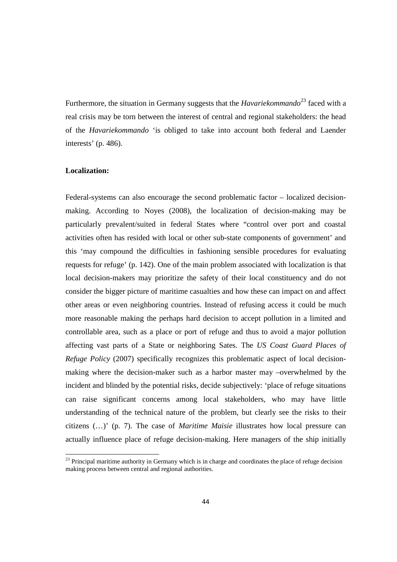Furthermore, the situation in Germany suggests that the *Havariekommando*<sup>23</sup> faced with a real crisis may be torn between the interest of central and regional stakeholders: the head of the *Havariekommando* 'is obliged to take into account both federal and Laender interests' (p. 486).

#### **Localization:**

<u>.</u>

Federal-systems can also encourage the second problematic factor – localized decisionmaking. According to Noyes (2008), the localization of decision-making may be particularly prevalent/suited in federal States where "control over port and coastal activities often has resided with local or other sub-state components of government' and this 'may compound the difficulties in fashioning sensible procedures for evaluating requests for refuge' (p. 142). One of the main problem associated with localization is that local decision-makers may prioritize the safety of their local constituency and do not consider the bigger picture of maritime casualties and how these can impact on and affect other areas or even neighboring countries. Instead of refusing access it could be much more reasonable making the perhaps hard decision to accept pollution in a limited and controllable area, such as a place or port of refuge and thus to avoid a major pollution affecting vast parts of a State or neighboring Sates. The *US Coast Guard Places of Refuge Policy* (2007) specifically recognizes this problematic aspect of local decisionmaking where the decision-maker such as a harbor master may –overwhelmed by the incident and blinded by the potential risks, decide subjectively: 'place of refuge situations can raise significant concerns among local stakeholders, who may have little understanding of the technical nature of the problem, but clearly see the risks to their citizens (…)' (p. 7). The case of *Maritime Maisie* illustrates how local pressure can actually influence place of refuge decision-making. Here managers of the ship initially

<sup>&</sup>lt;sup>23</sup> Principal maritime authority in Germany which is in charge and coordinates the place of refuge decision making process between central and regional authorities.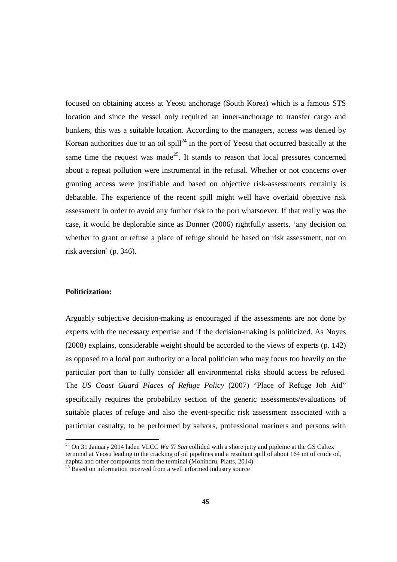focused on obtaining access at Yeosu anchorage (South Korea) which is a famous STS location and since the vessel only required an inner-anchorage to transfer cargo and bunkers, this was a suitable location. According to the managers, access was denied by Korean authorities due to an oil spill<sup>24</sup> in the port of Yeosu that occurred basically at the same time the request was made<sup>25</sup>. It stands to reason that local pressures concerned about a repeat pollution were instrumental in the refusal. Whether or not concerns over granting access were justifiable and based on objective risk-assessments certainly is debatable. The experience of the recent spill might well have overlaid objective risk assessment in order to avoid any further risk to the port whatsoever. If that really was the case, it would be deplorable since as Donner (2006) rightfully asserts, 'any decision on whether to grant or refuse a place of refuge should be based on risk assessment, not on risk aversion' (p. 346).

## **Politicization:**

<u>.</u>

Arguably subjective decision-making is encouraged if the assessments are not done by experts with the necessary expertise and if the decision-making is politicized. As Noyes (2008) explains, considerable weight should be accorded to the views of experts (p. 142) as opposed to a local port authority or a local politician who may focus too heavily on the particular port than to fully consider all environmental risks should access be refused. The *US Coast Guard Places of Refuge Policy* (2007) "Place of Refuge Job Aid" specifically requires the probability section of the generic assessments/evaluations of suitable places of refuge and also the event-specific risk assessment associated with a particular casualty, to be performed by salvors, professional mariners and persons with

<sup>24</sup> On 31 January 2014 laden VLCC *Wu Yi San* collided with a shore jetty and pipleine at the GS Caltex terminal at Yeosu leading to the cracking of oil pipelines and a resultant spill of about 164 mt of crude oil,

naphta and other compounds from the terminal (Mohindru, Platts, 2014)

 $25$  Based on information received from a well informed industry source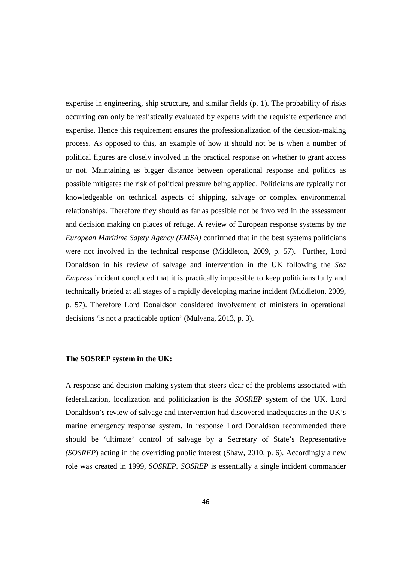expertise in engineering, ship structure, and similar fields (p. 1). The probability of risks occurring can only be realistically evaluated by experts with the requisite experience and expertise. Hence this requirement ensures the professionalization of the decision-making process. As opposed to this, an example of how it should not be is when a number of political figures are closely involved in the practical response on whether to grant access or not. Maintaining as bigger distance between operational response and politics as possible mitigates the risk of political pressure being applied. Politicians are typically not knowledgeable on technical aspects of shipping, salvage or complex environmental relationships. Therefore they should as far as possible not be involved in the assessment and decision making on places of refuge. A review of European response systems by *the European Maritime Safety Agency (EMSA)* confirmed that in the best systems politicians were not involved in the technical response (Middleton, 2009, p. 57). Further, Lord Donaldson in his review of salvage and intervention in the UK following the *Sea Empress* incident concluded that it is practically impossible to keep politicians fully and technically briefed at all stages of a rapidly developing marine incident (Middleton, 2009, p. 57). Therefore Lord Donaldson considered involvement of ministers in operational decisions 'is not a practicable option' (Mulvana, 2013, p. 3).

#### **The SOSREP system in the UK:**

A response and decision-making system that steers clear of the problems associated with federalization, localization and politicization is the *SOSREP* system of the UK. Lord Donaldson's review of salvage and intervention had discovered inadequacies in the UK's marine emergency response system. In response Lord Donaldson recommended there should be 'ultimate' control of salvage by a Secretary of State's Representative *(SOSREP*) acting in the overriding public interest (Shaw, 2010, p. 6). Accordingly a new role was created in 1999, *SOSREP. SOSREP* is essentially a single incident commander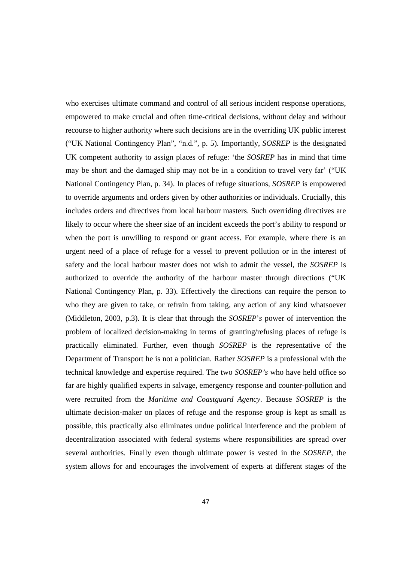who exercises ultimate command and control of all serious incident response operations, empowered to make crucial and often time-critical decisions, without delay and without recourse to higher authority where such decisions are in the overriding UK public interest ("UK National Contingency Plan", "n.d.", p. 5). Importantly, *SOSREP* is the designated UK competent authority to assign places of refuge: 'the *SOSREP* has in mind that time may be short and the damaged ship may not be in a condition to travel very far' ("UK National Contingency Plan, p. 34). In places of refuge situations, *SOSREP* is empowered to override arguments and orders given by other authorities or individuals. Crucially, this includes orders and directives from local harbour masters. Such overriding directives are likely to occur where the sheer size of an incident exceeds the port's ability to respond or when the port is unwilling to respond or grant access. For example, where there is an urgent need of a place of refuge for a vessel to prevent pollution or in the interest of safety and the local harbour master does not wish to admit the vessel, the *SOSREP* is authorized to override the authority of the harbour master through directions ("UK National Contingency Plan, p. 33). Effectively the directions can require the person to who they are given to take, or refrain from taking, any action of any kind whatsoever (Middleton, 2003, p.3). It is clear that through the *SOSREP*'*s* power of intervention the problem of localized decision-making in terms of granting/refusing places of refuge is practically eliminated. Further, even though *SOSREP* is the representative of the Department of Transport he is not a politician. Rather *SOSREP* is a professional with the technical knowledge and expertise required. The two *SOSREP's* who have held office so far are highly qualified experts in salvage, emergency response and counter-pollution and were recruited from the *Maritime and Coastguard Agency*. Because *SOSREP* is the ultimate decision-maker on places of refuge and the response group is kept as small as possible, this practically also eliminates undue political interference and the problem of decentralization associated with federal systems where responsibilities are spread over several authorities. Finally even though ultimate power is vested in the *SOSREP*, the system allows for and encourages the involvement of experts at different stages of the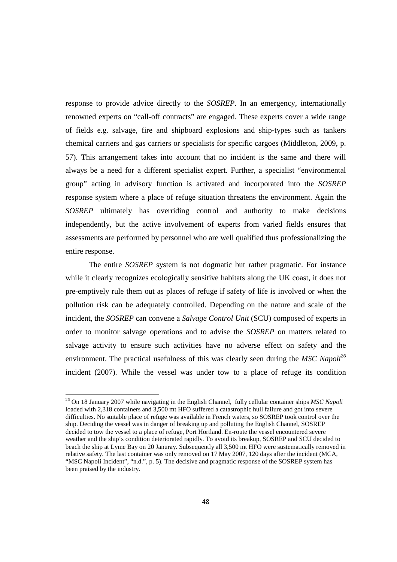response to provide advice directly to the *SOSREP*. In an emergency, internationally renowned experts on "call-off contracts" are engaged. These experts cover a wide range of fields e.g. salvage, fire and shipboard explosions and ship-types such as tankers chemical carriers and gas carriers or specialists for specific cargoes (Middleton, 2009, p. 57). This arrangement takes into account that no incident is the same and there will always be a need for a different specialist expert. Further, a specialist "environmental group" acting in advisory function is activated and incorporated into the *SOSREP*  response system where a place of refuge situation threatens the environment. Again the *SOSREP* ultimately has overriding control and authority to make decisions independently, but the active involvement of experts from varied fields ensures that assessments are performed by personnel who are well qualified thus professionalizing the entire response.

 The entire *SOSREP* system is not dogmatic but rather pragmatic. For instance while it clearly recognizes ecologically sensitive habitats along the UK coast, it does not pre-emptively rule them out as places of refuge if safety of life is involved or when the pollution risk can be adequately controlled. Depending on the nature and scale of the incident, the *SOSREP* can convene a *Salvage Control Unit* (SCU) composed of experts in order to monitor salvage operations and to advise the *SOSREP* on matters related to salvage activity to ensure such activities have no adverse effect on safety and the environment. The practical usefulness of this was clearly seen during the *MSC Napoli<sup>26</sup>* incident (2007). While the vessel was under tow to a place of refuge its condition

<sup>26</sup> On 18 January 2007 while navigating in the English Channel, fully cellular container ships *MSC Napoli* loaded with 2,318 containers and 3,500 mt HFO suffered a catastrophic hull failure and got into severe difficulties. No suitable place of refuge was available in French waters, so SOSREP took control over the ship. Deciding the vessel was in danger of breaking up and polluting the English Channel, SOSREP decided to tow the vessel to a place of refuge, Port Hortland. En-route the vessel encountered severe weather and the ship's condition deteriorated rapidly. To avoid its breakup, SOSREP and SCU decided to beach the ship at Lyme Bay on 20 Januray. Subsequently all 3,500 mt HFO were sustematically removed in relative safety. The last container was only removed on 17 May 2007, 120 days after the incident (MCA, "MSC Napoli Incident", "n.d.", p. 5). The decisive and pragmatic response of the SOSREP system has been praised by the industry.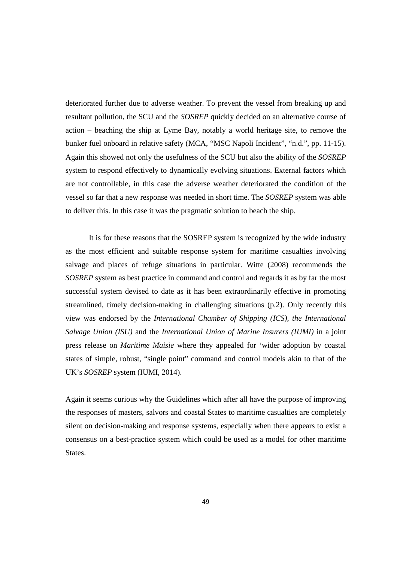deteriorated further due to adverse weather. To prevent the vessel from breaking up and resultant pollution, the SCU and the *SOSREP* quickly decided on an alternative course of action – beaching the ship at Lyme Bay, notably a world heritage site, to remove the bunker fuel onboard in relative safety (MCA, "MSC Napoli Incident", "n.d.", pp. 11-15). Again this showed not only the usefulness of the SCU but also the ability of the *SOSREP* system to respond effectively to dynamically evolving situations. External factors which are not controllable, in this case the adverse weather deteriorated the condition of the vessel so far that a new response was needed in short time. The *SOSREP* system was able to deliver this. In this case it was the pragmatic solution to beach the ship.

 It is for these reasons that the SOSREP system is recognized by the wide industry as the most efficient and suitable response system for maritime casualties involving salvage and places of refuge situations in particular. Witte (2008) recommends the *SOSREP* system as best practice in command and control and regards it as by far the most successful system devised to date as it has been extraordinarily effective in promoting streamlined, timely decision-making in challenging situations (p.2). Only recently this view was endorsed by the *International Chamber of Shipping (ICS), the International Salvage Union (ISU)* and the *International Union of Marine Insurers (IUMI)* in a joint press release on *Maritime Maisie* where they appealed for 'wider adoption by coastal states of simple, robust, "single point" command and control models akin to that of the UK's *SOSREP* system (IUMI, 2014).

Again it seems curious why the Guidelines which after all have the purpose of improving the responses of masters, salvors and coastal States to maritime casualties are completely silent on decision-making and response systems, especially when there appears to exist a consensus on a best-practice system which could be used as a model for other maritime States.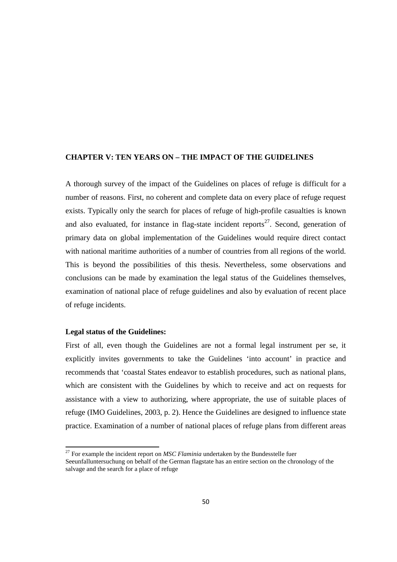## **CHAPTER V: TEN YEARS ON – THE IMPACT OF THE GUIDELINES**

A thorough survey of the impact of the Guidelines on places of refuge is difficult for a number of reasons. First, no coherent and complete data on every place of refuge request exists. Typically only the search for places of refuge of high-profile casualties is known and also evaluated, for instance in flag-state incident reports<sup>27</sup>. Second, generation of primary data on global implementation of the Guidelines would require direct contact with national maritime authorities of a number of countries from all regions of the world. This is beyond the possibilities of this thesis. Nevertheless, some observations and conclusions can be made by examination the legal status of the Guidelines themselves, examination of national place of refuge guidelines and also by evaluation of recent place of refuge incidents.

## **Legal status of the Guidelines:**

<u>.</u>

First of all, even though the Guidelines are not a formal legal instrument per se, it explicitly invites governments to take the Guidelines 'into account' in practice and recommends that 'coastal States endeavor to establish procedures, such as national plans, which are consistent with the Guidelines by which to receive and act on requests for assistance with a view to authorizing, where appropriate, the use of suitable places of refuge (IMO Guidelines, 2003, p. 2). Hence the Guidelines are designed to influence state practice. Examination of a number of national places of refuge plans from different areas

 $27$  For example the incident report on *MSC Flaminia* undertaken by the Bundesstelle fuer Seeunfalluntersuchung on behalf of the German flagstate has an entire section on the chronology of the salvage and the search for a place of refuge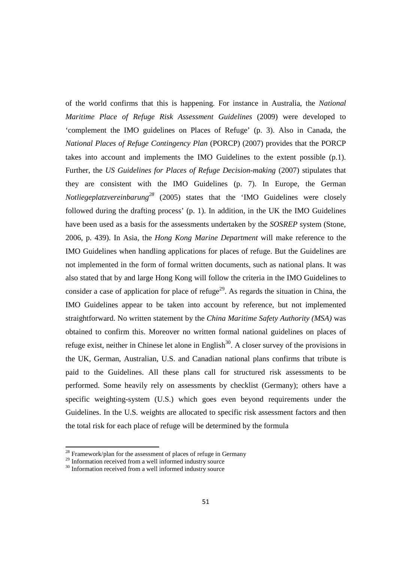of the world confirms that this is happening. For instance in Australia, the *National Maritime Place of Refuge Risk Assessment Guidelines* (2009) were developed to 'complement the IMO guidelines on Places of Refuge' (p. 3). Also in Canada, the *National Places of Refuge Contingency Plan* (PORCP) (2007) provides that the PORCP takes into account and implements the IMO Guidelines to the extent possible (p.1). Further, the *US Guidelines for Places of Refuge Decision-making* (2007) stipulates that they are consistent with the IMO Guidelines (p. 7). In Europe, the German *Notliegeplatzvereinbarung<sup>28</sup>* (2005) states that the 'IMO Guidelines were closely followed during the drafting process' (p. 1). In addition, in the UK the IMO Guidelines have been used as a basis for the assessments undertaken by the *SOSREP* system (Stone, 2006, p. 439). In Asia, the *Hong Kong Marine Department* will make reference to the IMO Guidelines when handling applications for places of refuge. But the Guidelines are not implemented in the form of formal written documents, such as national plans. It was also stated that by and large Hong Kong will follow the criteria in the IMO Guidelines to consider a case of application for place of refuge<sup>29</sup>. As regards the situation in China, the IMO Guidelines appear to be taken into account by reference, but not implemented straightforward. No written statement by the *China Maritime Safety Authority (MSA)* was obtained to confirm this. Moreover no written formal national guidelines on places of refuge exist, neither in Chinese let alone in English $30$ . A closer survey of the provisions in the UK, German, Australian, U.S. and Canadian national plans confirms that tribute is paid to the Guidelines. All these plans call for structured risk assessments to be performed. Some heavily rely on assessments by checklist (Germany); others have a specific weighting-system (U.S.) which goes even beyond requirements under the Guidelines. In the U.S. weights are allocated to specific risk assessment factors and then the total risk for each place of refuge will be determined by the formula

 $^{28}$  Framework/plan for the assessment of places of refuge in Germany

<sup>&</sup>lt;sup>29</sup> Information received from a well informed industry source

 $30$  Information received from a well informed industry source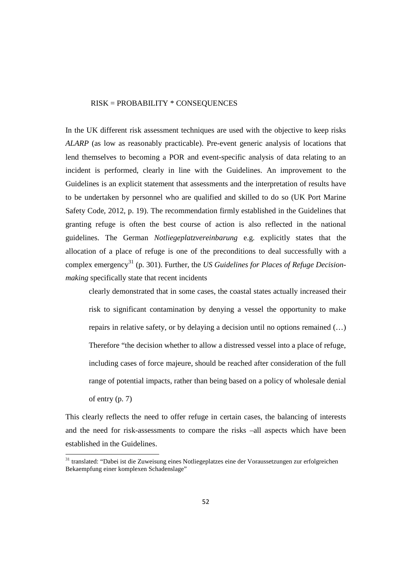#### RISK = PROBABILITY \* CONSEQUENCES

In the UK different risk assessment techniques are used with the objective to keep risks *ALARP* (as low as reasonably practicable). Pre-event generic analysis of locations that lend themselves to becoming a POR and event-specific analysis of data relating to an incident is performed, clearly in line with the Guidelines. An improvement to the Guidelines is an explicit statement that assessments and the interpretation of results have to be undertaken by personnel who are qualified and skilled to do so (UK Port Marine Safety Code, 2012, p. 19). The recommendation firmly established in the Guidelines that granting refuge is often the best course of action is also reflected in the national guidelines. The German *Notliegeplatzvereinbarung* e.g. explicitly states that the allocation of a place of refuge is one of the preconditions to deal successfully with a complex emergency<sup>31</sup> (p. 301). Further, the *US Guidelines for Places of Refuge Decisionmaking* specifically state that recent incidents

clearly demonstrated that in some cases, the coastal states actually increased their risk to significant contamination by denying a vessel the opportunity to make repairs in relative safety, or by delaying a decision until no options remained (…) Therefore "the decision whether to allow a distressed vessel into a place of refuge, including cases of force majeure, should be reached after consideration of the full range of potential impacts, rather than being based on a policy of wholesale denial of entry (p. 7)

This clearly reflects the need to offer refuge in certain cases, the balancing of interests and the need for risk-assessments to compare the risks –all aspects which have been established in the Guidelines.

<sup>&</sup>lt;sup>31</sup> translated: "Dabei ist die Zuweisung eines Notliegeplatzes eine der Voraussetzungen zur erfolgreichen Bekaempfung einer komplexen Schadenslage"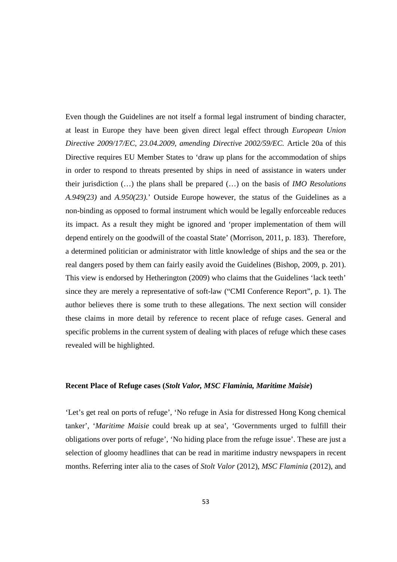Even though the Guidelines are not itself a formal legal instrument of binding character, at least in Europe they have been given direct legal effect through *European Union Directive 2009/17/EC, 23.04.2009, amending Directive 2002/59/EC.* Article 20a of this Directive requires EU Member States to 'draw up plans for the accommodation of ships in order to respond to threats presented by ships in need of assistance in waters under their jurisdiction (…) the plans shall be prepared (…) on the basis of *IMO Resolutions A.949(23)* and *A.950(23).*' Outside Europe however, the status of the Guidelines as a non-binding as opposed to formal instrument which would be legally enforceable reduces its impact. As a result they might be ignored and 'proper implementation of them will depend entirely on the goodwill of the coastal State' (Morrison, 2011, p. 183). Therefore, a determined politician or administrator with little knowledge of ships and the sea or the real dangers posed by them can fairly easily avoid the Guidelines (Bishop, 2009, p. 201). This view is endorsed by Hetherington (2009) who claims that the Guidelines 'lack teeth' since they are merely a representative of soft-law ("CMI Conference Report", p. 1). The author believes there is some truth to these allegations. The next section will consider these claims in more detail by reference to recent place of refuge cases. General and specific problems in the current system of dealing with places of refuge which these cases revealed will be highlighted.

## **Recent Place of Refuge cases (***Stolt Valor, MSC Flaminia, Maritime Maisie***)**

'Let's get real on ports of refuge', 'No refuge in Asia for distressed Hong Kong chemical tanker', '*Maritime Maisie* could break up at sea', 'Governments urged to fulfill their obligations over ports of refuge', 'No hiding place from the refuge issue'. These are just a selection of gloomy headlines that can be read in maritime industry newspapers in recent months. Referring inter alia to the cases of *Stolt Valor* (2012), *MSC Flaminia* (2012), and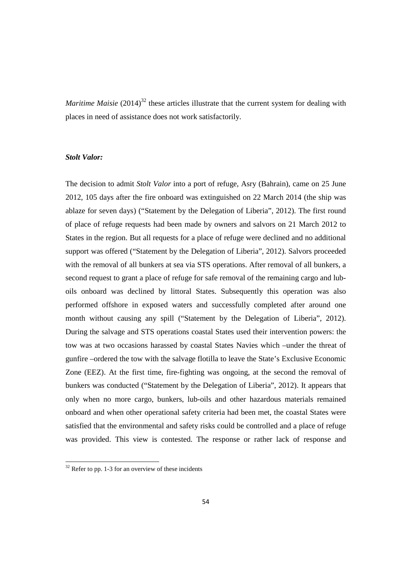*Maritime Maisie* (2014)<sup>32</sup> these articles illustrate that the current system for dealing with places in need of assistance does not work satisfactorily.

# *Stolt Valor:*

The decision to admit *Stolt Valor* into a port of refuge, Asry (Bahrain), came on 25 June 2012, 105 days after the fire onboard was extinguished on 22 March 2014 (the ship was ablaze for seven days) ("Statement by the Delegation of Liberia", 2012). The first round of place of refuge requests had been made by owners and salvors on 21 March 2012 to States in the region. But all requests for a place of refuge were declined and no additional support was offered ("Statement by the Delegation of Liberia", 2012). Salvors proceeded with the removal of all bunkers at sea via STS operations. After removal of all bunkers, a second request to grant a place of refuge for safe removal of the remaining cargo and luboils onboard was declined by littoral States. Subsequently this operation was also performed offshore in exposed waters and successfully completed after around one month without causing any spill ("Statement by the Delegation of Liberia", 2012). During the salvage and STS operations coastal States used their intervention powers: the tow was at two occasions harassed by coastal States Navies which –under the threat of gunfire –ordered the tow with the salvage flotilla to leave the State's Exclusive Economic Zone (EEZ). At the first time, fire-fighting was ongoing, at the second the removal of bunkers was conducted ("Statement by the Delegation of Liberia", 2012). It appears that only when no more cargo, bunkers, lub-oils and other hazardous materials remained onboard and when other operational safety criteria had been met, the coastal States were satisfied that the environmental and safety risks could be controlled and a place of refuge was provided. This view is contested. The response or rather lack of response and

 $32$  Refer to pp. 1-3 for an overview of these incidents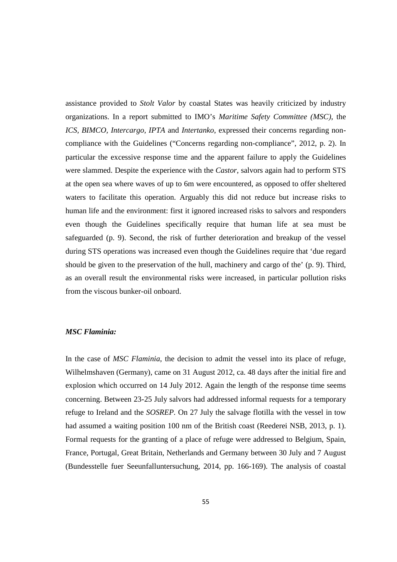assistance provided to *Stolt Valor* by coastal States was heavily criticized by industry organizations. In a report submitted to IMO's *Maritime Safety Committee (MSC)*, the *ICS, BIMCO, Intercargo, IPTA* and *Intertanko*, expressed their concerns regarding noncompliance with the Guidelines ("Concerns regarding non-compliance", 2012, p. 2). In particular the excessive response time and the apparent failure to apply the Guidelines were slammed. Despite the experience with the *Castor*, salvors again had to perform STS at the open sea where waves of up to 6m were encountered, as opposed to offer sheltered waters to facilitate this operation. Arguably this did not reduce but increase risks to human life and the environment: first it ignored increased risks to salvors and responders even though the Guidelines specifically require that human life at sea must be safeguarded (p. 9). Second, the risk of further deterioration and breakup of the vessel during STS operations was increased even though the Guidelines require that 'due regard should be given to the preservation of the hull, machinery and cargo of the' (p. 9). Third, as an overall result the environmental risks were increased, in particular pollution risks from the viscous bunker-oil onboard.

# *MSC Flaminia:*

In the case of *MSC Flaminia*, the decision to admit the vessel into its place of refuge, Wilhelmshaven (Germany), came on 31 August 2012, ca. 48 days after the initial fire and explosion which occurred on 14 July 2012. Again the length of the response time seems concerning. Between 23-25 July salvors had addressed informal requests for a temporary refuge to Ireland and the *SOSREP.* On 27 July the salvage flotilla with the vessel in tow had assumed a waiting position 100 nm of the British coast (Reederei NSB, 2013, p. 1). Formal requests for the granting of a place of refuge were addressed to Belgium, Spain, France, Portugal, Great Britain, Netherlands and Germany between 30 July and 7 August (Bundesstelle fuer Seeunfalluntersuchung, 2014, pp. 166-169). The analysis of coastal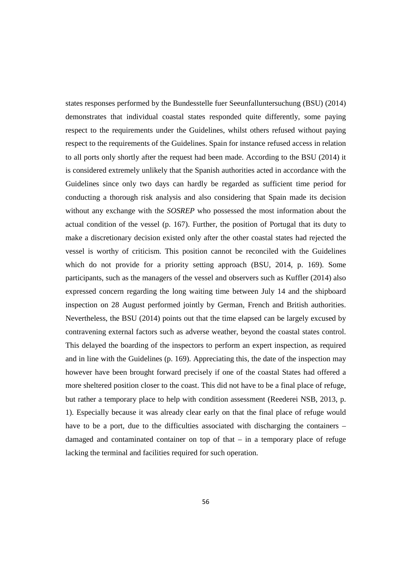states responses performed by the Bundesstelle fuer Seeunfalluntersuchung (BSU) (2014) demonstrates that individual coastal states responded quite differently, some paying respect to the requirements under the Guidelines, whilst others refused without paying respect to the requirements of the Guidelines. Spain for instance refused access in relation to all ports only shortly after the request had been made. According to the BSU (2014) it is considered extremely unlikely that the Spanish authorities acted in accordance with the Guidelines since only two days can hardly be regarded as sufficient time period for conducting a thorough risk analysis and also considering that Spain made its decision without any exchange with the *SOSREP* who possessed the most information about the actual condition of the vessel (p. 167). Further, the position of Portugal that its duty to make a discretionary decision existed only after the other coastal states had rejected the vessel is worthy of criticism. This position cannot be reconciled with the Guidelines which do not provide for a priority setting approach (BSU, 2014, p. 169). Some participants, such as the managers of the vessel and observers such as Kuffler (2014) also expressed concern regarding the long waiting time between July 14 and the shipboard inspection on 28 August performed jointly by German, French and British authorities. Nevertheless, the BSU (2014) points out that the time elapsed can be largely excused by contravening external factors such as adverse weather, beyond the coastal states control. This delayed the boarding of the inspectors to perform an expert inspection, as required and in line with the Guidelines (p. 169). Appreciating this, the date of the inspection may however have been brought forward precisely if one of the coastal States had offered a more sheltered position closer to the coast. This did not have to be a final place of refuge, but rather a temporary place to help with condition assessment (Reederei NSB, 2013, p. 1). Especially because it was already clear early on that the final place of refuge would have to be a port, due to the difficulties associated with discharging the containers – damaged and contaminated container on top of that – in a temporary place of refuge lacking the terminal and facilities required for such operation.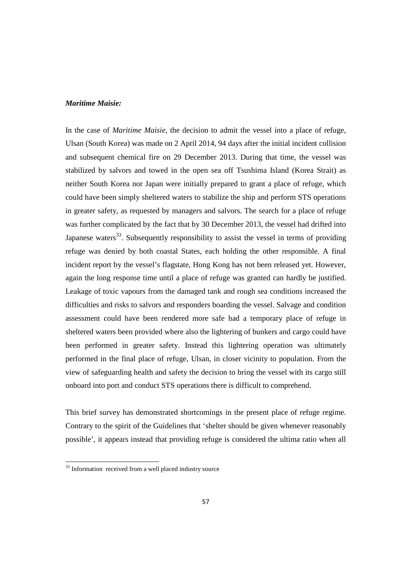## *Maritime Maisie:*

In the case of *Maritime Maisie*, the decision to admit the vessel into a place of refuge, Ulsan (South Korea) was made on 2 April 2014, 94 days after the initial incident collision and subsequent chemical fire on 29 December 2013. During that time, the vessel was stabilized by salvors and towed in the open sea off Tsushima Island (Korea Strait) as neither South Korea nor Japan were initially prepared to grant a place of refuge, which could have been simply sheltered waters to stabilize the ship and perform STS operations in greater safety, as requested by managers and salvors. The search for a place of refuge was further complicated by the fact that by 30 December 2013, the vessel had drifted into Japanese waters<sup>33</sup>. Subsequently responsibility to assist the vessel in terms of providing refuge was denied by both coastal States, each holding the other responsible. A final incident report by the vessel's flagstate, Hong Kong has not been released yet. However, again the long response time until a place of refuge was granted can hardly be justified. Leakage of toxic vapours from the damaged tank and rough sea conditions increased the difficulties and risks to salvors and responders boarding the vessel. Salvage and condition assessment could have been rendered more safe had a temporary place of refuge in sheltered waters been provided where also the lightering of bunkers and cargo could have been performed in greater safety. Instead this lightering operation was ultimately performed in the final place of refuge, Ulsan, in closer vicinity to population. From the view of safeguarding health and safety the decision to bring the vessel with its cargo still onboard into port and conduct STS operations there is difficult to comprehend.

This brief survey has demonstrated shortcomings in the present place of refuge regime. Contrary to the spirit of the Guidelines that 'shelter should be given whenever reasonably possible', it appears instead that providing refuge is considered the ultima ratio when all

<sup>&</sup>lt;sup>33</sup> Information received from a well placed industry source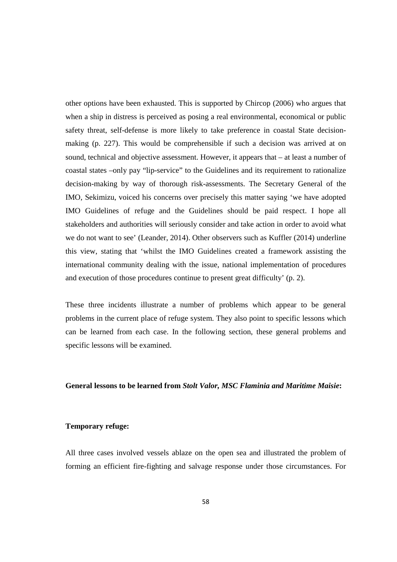other options have been exhausted. This is supported by Chircop (2006) who argues that when a ship in distress is perceived as posing a real environmental, economical or public safety threat, self-defense is more likely to take preference in coastal State decisionmaking (p. 227). This would be comprehensible if such a decision was arrived at on sound, technical and objective assessment. However, it appears that – at least a number of coastal states –only pay "lip-service" to the Guidelines and its requirement to rationalize decision-making by way of thorough risk-assessments. The Secretary General of the IMO, Sekimizu, voiced his concerns over precisely this matter saying 'we have adopted IMO Guidelines of refuge and the Guidelines should be paid respect. I hope all stakeholders and authorities will seriously consider and take action in order to avoid what we do not want to see' (Leander, 2014). Other observers such as Kuffler (2014) underline this view, stating that 'whilst the IMO Guidelines created a framework assisting the international community dealing with the issue, national implementation of procedures and execution of those procedures continue to present great difficulty' (p. 2).

These three incidents illustrate a number of problems which appear to be general problems in the current place of refuge system. They also point to specific lessons which can be learned from each case. In the following section, these general problems and specific lessons will be examined.

## **General lessons to be learned from** *Stolt Valor, MSC Flaminia and Maritime Maisie***:**

## **Temporary refuge:**

All three cases involved vessels ablaze on the open sea and illustrated the problem of forming an efficient fire-fighting and salvage response under those circumstances. For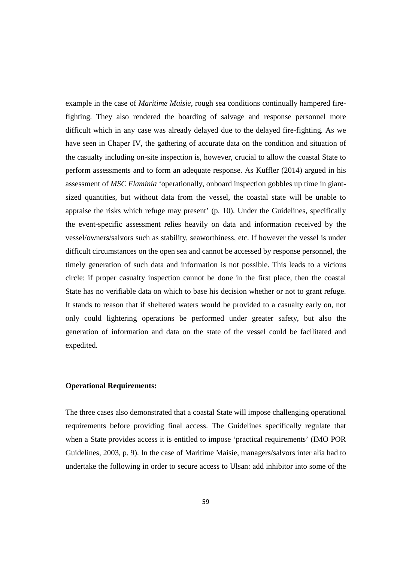example in the case of *Maritime Maisie*, rough sea conditions continually hampered firefighting. They also rendered the boarding of salvage and response personnel more difficult which in any case was already delayed due to the delayed fire-fighting. As we have seen in Chaper IV, the gathering of accurate data on the condition and situation of the casualty including on-site inspection is, however, crucial to allow the coastal State to perform assessments and to form an adequate response. As Kuffler (2014) argued in his assessment of *MSC Flaminia* 'operationally, onboard inspection gobbles up time in giantsized quantities, but without data from the vessel, the coastal state will be unable to appraise the risks which refuge may present' (p. 10). Under the Guidelines, specifically the event-specific assessment relies heavily on data and information received by the vessel/owners/salvors such as stability, seaworthiness, etc. If however the vessel is under difficult circumstances on the open sea and cannot be accessed by response personnel, the timely generation of such data and information is not possible. This leads to a vicious circle: if proper casualty inspection cannot be done in the first place, then the coastal State has no verifiable data on which to base his decision whether or not to grant refuge. It stands to reason that if sheltered waters would be provided to a casualty early on, not only could lightering operations be performed under greater safety, but also the generation of information and data on the state of the vessel could be facilitated and expedited.

## **Operational Requirements:**

The three cases also demonstrated that a coastal State will impose challenging operational requirements before providing final access. The Guidelines specifically regulate that when a State provides access it is entitled to impose 'practical requirements' (IMO POR Guidelines, 2003, p. 9). In the case of Maritime Maisie, managers/salvors inter alia had to undertake the following in order to secure access to Ulsan: add inhibitor into some of the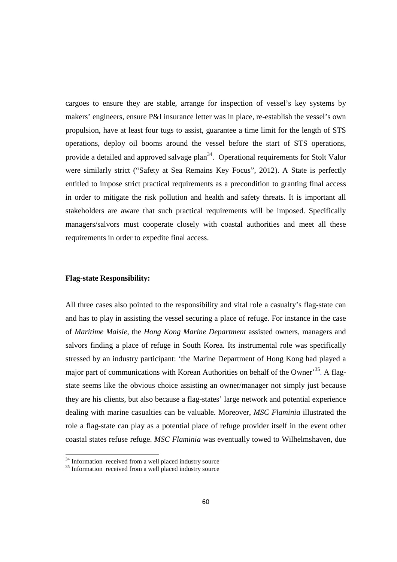cargoes to ensure they are stable, arrange for inspection of vessel's key systems by makers' engineers, ensure P&I insurance letter was in place, re-establish the vessel's own propulsion, have at least four tugs to assist, guarantee a time limit for the length of STS operations, deploy oil booms around the vessel before the start of STS operations, provide a detailed and approved salvage plan<sup>34</sup>. Operational requirements for Stolt Valor were similarly strict ("Safety at Sea Remains Key Focus", 2012). A State is perfectly entitled to impose strict practical requirements as a precondition to granting final access in order to mitigate the risk pollution and health and safety threats. It is important all stakeholders are aware that such practical requirements will be imposed. Specifically managers/salvors must cooperate closely with coastal authorities and meet all these requirements in order to expedite final access.

## **Flag-state Responsibility:**

<u>.</u>

All three cases also pointed to the responsibility and vital role a casualty's flag-state can and has to play in assisting the vessel securing a place of refuge. For instance in the case of *Maritime Maisie*, the *Hong Kong Marine Department* assisted owners, managers and salvors finding a place of refuge in South Korea. Its instrumental role was specifically stressed by an industry participant: 'the Marine Department of Hong Kong had played a major part of communications with Korean Authorities on behalf of the Owner<sup>35</sup>. A flagstate seems like the obvious choice assisting an owner/manager not simply just because they are his clients, but also because a flag-states' large network and potential experience dealing with marine casualties can be valuable. Moreover, *MSC Flaminia* illustrated the role a flag-state can play as a potential place of refuge provider itself in the event other coastal states refuse refuge. *MSC Flaminia* was eventually towed to Wilhelmshaven, due

<sup>&</sup>lt;sup>34</sup> Information received from a well placed industry source

<sup>&</sup>lt;sup>35</sup> Information received from a well placed industry source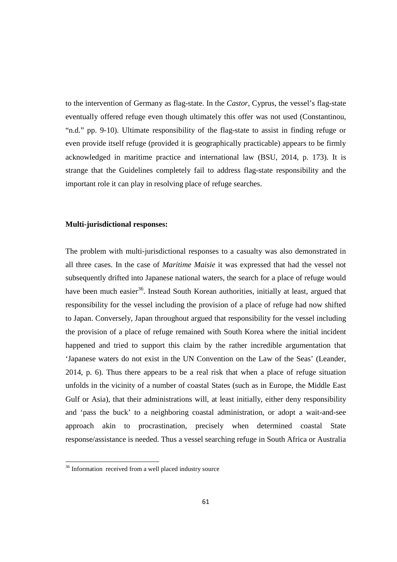to the intervention of Germany as flag-state. In the *Castor*, Cyprus, the vessel's flag-state eventually offered refuge even though ultimately this offer was not used (Constantinou, "n.d." pp. 9-10). Ultimate responsibility of the flag-state to assist in finding refuge or even provide itself refuge (provided it is geographically practicable) appears to be firmly acknowledged in maritime practice and international law (BSU, 2014, p. 173). It is strange that the Guidelines completely fail to address flag-state responsibility and the important role it can play in resolving place of refuge searches.

## **Multi-jurisdictional responses:**

The problem with multi-jurisdictional responses to a casualty was also demonstrated in all three cases. In the case of *Maritime Maisie* it was expressed that had the vessel not subsequently drifted into Japanese national waters, the search for a place of refuge would have been much easier<sup>36</sup>. Instead South Korean authorities, initially at least, argued that responsibility for the vessel including the provision of a place of refuge had now shifted to Japan. Conversely, Japan throughout argued that responsibility for the vessel including the provision of a place of refuge remained with South Korea where the initial incident happened and tried to support this claim by the rather incredible argumentation that 'Japanese waters do not exist in the UN Convention on the Law of the Seas' (Leander, 2014, p. 6). Thus there appears to be a real risk that when a place of refuge situation unfolds in the vicinity of a number of coastal States (such as in Europe, the Middle East Gulf or Asia), that their administrations will, at least initially, either deny responsibility and 'pass the buck' to a neighboring coastal administration, or adopt a wait-and-see approach akin to procrastination, precisely when determined coastal State response/assistance is needed. Thus a vessel searching refuge in South Africa or Australia

<sup>&</sup>lt;sup>36</sup> Information received from a well placed industry source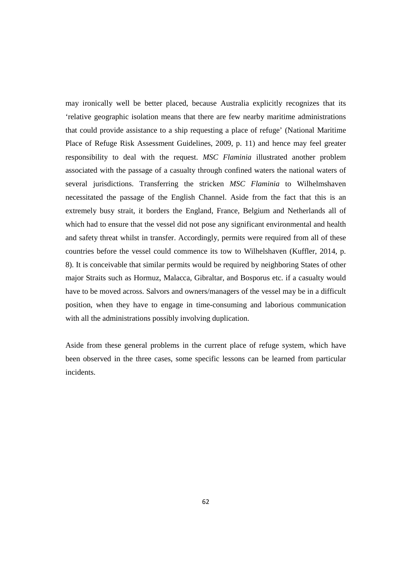may ironically well be better placed, because Australia explicitly recognizes that its 'relative geographic isolation means that there are few nearby maritime administrations that could provide assistance to a ship requesting a place of refuge' (National Maritime Place of Refuge Risk Assessment Guidelines, 2009, p. 11) and hence may feel greater responsibility to deal with the request. *MSC Flaminia* illustrated another problem associated with the passage of a casualty through confined waters the national waters of several jurisdictions. Transferring the stricken *MSC Flaminia* to Wilhelmshaven necessitated the passage of the English Channel. Aside from the fact that this is an extremely busy strait, it borders the England, France, Belgium and Netherlands all of which had to ensure that the vessel did not pose any significant environmental and health and safety threat whilst in transfer. Accordingly, permits were required from all of these countries before the vessel could commence its tow to Wilhelshaven (Kuffler, 2014, p. 8). It is conceivable that similar permits would be required by neighboring States of other major Straits such as Hormuz, Malacca, Gibraltar, and Bosporus etc. if a casualty would have to be moved across. Salvors and owners/managers of the vessel may be in a difficult position, when they have to engage in time-consuming and laborious communication with all the administrations possibly involving duplication.

Aside from these general problems in the current place of refuge system, which have been observed in the three cases, some specific lessons can be learned from particular incidents.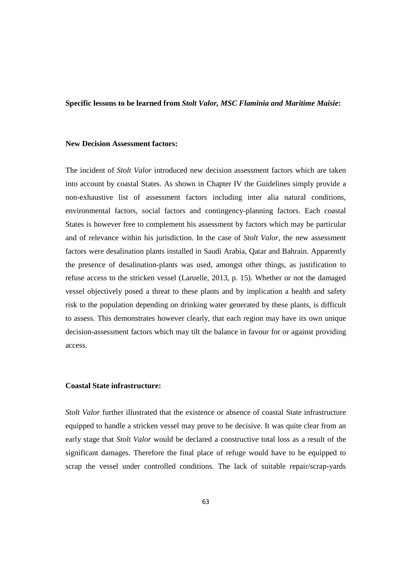#### **Specific lessons to be learned from** *Stolt Valor, MSC Flaminia and Maritime Maisie***:**

## **New Decision Assessment factors:**

The incident of *Stolt Valor* introduced new decision assessment factors which are taken into account by coastal States. As shown in Chapter IV the Guidelines simply provide a non-exhaustive list of assessment factors including inter alia natural conditions, environmental factors, social factors and contingency-planning factors. Each coastal States is however free to complement his assessment by factors which may be particular and of relevance within his jurisdiction. In the case of *Stolt Valor*, the new assessment factors were desalination plants installed in Saudi Arabia, Qatar and Bahrain. Apparently the presence of desalination-plants was used, amongst other things, as justification to refuse access to the stricken vessel (Laruelle, 2013, p. 15). Whether or not the damaged vessel objectively posed a threat to these plants and by implication a health and safety risk to the population depending on drinking water generated by these plants, is difficult to assess. This demonstrates however clearly, that each region may have its own unique decision-assessment factors which may tilt the balance in favour for or against providing access.

## **Coastal State infrastructure:**

*Stolt Valor* further illustrated that the existence or absence of coastal State infrastructure equipped to handle a stricken vessel may prove to be decisive. It was quite clear from an early stage that *Stolt Valor* would be declared a constructive total loss as a result of the significant damages. Therefore the final place of refuge would have to be equipped to scrap the vessel under controlled conditions. The lack of suitable repair/scrap-yards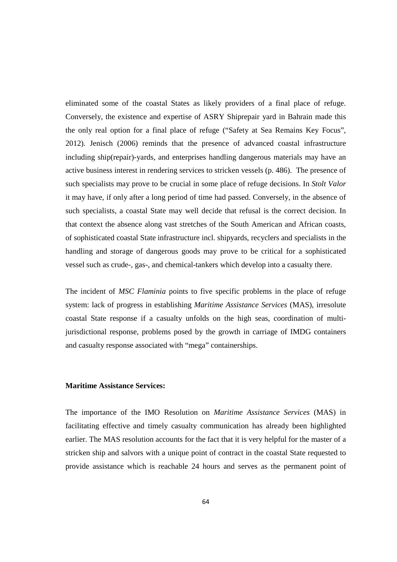eliminated some of the coastal States as likely providers of a final place of refuge. Conversely, the existence and expertise of ASRY Shiprepair yard in Bahrain made this the only real option for a final place of refuge ("Safety at Sea Remains Key Focus", 2012). Jenisch (2006) reminds that the presence of advanced coastal infrastructure including ship(repair)-yards, and enterprises handling dangerous materials may have an active business interest in rendering services to stricken vessels (p. 486). The presence of such specialists may prove to be crucial in some place of refuge decisions. In *Stolt Valor* it may have, if only after a long period of time had passed. Conversely, in the absence of such specialists, a coastal State may well decide that refusal is the correct decision. In that context the absence along vast stretches of the South American and African coasts, of sophisticated coastal State infrastructure incl. shipyards, recyclers and specialists in the handling and storage of dangerous goods may prove to be critical for a sophisticated vessel such as crude-, gas-, and chemical-tankers which develop into a casualty there.

The incident of *MSC Flaminia* points to five specific problems in the place of refuge system: lack of progress in establishing *Maritime Assistance Services* (MAS), irresolute coastal State response if a casualty unfolds on the high seas, coordination of multijurisdictional response, problems posed by the growth in carriage of IMDG containers and casualty response associated with "mega" containerships.

#### **Maritime Assistance Services:**

The importance of the IMO Resolution on *Maritime Assistance Services* (MAS) in facilitating effective and timely casualty communication has already been highlighted earlier. The MAS resolution accounts for the fact that it is very helpful for the master of a stricken ship and salvors with a unique point of contract in the coastal State requested to provide assistance which is reachable 24 hours and serves as the permanent point of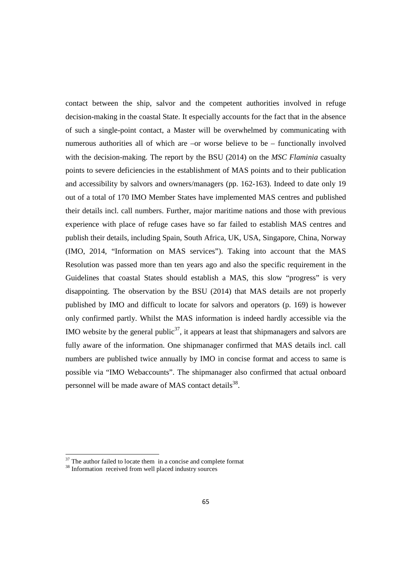contact between the ship, salvor and the competent authorities involved in refuge decision-making in the coastal State. It especially accounts for the fact that in the absence of such a single-point contact, a Master will be overwhelmed by communicating with numerous authorities all of which are  $-$ or worse believe to be  $-$  functionally involved with the decision-making. The report by the BSU (2014) on the *MSC Flaminia* casualty points to severe deficiencies in the establishment of MAS points and to their publication and accessibility by salvors and owners/managers (pp. 162-163). Indeed to date only 19 out of a total of 170 IMO Member States have implemented MAS centres and published their details incl. call numbers. Further, major maritime nations and those with previous experience with place of refuge cases have so far failed to establish MAS centres and publish their details, including Spain, South Africa, UK, USA, Singapore, China, Norway (IMO, 2014, "Information on MAS services"). Taking into account that the MAS Resolution was passed more than ten years ago and also the specific requirement in the Guidelines that coastal States should establish a MAS, this slow "progress" is very disappointing. The observation by the BSU (2014) that MAS details are not properly published by IMO and difficult to locate for salvors and operators (p. 169) is however only confirmed partly. Whilst the MAS information is indeed hardly accessible via the IMO website by the general public<sup>37</sup>, it appears at least that shipmanagers and salvors are fully aware of the information. One shipmanager confirmed that MAS details incl. call numbers are published twice annually by IMO in concise format and access to same is possible via "IMO Webaccounts". The shipmanager also confirmed that actual onboard personnel will be made aware of MAS contact details<sup>38</sup>.

 $37$  The author failed to locate them in a concise and complete format

<sup>&</sup>lt;sup>38</sup> Information received from well placed industry sources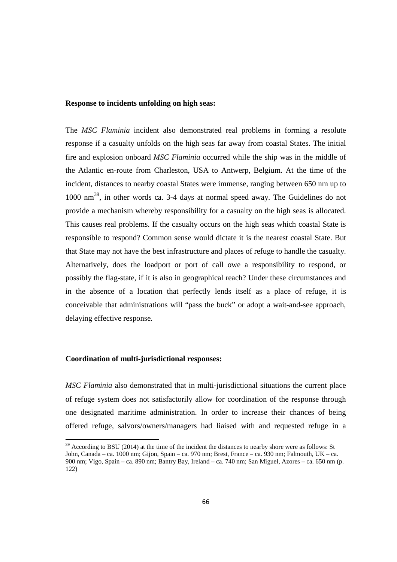#### **Response to incidents unfolding on high seas:**

The *MSC Flaminia* incident also demonstrated real problems in forming a resolute response if a casualty unfolds on the high seas far away from coastal States. The initial fire and explosion onboard *MSC Flaminia* occurred while the ship was in the middle of the Atlantic en-route from Charleston, USA to Antwerp, Belgium. At the time of the incident, distances to nearby coastal States were immense, ranging between 650 nm up to 1000 nm<sup>39</sup>, in other words ca. 3-4 days at normal speed away. The Guidelines do not provide a mechanism whereby responsibility for a casualty on the high seas is allocated. This causes real problems. If the casualty occurs on the high seas which coastal State is responsible to respond? Common sense would dictate it is the nearest coastal State. But that State may not have the best infrastructure and places of refuge to handle the casualty. Alternatively, does the loadport or port of call owe a responsibility to respond, or possibly the flag-state, if it is also in geographical reach? Under these circumstances and in the absence of a location that perfectly lends itself as a place of refuge, it is conceivable that administrations will "pass the buck" or adopt a wait-and-see approach, delaying effective response.

#### **Coordination of multi-jurisdictional responses:**

<u>.</u>

*MSC Flaminia* also demonstrated that in multi-jurisdictional situations the current place of refuge system does not satisfactorily allow for coordination of the response through one designated maritime administration. In order to increase their chances of being offered refuge, salvors/owners/managers had liaised with and requested refuge in a

 $39$  According to BSU (2014) at the time of the incident the distances to nearby shore were as follows: St John, Canada – ca. 1000 nm; Gijon, Spain – ca. 970 nm; Brest, France – ca. 930 nm; Falmouth, UK – ca. 900 nm; Vigo, Spain – ca. 890 nm; Bantry Bay, Ireland – ca. 740 nm; San Miguel, Azores – ca. 650 nm (p. 122)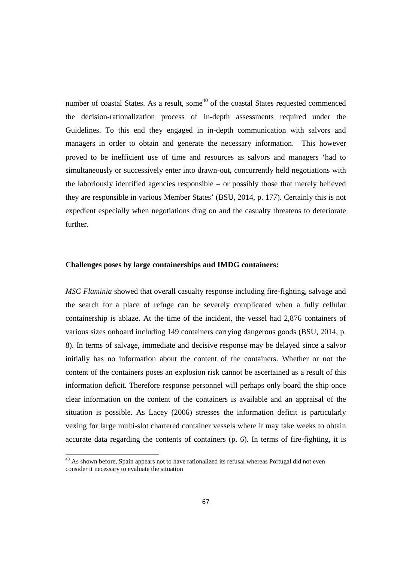number of coastal States. As a result, some<sup> $40$ </sup> of the coastal States requested commenced the decision-rationalization process of in-depth assessments required under the Guidelines. To this end they engaged in in-depth communication with salvors and managers in order to obtain and generate the necessary information. This however proved to be inefficient use of time and resources as salvors and managers 'had to simultaneously or successively enter into drawn-out, concurrently held negotiations with the laboriously identified agencies responsible – or possibly those that merely believed they are responsible in various Member States' (BSU, 2014, p. 177). Certainly this is not expedient especially when negotiations drag on and the casualty threatens to deteriorate further.

#### **Challenges poses by large containerships and IMDG containers:**

*MSC Flaminia* showed that overall casualty response including fire-fighting, salvage and the search for a place of refuge can be severely complicated when a fully cellular containership is ablaze. At the time of the incident, the vessel had 2,876 containers of various sizes onboard including 149 containers carrying dangerous goods (BSU, 2014, p. 8). In terms of salvage, immediate and decisive response may be delayed since a salvor initially has no information about the content of the containers. Whether or not the content of the containers poses an explosion risk cannot be ascertained as a result of this information deficit. Therefore response personnel will perhaps only board the ship once clear information on the content of the containers is available and an appraisal of the situation is possible. As Lacey (2006) stresses the information deficit is particularly vexing for large multi-slot chartered container vessels where it may take weeks to obtain accurate data regarding the contents of containers (p. 6). In terms of fire-fighting, it is

<sup>&</sup>lt;sup>40</sup> As shown before, Spain appears not to have rationalized its refusal whereas Portugal did not even consider it necessary to evaluate the situation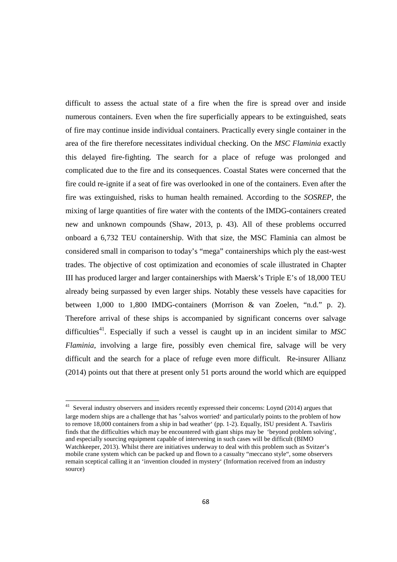difficult to assess the actual state of a fire when the fire is spread over and inside numerous containers. Even when the fire superficially appears to be extinguished, seats of fire may continue inside individual containers. Practically every single container in the area of the fire therefore necessitates individual checking. On the *MSC Flaminia* exactly this delayed fire-fighting. The search for a place of refuge was prolonged and complicated due to the fire and its consequences. Coastal States were concerned that the fire could re-ignite if a seat of fire was overlooked in one of the containers. Even after the fire was extinguished, risks to human health remained. According to the *SOSREP*, the mixing of large quantities of fire water with the contents of the IMDG-containers created new and unknown compounds (Shaw, 2013, p. 43). All of these problems occurred onboard a 6,732 TEU containership. With that size, the MSC Flaminia can almost be considered small in comparison to today's "mega" containerships which ply the east-west trades. The objective of cost optimization and economies of scale illustrated in Chapter III has produced larger and larger containerships with Maersk's Triple E's of 18,000 TEU already being surpassed by even larger ships. Notably these vessels have capacities for between 1,000 to 1,800 IMDG-containers (Morrison & van Zoelen, "n.d." p. 2). Therefore arrival of these ships is accompanied by significant concerns over salvage difficulties<sup>41</sup>. Especially if such a vessel is caught up in an incident similar to  $MSC$ *Flaminia*, involving a large fire, possibly even chemical fire, salvage will be very difficult and the search for a place of refuge even more difficult. Re-insurer Allianz (2014) points out that there at present only 51 ports around the world which are equipped

<sup>&</sup>lt;sup>41</sup> Several industry observers and insiders recently expressed their concerns: Loynd (2014) argues that large modern ships are a challenge that has 'salvos worried' and particularly points to the problem of how to remove 18,000 containers from a ship in bad weather' (pp. 1-2). Equally, ISU president A. Tsavliris finds that the difficulties which may be encountered with giant ships may be 'beyond problem solving', and especially sourcing equipment capable of intervening in such cases will be difficult (BIMO Watchkeeper, 2013). Whilst there are initiatives underway to deal with this problem such as Svitzer's mobile crane system which can be packed up and flown to a casualty "meccano style", some observers remain sceptical calling it an 'invention clouded in mystery' (Information received from an industry source)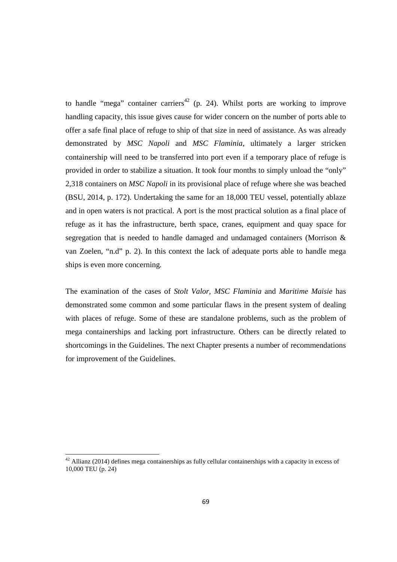to handle "mega" container carriers<sup>42</sup> (p. 24). Whilst ports are working to improve handling capacity, this issue gives cause for wider concern on the number of ports able to offer a safe final place of refuge to ship of that size in need of assistance. As was already demonstrated by *MSC Napoli* and *MSC Flaminia*, ultimately a larger stricken containership will need to be transferred into port even if a temporary place of refuge is provided in order to stabilize a situation. It took four months to simply unload the "only" 2,318 containers on *MSC Napoli* in its provisional place of refuge where she was beached (BSU, 2014, p. 172). Undertaking the same for an 18,000 TEU vessel, potentially ablaze and in open waters is not practical. A port is the most practical solution as a final place of refuge as it has the infrastructure, berth space, cranes, equipment and quay space for segregation that is needed to handle damaged and undamaged containers (Morrison & van Zoelen, "n.d" p. 2). In this context the lack of adequate ports able to handle mega ships is even more concerning.

The examination of the cases of *Stolt Valor, MSC Flaminia* and *Maritime Maisie* has demonstrated some common and some particular flaws in the present system of dealing with places of refuge. Some of these are standalone problems, such as the problem of mega containerships and lacking port infrastructure. Others can be directly related to shortcomings in the Guidelines. The next Chapter presents a number of recommendations for improvement of the Guidelines.

<sup>&</sup>lt;sup>42</sup> Allianz (2014) defines mega containerships as fully cellular containerships with a capacity in excess of 10,000 TEU (p. 24)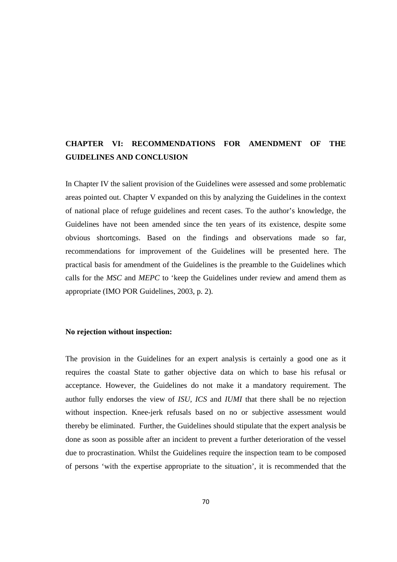# **CHAPTER VI: RECOMMENDATIONS FOR AMENDMENT OF THE GUIDELINES AND CONCLUSION**

In Chapter IV the salient provision of the Guidelines were assessed and some problematic areas pointed out. Chapter V expanded on this by analyzing the Guidelines in the context of national place of refuge guidelines and recent cases. To the author's knowledge, the Guidelines have not been amended since the ten years of its existence, despite some obvious shortcomings. Based on the findings and observations made so far, recommendations for improvement of the Guidelines will be presented here. The practical basis for amendment of the Guidelines is the preamble to the Guidelines which calls for the *MSC* and *MEPC* to 'keep the Guidelines under review and amend them as appropriate (IMO POR Guidelines, 2003, p. 2).

#### **No rejection without inspection:**

The provision in the Guidelines for an expert analysis is certainly a good one as it requires the coastal State to gather objective data on which to base his refusal or acceptance. However, the Guidelines do not make it a mandatory requirement. The author fully endorses the view of *ISU, ICS* and *IUMI* that there shall be no rejection without inspection. Knee-jerk refusals based on no or subjective assessment would thereby be eliminated. Further, the Guidelines should stipulate that the expert analysis be done as soon as possible after an incident to prevent a further deterioration of the vessel due to procrastination. Whilst the Guidelines require the inspection team to be composed of persons 'with the expertise appropriate to the situation', it is recommended that the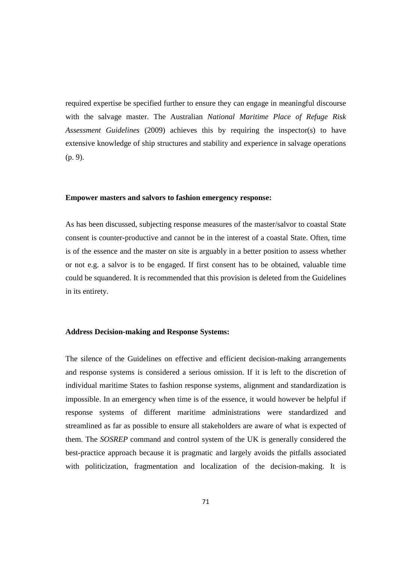required expertise be specified further to ensure they can engage in meaningful discourse with the salvage master. The Australian *National Maritime Place of Refuge Risk Assessment Guidelines* (2009) achieves this by requiring the inspector(s) to have extensive knowledge of ship structures and stability and experience in salvage operations (p. 9).

#### **Empower masters and salvors to fashion emergency response:**

As has been discussed, subjecting response measures of the master/salvor to coastal State consent is counter-productive and cannot be in the interest of a coastal State. Often, time is of the essence and the master on site is arguably in a better position to assess whether or not e.g. a salvor is to be engaged. If first consent has to be obtained, valuable time could be squandered. It is recommended that this provision is deleted from the Guidelines in its entirety.

# **Address Decision-making and Response Systems:**

The silence of the Guidelines on effective and efficient decision-making arrangements and response systems is considered a serious omission. If it is left to the discretion of individual maritime States to fashion response systems, alignment and standardization is impossible. In an emergency when time is of the essence, it would however be helpful if response systems of different maritime administrations were standardized and streamlined as far as possible to ensure all stakeholders are aware of what is expected of them. The *SOSREP* command and control system of the UK is generally considered the best-practice approach because it is pragmatic and largely avoids the pitfalls associated with politicization, fragmentation and localization of the decision-making. It is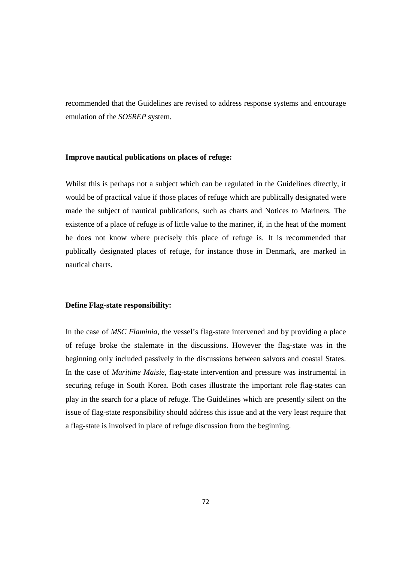recommended that the Guidelines are revised to address response systems and encourage emulation of the *SOSREP* system.

#### **Improve nautical publications on places of refuge:**

Whilst this is perhaps not a subject which can be regulated in the Guidelines directly, it would be of practical value if those places of refuge which are publically designated were made the subject of nautical publications, such as charts and Notices to Mariners. The existence of a place of refuge is of little value to the mariner, if, in the heat of the moment he does not know where precisely this place of refuge is. It is recommended that publically designated places of refuge, for instance those in Denmark, are marked in nautical charts.

#### **Define Flag-state responsibility:**

In the case of *MSC Flaminia*, the vessel's flag-state intervened and by providing a place of refuge broke the stalemate in the discussions. However the flag-state was in the beginning only included passively in the discussions between salvors and coastal States. In the case of *Maritime Maisie*, flag-state intervention and pressure was instrumental in securing refuge in South Korea. Both cases illustrate the important role flag-states can play in the search for a place of refuge. The Guidelines which are presently silent on the issue of flag-state responsibility should address this issue and at the very least require that a flag-state is involved in place of refuge discussion from the beginning.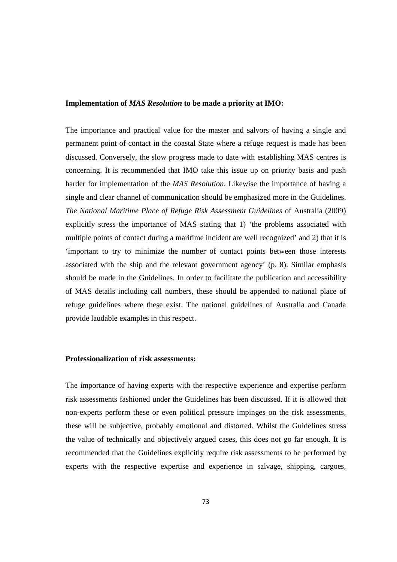#### **Implementation of** *MAS Resolution* **to be made a priority at IMO:**

The importance and practical value for the master and salvors of having a single and permanent point of contact in the coastal State where a refuge request is made has been discussed. Conversely, the slow progress made to date with establishing MAS centres is concerning. It is recommended that IMO take this issue up on priority basis and push harder for implementation of the *MAS Resolution*. Likewise the importance of having a single and clear channel of communication should be emphasized more in the Guidelines. *The National Maritime Place of Refuge Risk Assessment Guidelines* of Australia (2009) explicitly stress the importance of MAS stating that 1) 'the problems associated with multiple points of contact during a maritime incident are well recognized' and 2) that it is 'important to try to minimize the number of contact points between those interests associated with the ship and the relevant government agency' (p. 8). Similar emphasis should be made in the Guidelines. In order to facilitate the publication and accessibility of MAS details including call numbers, these should be appended to national place of refuge guidelines where these exist. The national guidelines of Australia and Canada provide laudable examples in this respect.

## **Professionalization of risk assessments:**

The importance of having experts with the respective experience and expertise perform risk assessments fashioned under the Guidelines has been discussed. If it is allowed that non-experts perform these or even political pressure impinges on the risk assessments, these will be subjective, probably emotional and distorted. Whilst the Guidelines stress the value of technically and objectively argued cases, this does not go far enough. It is recommended that the Guidelines explicitly require risk assessments to be performed by experts with the respective expertise and experience in salvage, shipping, cargoes,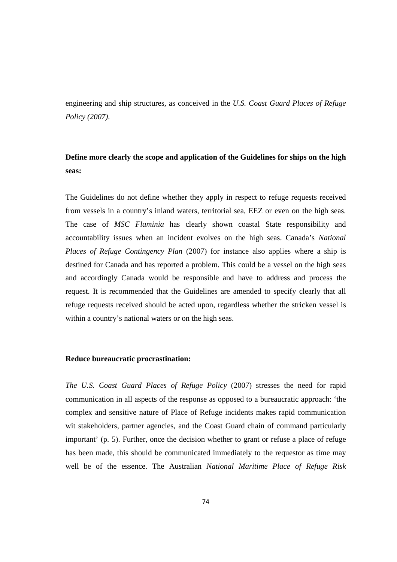engineering and ship structures, as conceived in the *U.S. Coast Guard Places of Refuge Policy (2007)*.

# **Define more clearly the scope and application of the Guidelines for ships on the high seas:**

The Guidelines do not define whether they apply in respect to refuge requests received from vessels in a country's inland waters, territorial sea, EEZ or even on the high seas. The case of *MSC Flaminia* has clearly shown coastal State responsibility and accountability issues when an incident evolves on the high seas. Canada's *National Places of Refuge Contingency Plan* (2007) for instance also applies where a ship is destined for Canada and has reported a problem. This could be a vessel on the high seas and accordingly Canada would be responsible and have to address and process the request. It is recommended that the Guidelines are amended to specify clearly that all refuge requests received should be acted upon, regardless whether the stricken vessel is within a country's national waters or on the high seas.

#### **Reduce bureaucratic procrastination:**

*The U.S. Coast Guard Places of Refuge Policy* (2007) stresses the need for rapid communication in all aspects of the response as opposed to a bureaucratic approach: 'the complex and sensitive nature of Place of Refuge incidents makes rapid communication wit stakeholders, partner agencies, and the Coast Guard chain of command particularly important' (p. 5). Further, once the decision whether to grant or refuse a place of refuge has been made, this should be communicated immediately to the requestor as time may well be of the essence. The Australian *National Maritime Place of Refuge Risk*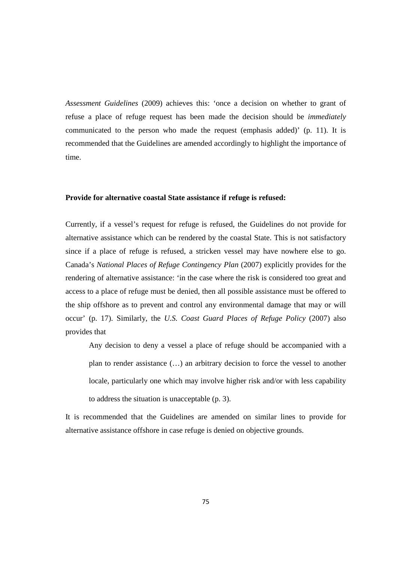*Assessment Guidelines* (2009) achieves this: 'once a decision on whether to grant of refuse a place of refuge request has been made the decision should be *immediately* communicated to the person who made the request (emphasis added)' (p. 11). It is recommended that the Guidelines are amended accordingly to highlight the importance of time.

#### **Provide for alternative coastal State assistance if refuge is refused:**

Currently, if a vessel's request for refuge is refused, the Guidelines do not provide for alternative assistance which can be rendered by the coastal State. This is not satisfactory since if a place of refuge is refused, a stricken vessel may have nowhere else to go. Canada's *National Places of Refuge Contingency Plan* (2007) explicitly provides for the rendering of alternative assistance: 'in the case where the risk is considered too great and access to a place of refuge must be denied, then all possible assistance must be offered to the ship offshore as to prevent and control any environmental damage that may or will occur' (p. 17). Similarly, the *U.S. Coast Guard Places of Refuge Policy* (2007) also provides that

Any decision to deny a vessel a place of refuge should be accompanied with a plan to render assistance (…) an arbitrary decision to force the vessel to another locale, particularly one which may involve higher risk and/or with less capability to address the situation is unacceptable (p. 3).

It is recommended that the Guidelines are amended on similar lines to provide for alternative assistance offshore in case refuge is denied on objective grounds.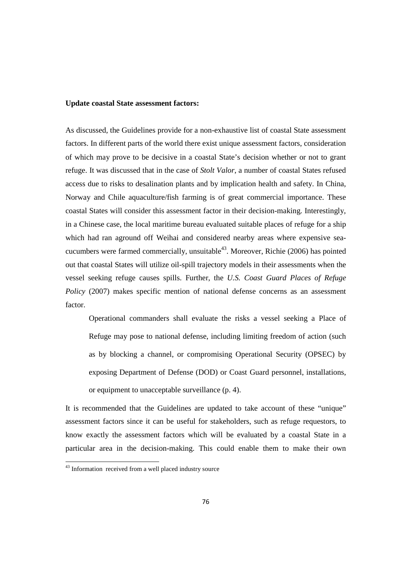#### **Update coastal State assessment factors:**

As discussed, the Guidelines provide for a non-exhaustive list of coastal State assessment factors. In different parts of the world there exist unique assessment factors, consideration of which may prove to be decisive in a coastal State's decision whether or not to grant refuge. It was discussed that in the case of *Stolt Valor*, a number of coastal States refused access due to risks to desalination plants and by implication health and safety. In China, Norway and Chile aquaculture/fish farming is of great commercial importance. These coastal States will consider this assessment factor in their decision-making. Interestingly, in a Chinese case, the local maritime bureau evaluated suitable places of refuge for a ship which had ran aground off Weihai and considered nearby areas where expensive seacucumbers were farmed commercially, unsuitable<sup>43</sup>. Moreover, Richie (2006) has pointed out that coastal States will utilize oil-spill trajectory models in their assessments when the vessel seeking refuge causes spills. Further, the *U.S. Coast Guard Places of Refuge Policy* (2007) makes specific mention of national defense concerns as an assessment factor.

Operational commanders shall evaluate the risks a vessel seeking a Place of Refuge may pose to national defense, including limiting freedom of action (such as by blocking a channel, or compromising Operational Security (OPSEC) by exposing Department of Defense (DOD) or Coast Guard personnel, installations, or equipment to unacceptable surveillance (p. 4).

It is recommended that the Guidelines are updated to take account of these "unique" assessment factors since it can be useful for stakeholders, such as refuge requestors, to know exactly the assessment factors which will be evaluated by a coastal State in a particular area in the decision-making. This could enable them to make their own

<sup>&</sup>lt;sup>43</sup> Information received from a well placed industry source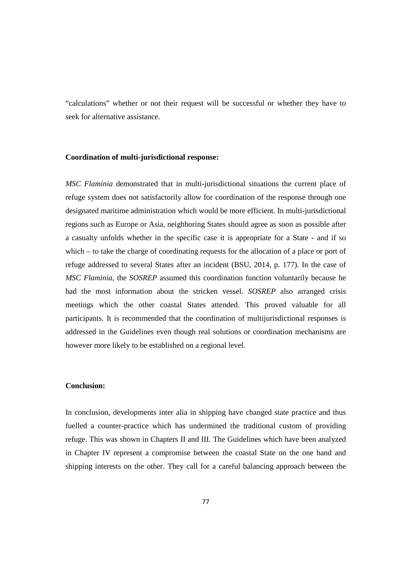"calculations" whether or not their request will be successful or whether they have to seek for alternative assistance.

#### **Coordination of multi-jurisdictional response:**

*MSC Flaminia* demonstrated that in multi-jurisdictional situations the current place of refuge system does not satisfactorily allow for coordination of the response through one designated maritime administration which would be more efficient. In multi-jurisdictional regions such as Europe or Asia, neighboring States should agree as soon as possible after a casualty unfolds whether in the specific case it is appropriate for a State - and if so which – to take the charge of coordinating requests for the allocation of a place or port of refuge addressed to several States after an incident (BSU, 2014, p. 177). In the case of *MSC Flaminia*, the *SOSREP* assumed this coordination function voluntarily because he had the most information about the stricken vessel. *SOSREP* also arranged crisis meetings which the other coastal States attended. This proved valuable for all participants. It is recommended that the coordination of multijurisdictional responses is addressed in the Guidelines even though real solutions or coordination mechanisms are however more likely to be established on a regional level.

#### **Conclusion:**

In conclusion, developments inter alia in shipping have changed state practice and thus fuelled a counter-practice which has undermined the traditional custom of providing refuge. This was shown in Chapters II and III. The Guidelines which have been analyzed in Chapter IV represent a compromise between the coastal State on the one hand and shipping interests on the other. They call for a careful balancing approach between the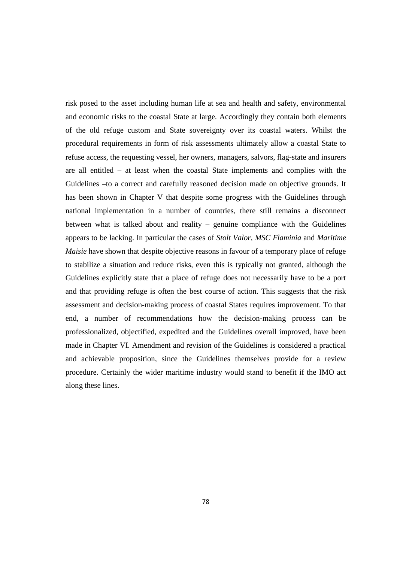risk posed to the asset including human life at sea and health and safety, environmental and economic risks to the coastal State at large. Accordingly they contain both elements of the old refuge custom and State sovereignty over its coastal waters. Whilst the procedural requirements in form of risk assessments ultimately allow a coastal State to refuse access, the requesting vessel, her owners, managers, salvors, flag-state and insurers are all entitled – at least when the coastal State implements and complies with the Guidelines –to a correct and carefully reasoned decision made on objective grounds. It has been shown in Chapter V that despite some progress with the Guidelines through national implementation in a number of countries, there still remains a disconnect between what is talked about and reality – genuine compliance with the Guidelines appears to be lacking. In particular the cases of *Stolt Valor, MSC Flaminia* and *Maritime Maisie* have shown that despite objective reasons in favour of a temporary place of refuge to stabilize a situation and reduce risks, even this is typically not granted, although the Guidelines explicitly state that a place of refuge does not necessarily have to be a port and that providing refuge is often the best course of action. This suggests that the risk assessment and decision-making process of coastal States requires improvement. To that end, a number of recommendations how the decision-making process can be professionalized, objectified, expedited and the Guidelines overall improved, have been made in Chapter VI. Amendment and revision of the Guidelines is considered a practical and achievable proposition, since the Guidelines themselves provide for a review procedure. Certainly the wider maritime industry would stand to benefit if the IMO act along these lines.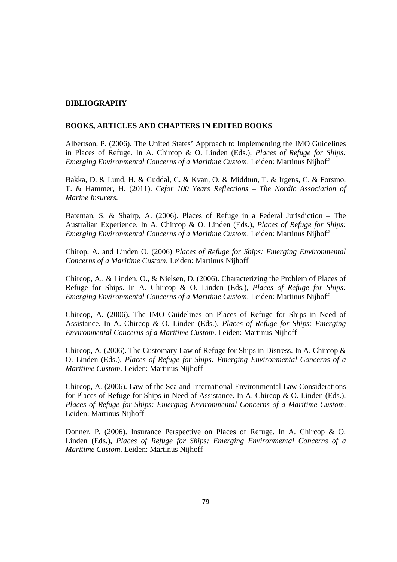## **BIBLIOGRAPHY**

#### **BOOKS, ARTICLES AND CHAPTERS IN EDITED BOOKS**

Albertson, P. (2006). The United States' Approach to Implementing the IMO Guidelines in Places of Refuge. In A. Chircop & O. Linden (Eds.), *Places of Refuge for Ships: Emerging Environmental Concerns of a Maritime Custom*. Leiden: Martinus Nijhoff

Bakka, D. & Lund, H. & Guddal, C. & Kvan, O. & Middtun, T. & Irgens, C. & Forsmo, T. & Hammer, H. (2011). *Cefor 100 Years Reflections – The Nordic Association of Marine Insurers.*

Bateman, S. & Shairp, A. (2006). Places of Refuge in a Federal Jurisdiction – The Australian Experience. In A. Chircop & O. Linden (Eds.), *Places of Refuge for Ships: Emerging Environmental Concerns of a Maritime Custom*. Leiden: Martinus Nijhoff

Chirop, A. and Linden O. (2006) *Places of Refuge for Ships: Emerging Environmental Concerns of a Maritime Custom*. Leiden: Martinus Nijhoff

Chircop, A., & Linden, O., & Nielsen, D. (2006). Characterizing the Problem of Places of Refuge for Ships. In A. Chircop & O. Linden (Eds.), *Places of Refuge for Ships: Emerging Environmental Concerns of a Maritime Custom*. Leiden: Martinus Nijhoff

Chircop, A. (2006). The IMO Guidelines on Places of Refuge for Ships in Need of Assistance. In A. Chircop & O. Linden (Eds.), *Places of Refuge for Ships: Emerging Environmental Concerns of a Maritime Custom*. Leiden: Martinus Nijhoff

Chircop, A. (2006). The Customary Law of Refuge for Ships in Distress. In A. Chircop & O. Linden (Eds.), *Places of Refuge for Ships: Emerging Environmental Concerns of a Maritime Custom*. Leiden: Martinus Nijhoff

Chircop, A. (2006). Law of the Sea and International Environmental Law Considerations for Places of Refuge for Ships in Need of Assistance. In A. Chircop & O. Linden (Eds.), *Places of Refuge for Ships: Emerging Environmental Concerns of a Maritime Custom*. Leiden: Martinus Nijhoff

Donner, P. (2006). Insurance Perspective on Places of Refuge. In A. Chircop & O. Linden (Eds.), *Places of Refuge for Ships: Emerging Environmental Concerns of a Maritime Custom*. Leiden: Martinus Nijhoff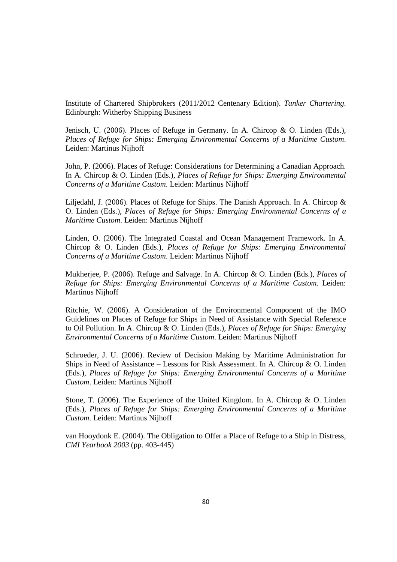Institute of Chartered Shipbrokers (2011/2012 Centenary Edition). *Tanker Chartering*. Edinburgh: Witherby Shipping Business

Jenisch, U. (2006). Places of Refuge in Germany. In A. Chircop & O. Linden (Eds.), *Places of Refuge for Ships: Emerging Environmental Concerns of a Maritime Custom*. Leiden: Martinus Nijhoff

John, P. (2006). Places of Refuge: Considerations for Determining a Canadian Approach. In A. Chircop & O. Linden (Eds.), *Places of Refuge for Ships: Emerging Environmental Concerns of a Maritime Custom*. Leiden: Martinus Nijhoff

Liljedahl, J. (2006). Places of Refuge for Ships. The Danish Approach. In A. Chircop & O. Linden (Eds.), *Places of Refuge for Ships: Emerging Environmental Concerns of a Maritime Custom*. Leiden: Martinus Nijhoff

Linden, O. (2006). The Integrated Coastal and Ocean Management Framework. In A. Chircop & O. Linden (Eds.), *Places of Refuge for Ships: Emerging Environmental Concerns of a Maritime Custom*. Leiden: Martinus Nijhoff

Mukherjee, P. (2006). Refuge and Salvage. In A. Chircop & O. Linden (Eds.), *Places of Refuge for Ships: Emerging Environmental Concerns of a Maritime Custom*. Leiden: Martinus Nijhoff

Ritchie, W. (2006). A Consideration of the Environmental Component of the IMO Guidelines on Places of Refuge for Ships in Need of Assistance with Special Reference to Oil Pollution. In A. Chircop & O. Linden (Eds.), *Places of Refuge for Ships: Emerging Environmental Concerns of a Maritime Custom*. Leiden: Martinus Nijhoff

Schroeder, J. U. (2006). Review of Decision Making by Maritime Administration for Ships in Need of Assistance – Lessons for Risk Assessment. In A. Chircop & O. Linden (Eds.), *Places of Refuge for Ships: Emerging Environmental Concerns of a Maritime Custom*. Leiden: Martinus Nijhoff

Stone, T. (2006). The Experience of the United Kingdom. In A. Chircop & O. Linden (Eds.), *Places of Refuge for Ships: Emerging Environmental Concerns of a Maritime Custom*. Leiden: Martinus Nijhoff

van Hooydonk E. (2004). The Obligation to Offer a Place of Refuge to a Ship in Distress, *CMI Yearbook 2003* (pp. 403-445)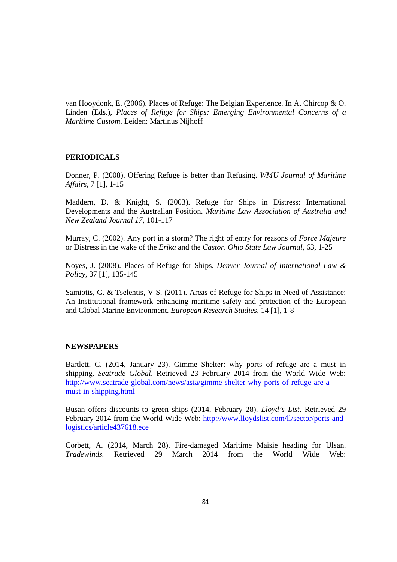van Hooydonk, E. (2006). Places of Refuge: The Belgian Experience. In A. Chircop & O. Linden (Eds.), *Places of Refuge for Ships: Emerging Environmental Concerns of a Maritime Custom*. Leiden: Martinus Nijhoff

#### **PERIODICALS**

Donner, P. (2008). Offering Refuge is better than Refusing. *WMU Journal of Maritime Affairs*, 7 [1], 1-15

Maddern, D. & Knight, S. (2003). Refuge for Ships in Distress: International Developments and the Australian Position. *Maritime Law Association of Australia and New Zealand Journal 17*, 101-117

Murray, C. (2002). Any port in a storm? The right of entry for reasons of *Force Majeure* or Distress in the wake of the *Erika* and the *Castor*. *Ohio State Law Journal*, 63, 1-25

Noyes, J. (2008). Places of Refuge for Ships. *Denver Journal of International Law & Policy*, 37 [1], 135-145

Samiotis, G. & Tselentis, V-S. (2011). Areas of Refuge for Ships in Need of Assistance: An Institutional framework enhancing maritime safety and protection of the European and Global Marine Environment. *European Research Studies*, 14 [1], 1-8

## **NEWSPAPERS**

Bartlett, C. (2014, January 23). Gimme Shelter: why ports of refuge are a must in shipping. *Seatrade Global*. Retrieved 23 February 2014 from the World Wide Web: http://www.seatrade-global.com/news/asia/gimme-shelter-why-ports-of-refuge-are-amust-in-shipping.html

Busan offers discounts to green ships (2014, February 28). *Lloyd's List*. Retrieved 29 February 2014 from the World Wide Web: http://www.lloydslist.com/ll/sector/ports-andlogistics/article437618.ece

Corbett, A. (2014, March 28). Fire-damaged Maritime Maisie heading for Ulsan. *Tradewinds.* Retrieved 29 March 2014 from the World Wide Web: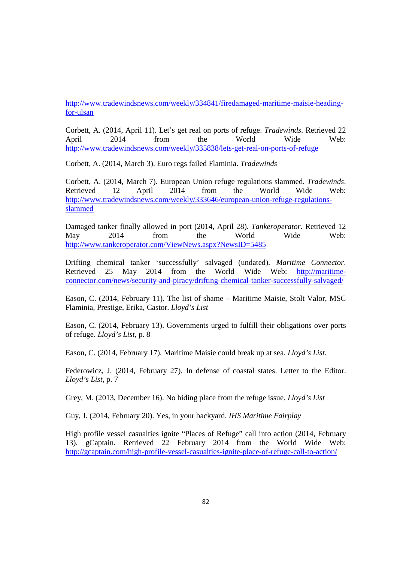http://www.tradewindsnews.com/weekly/334841/firedamaged-maritime-maisie-headingfor-ulsan

Corbett, A. (2014, April 11). Let's get real on ports of refuge. *Tradewinds*. Retrieved 22 April 2014 from the World Wide Web: http://www.tradewindsnews.com/weekly/335838/lets-get-real-on-ports-of-refuge

Corbett, A. (2014, March 3). Euro regs failed Flaminia. *Tradewinds* 

Corbett, A. (2014, March 7). European Union refuge regulations slammed. *Tradewinds*. Retrieved 12 April 2014 from the World Wide Web: http://www.tradewindsnews.com/weekly/333646/european-union-refuge-regulationsslammed

Damaged tanker finally allowed in port (2014, April 28). *Tankeroperator*. Retrieved 12 May 2014 from the World Wide Web: http://www.tankeroperator.com/ViewNews.aspx?NewsID=5485

Drifting chemical tanker 'successfully' salvaged (undated). *Maritime Connector*. Retrieved 25 May 2014 from the World Wide Web: http://maritimeconnector.com/news/security-and-piracy/drifting-chemical-tanker-successfully-salvaged/

Eason, C. (2014, February 11). The list of shame – Maritime Maisie, Stolt Valor, MSC Flaminia, Prestige, Erika, Castor. *Lloyd's List*

Eason, C. (2014, February 13). Governments urged to fulfill their obligations over ports of refuge. *Lloyd's List*, p. 8

Eason, C. (2014, February 17). Maritime Maisie could break up at sea. *Lloyd's List*.

Federowicz, J. (2014, February 27). In defense of coastal states. Letter to the Editor. *Lloyd's List*, p. 7

Grey, M. (2013, December 16). No hiding place from the refuge issue*. Lloyd's List*

Guy, J. (2014, February 20). Yes, in your backyard. *IHS Maritime Fairplay* 

High profile vessel casualties ignite "Places of Refuge" call into action (2014, February 13). gCaptain. Retrieved 22 February 2014 from the World Wide Web: http://gcaptain.com/high-profile-vessel-casualties-ignite-place-of-refuge-call-to-action/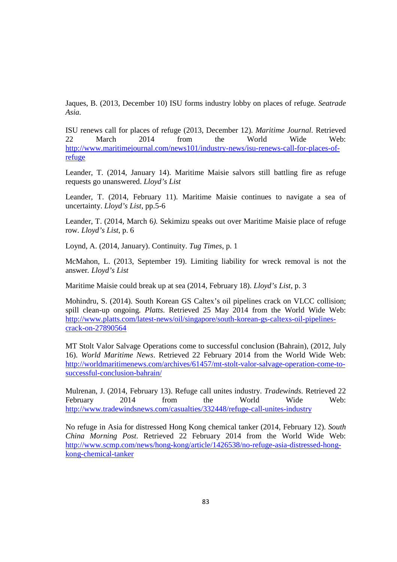Jaques, B. (2013, December 10) ISU forms industry lobby on places of refuge. *Seatrade Asia.*

ISU renews call for places of refuge (2013, December 12). *Maritime Journal.* Retrieved 22 March 2014 from the World Wide Web: http://www.maritimejournal.com/news101/industry-news/isu-renews-call-for-places-ofrefuge

Leander, T. (2014, January 14). Maritime Maisie salvors still battling fire as refuge requests go unanswered. *Lloyd's List* 

Leander, T. (2014, February 11). Maritime Maisie continues to navigate a sea of uncertainty. *Lloyd's List*, pp.5-6

Leander, T. (2014, March 6*).* Sekimizu speaks out over Maritime Maisie place of refuge row*. Lloyd's List*, p. 6

Loynd, A. (2014, January). Continuity. *Tug Times*, p. 1

McMahon, L. (2013, September 19). Limiting liability for wreck removal is not the answer*. Lloyd's List*

Maritime Maisie could break up at sea (2014, February 18). *Lloyd's List*, p. 3

Mohindru, S. (2014). South Korean GS Caltex's oil pipelines crack on VLCC collision; spill clean-up ongoing. *Platts*. Retrieved 25 May 2014 from the World Wide Web: http://www.platts.com/latest-news/oil/singapore/south-korean-gs-caltexs-oil-pipelinescrack-on-27890564

MT Stolt Valor Salvage Operations come to successful conclusion (Bahrain), (2012, July 16). *World Maritime News*. Retrieved 22 February 2014 from the World Wide Web: http://worldmaritimenews.com/archives/61457/mt-stolt-valor-salvage-operation-come-tosuccessful-conclusion-bahrain/

Mulrenan, J. (2014, February 13). Refuge call unites industry. *Tradewinds*. Retrieved 22 February 2014 from the World Wide Web: http://www.tradewindsnews.com/casualties/332448/refuge-call-unites-industry

No refuge in Asia for distressed Hong Kong chemical tanker (2014, February 12). *South China Morning Post*. Retrieved 22 February 2014 from the World Wide Web: http://www.scmp.com/news/hong-kong/article/1426538/no-refuge-asia-distressed-hongkong-chemical-tanker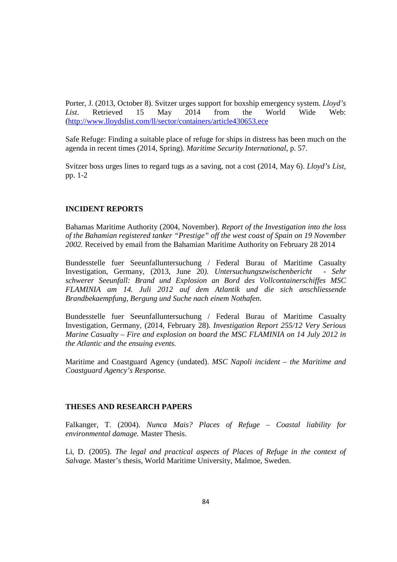Porter, J. (2013, October 8). Svitzer urges support for boxship emergency system. *Lloyd's List*. Retrieved 15 May 2014 from the World Wide Web: (http://www.lloydslist.com/ll/sector/containers/article430653.ece

Safe Refuge: Finding a suitable place of refuge for ships in distress has been much on the agenda in recent times (2014, Spring). *Maritime Security International*, p. 57.

Svitzer boss urges lines to regard tugs as a saving, not a cost (2014, May 6). *Lloyd's List*, pp. 1-2

# **INCIDENT REPORTS**

Bahamas Maritime Authority (2004, November). *Report of the Investigation into the loss of the Bahamian registered tanker "Prestige" off the west coast of Spain on 19 November 2002.* Received by email from the Bahamian Maritime Authority on February 28 2014

Bundesstelle fuer Seeunfalluntersuchung / Federal Burau of Maritime Casualty Investigation, Germany, (2013, June 20*). Untersuchungszwischenbericht - Sehr schwerer Seeunfall: Brand und Explosion an Bord des Vollcontainerschiffes MSC FLAMINIA am 14. Juli 2012 auf dem Atlantik und die sich anschliessende Brandbekaempfung, Bergung und Suche nach einem Nothafen*.

Bundesstelle fuer Seeunfalluntersuchung / Federal Burau of Maritime Casualty Investigation, Germany, (2014, February 28). *Investigation Report 255/12 Very Serious Marine Casualty – Fire and explosion on board the MSC FLAMINIA on 14 July 2012 in the Atlantic and the ensuing events.* 

Maritime and Coastguard Agency (undated). *MSC Napoli incident – the Maritime and Coastguard Agency's Response.*

#### **THESES AND RESEARCH PAPERS**

Falkanger, T. (2004). *Nunca Mais? Places of Refuge – Coastal liability for environmental damage.* Master Thesis.

Li, D. (2005). *The legal and practical aspects of Places of Refuge in the context of Salvage.* Master's thesis, World Maritime University, Malmoe, Sweden.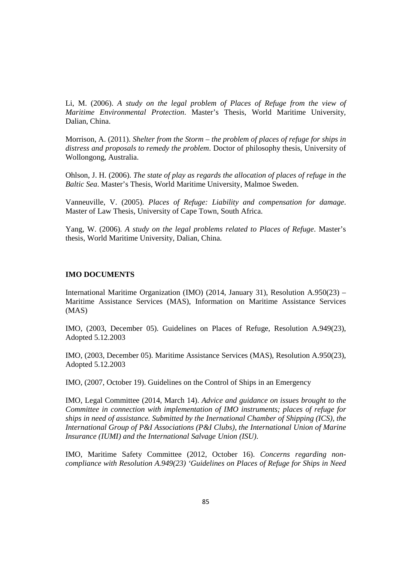Li, M. (2006). *A study on the legal problem of Places of Refuge from the view of Maritime Environmental Protection*. Master's Thesis, World Maritime University, Dalian, China.

Morrison, A. (2011). *Shelter from the Storm – the problem of places of refuge for ships in distress and proposals to remedy the problem*. Doctor of philosophy thesis, University of Wollongong, Australia.

Ohlson, J. H. (2006). *The state of play as regards the allocation of places of refuge in the Baltic Sea*. Master's Thesis, World Maritime University, Malmoe Sweden.

Vanneuville, V. (2005). *Places of Refuge: Liability and compensation for damage*. Master of Law Thesis, University of Cape Town, South Africa.

Yang, W. (2006). *A study on the legal problems related to Places of Refuge*. Master's thesis, World Maritime University, Dalian, China.

# **IMO DOCUMENTS**

International Maritime Organization (IMO) (2014, January 31), Resolution A.950(23) – Maritime Assistance Services (MAS), Information on Maritime Assistance Services (MAS)

IMO, (2003, December 05). Guidelines on Places of Refuge, Resolution A.949(23), Adopted 5.12.2003

IMO, (2003, December 05). Maritime Assistance Services (MAS), Resolution A.950(23), Adopted 5.12.2003

IMO, (2007, October 19). Guidelines on the Control of Ships in an Emergency

IMO, Legal Committee (2014, March 14). *Advice and guidance on issues brought to the Committee in connection with implementation of IMO instruments; places of refuge for ships in need of assistance. Submitted by the Inernational Chamber of Shipping (ICS), the International Group of P&I Associations (P&I Clubs), the International Union of Marine Insurance (IUMI) and the International Salvage Union (ISU)*.

IMO, Maritime Safety Committee (2012, October 16). *Concerns regarding noncompliance with Resolution A.949(23) 'Guidelines on Places of Refuge for Ships in Need*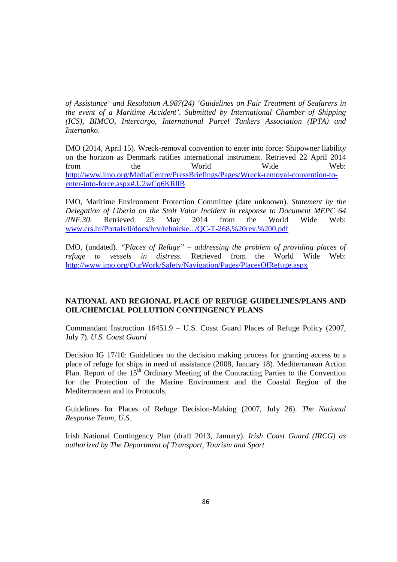*of Assistance' and Resolution A.987(24) 'Guidelines on Fair Treatment of Seafarers in the event of a Maritime Accident'. Submitted by International Chamber of Shipping (ICS), BIMCO, Intercargo, International Parcel Tankers Association (IPTA) and Intertanko*.

IMO (2014, April 15). Wreck-removal convention to enter into force: Shipowner liability on the horizon as Denmark ratifies international instrument. Retrieved 22 April 2014 from the World Wide Web: http://www.imo.org/MediaCentre/PressBriefings/Pages/Wreck-removal-convention-toenter-into-force.aspx#.U2wCq6KRllB

IMO, Maritime Environment Protection Committee (date unknown). *Statement by the Delegation of Liberia on the Stolt Valor Incident in response to Document MEPC 64 /INF.30*. Retrieved 23 May 2014 from the World Wide Web: www.crs.hr/Portals/0/docs/hrv/tehnicke.../QC-T-268,%20rev.%200.pdf

IMO, (undated). *"Places of Refuge" – addressing the problem of providing places of refuge to vessels in distress.* Retrieved from the World Wide Web: http://www.imo.org/OurWork/Safety/Navigation/Pages/PlacesOfRefuge.aspx

# **NATIONAL AND REGIONAL PLACE OF REFUGE GUIDELINES/PLANS AND OIL/CHEMCIAL POLLUTION CONTINGENCY PLANS**

Commandant Instruction 16451.9 – U.S. Coast Guard Places of Refuge Policy (2007, July 7). *U.S. Coast Guard* 

Decision IG 17/10: Guidelines on the decision making process for granting access to a place of refuge for ships in need of assistance (2008, January 18). Mediterranean Action Plan. Report of the  $15<sup>th</sup>$  Ordinary Meeting of the Contracting Parties to the Convention for the Protection of the Marine Environment and the Coastal Region of the Mediterranean and its Protocols.

Guidelines for Places of Refuge Decision-Making (2007, July 26). *The National Response Team, U.S.* 

Irish National Contingency Plan (draft 2013, January). *Irish Coast Guard (IRCG) as authorized by The Department of Transport, Tourism and Sport*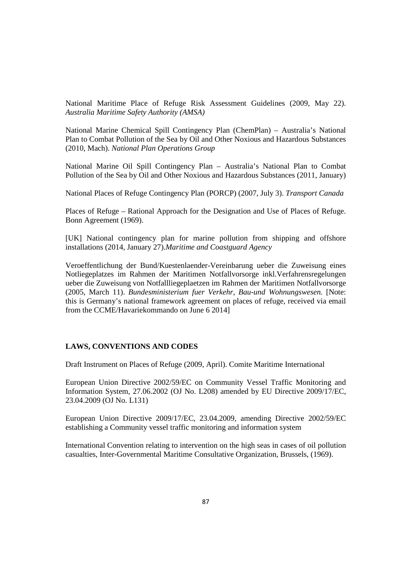National Maritime Place of Refuge Risk Assessment Guidelines (2009, May 22). *Australia Maritime Safety Authority (AMSA)* 

National Marine Chemical Spill Contingency Plan (ChemPlan) – Australia's National Plan to Combat Pollution of the Sea by Oil and Other Noxious and Hazardous Substances (2010, Mach). *National Plan Operations Group* 

National Marine Oil Spill Contingency Plan – Australia's National Plan to Combat Pollution of the Sea by Oil and Other Noxious and Hazardous Substances (2011, January)

National Places of Refuge Contingency Plan (PORCP) (2007, July 3). *Transport Canada* 

Places of Refuge – Rational Approach for the Designation and Use of Places of Refuge. Bonn Agreement (1969).

[UK] National contingency plan for marine pollution from shipping and offshore installations (2014, January 27).*Maritime and Coastguard Agency*

Veroeffentlichung der Bund/Kuestenlaender-Vereinbarung ueber die Zuweisung eines Notliegeplatzes im Rahmen der Maritimen Notfallvorsorge inkl.Verfahrensregelungen ueber die Zuweisung von Notfallliegeplaetzen im Rahmen der Maritimen Notfallvorsorge (2005, March 11). *Bundesministerium fuer Verkehr, Bau-und Wohnungswesen.* [Note: this is Germany's national framework agreement on places of refuge, received via email from the CCME/Havariekommando on June 6 2014]

# **LAWS, CONVENTIONS AND CODES**

Draft Instrument on Places of Refuge (2009, April). Comite Maritime International

European Union Directive 2002/59/EC on Community Vessel Traffic Monitoring and Information System, 27.06.2002 (OJ No. L208) amended by EU Directive 2009/17/EC, 23.04.2009 (OJ No. L131)

European Union Directive 2009/17/EC, 23.04.2009, amending Directive 2002/59/EC establishing a Community vessel traffic monitoring and information system

International Convention relating to intervention on the high seas in cases of oil pollution casualties, Inter-Governmental Maritime Consultative Organization, Brussels, (1969).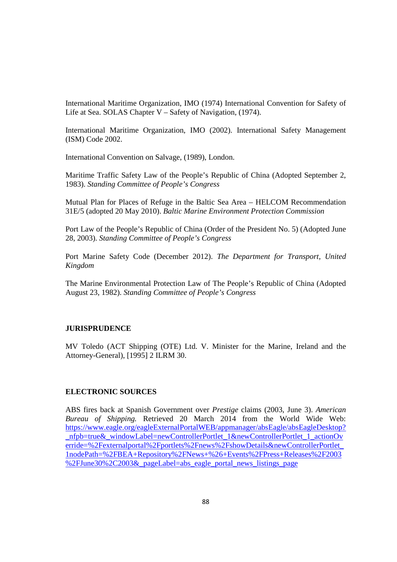International Maritime Organization, IMO (1974) International Convention for Safety of Life at Sea. SOLAS Chapter V – Safety of Navigation, (1974).

International Maritime Organization, IMO (2002). International Safety Management (ISM) Code 2002.

International Convention on Salvage, (1989), London.

Maritime Traffic Safety Law of the People's Republic of China (Adopted September 2, 1983). *Standing Committee of People's Congress*

Mutual Plan for Places of Refuge in the Baltic Sea Area – HELCOM Recommendation 31E/5 (adopted 20 May 2010). *Baltic Marine Environment Protection Commission* 

Port Law of the People's Republic of China (Order of the President No. 5) (Adopted June 28, 2003). *Standing Committee of People's Congress* 

Port Marine Safety Code (December 2012). *The Department for Transport, United Kingdom*

The Marine Environmental Protection Law of The People's Republic of China (Adopted August 23, 1982). *Standing Committee of People's Congress* 

# **JURISPRUDENCE**

MV Toledo (ACT Shipping (OTE) Ltd. V. Minister for the Marine, Ireland and the Attorney-General), [1995] 2 ILRM 30.

#### **ELECTRONIC SOURCES**

ABS fires back at Spanish Government over *Prestige* claims (2003, June 3). *American Bureau of Shipping.* Retrieved 20 March 2014 from the World Wide Web: https://www.eagle.org/eagleExternalPortalWEB/appmanager/absEagle/absEagleDesktop? nfpb=true&\_windowLabel=newControllerPortlet\_1&newControllerPortlet\_1\_actionOv erride=%2Fexternalportal%2Fportlets%2Fnews%2FshowDetails&newControllerPortlet\_ 1nodePath=%2FBEA+Repository%2FNews+%26+Events%2FPress+Releases%2F2003 %2FJune30%2C2003&\_pageLabel=abs\_eagle\_portal\_news\_listings\_page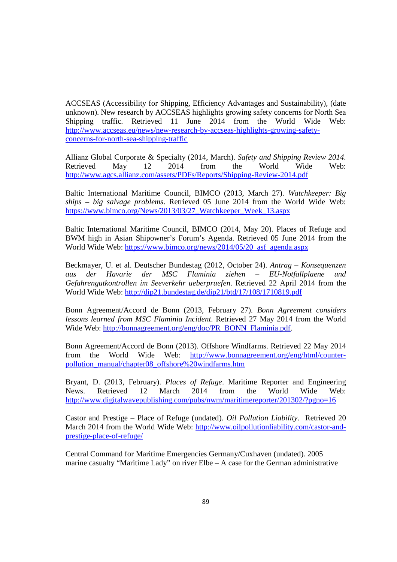ACCSEAS (Accessibility for Shipping, Efficiency Advantages and Sustainability), (date unknown). New research by ACCSEAS highlights growing safety concerns for North Sea Shipping traffic. Retrieved 11 June 2014 from the World Wide Web: http://www.accseas.eu/news/new-research-by-accseas-highlights-growing-safetyconcerns-for-north-sea-shipping-traffic

Allianz Global Corporate & Specialty (2014, March). *Safety and Shipping Review 2014*. Retrieved May 12 2014 from the World Wide Web: http://www.agcs.allianz.com/assets/PDFs/Reports/Shipping-Review-2014.pdf

Baltic International Maritime Council, BIMCO (2013, March 27). *Watchkeeper: Big ships – big salvage problems*. Retrieved 05 June 2014 from the World Wide Web: https://www.bimco.org/News/2013/03/27\_Watchkeeper\_Week\_13.aspx

Baltic International Maritime Council, BIMCO (2014, May 20). Places of Refuge and BWM high in Asian Shipowner's Forum's Agenda. Retrieved 05 June 2014 from the World Wide Web: https://www.bimco.org/news/2014/05/20\_asf\_agenda.aspx

Beckmayer, U. et al. Deutscher Bundestag (2012, October 24). *Antrag – Konsequenzen aus der Havarie der MSC Flaminia ziehen – EU-Notfallplaene und Gefahrengutkontrollen im Seeverkehr ueberpruefen*. Retrieved 22 April 2014 from the World Wide Web: http://dip21.bundestag.de/dip21/btd/17/108/1710819.pdf

Bonn Agreement/Accord de Bonn (2013, February 27). *Bonn Agreement considers lessons learned from MSC Flaminia Incident*. Retrieved 27 May 2014 from the World Wide Web: http://bonnagreement.org/eng/doc/PR\_BONN\_Flaminia.pdf.

Bonn Agreement/Accord de Bonn (2013). Offshore Windfarms. Retrieved 22 May 2014 from the World Wide Web: http://www.bonnagreement.org/eng/html/counterpollution\_manual/chapter08\_offshore%20windfarms.htm

Bryant, D. (2013, February). *Places of Refuge*. Maritime Reporter and Engineering News. Retrieved 12 March 2014 from the World Wide Web: http://www.digitalwavepublishing.com/pubs/nwm/maritimereporter/201302/?pgno=16

Castor and Prestige – Place of Refuge (undated). *Oil Pollution Liability*. Retrieved 20 March 2014 from the World Wide Web: http://www.oilpollutionliability.com/castor-andprestige-place-of-refuge/

Central Command for Maritime Emergencies Germany/Cuxhaven (undated). 2005 marine casualty "Maritime Lady" on river Elbe – A case for the German administrative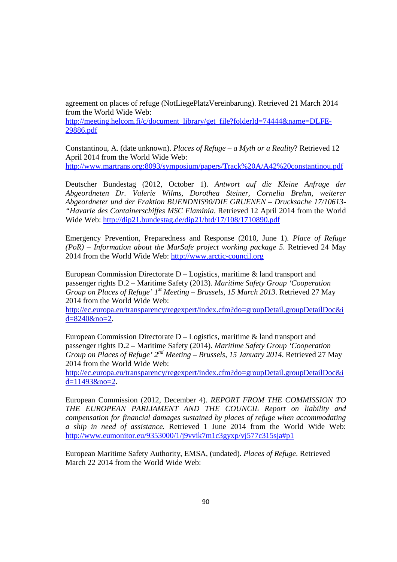agreement on places of refuge (NotLiegePlatzVereinbarung). Retrieved 21 March 2014 from the World Wide Web:

http://meeting.helcom.fi/c/document\_library/get\_file?folderId=74444&name=DLFE-29886.pdf

Constantinou, A. (date unknown). *Places of Refuge – a Myth or a Reality*? Retrieved 12 April 2014 from the World Wide Web: http://www.martrans.org:8093/symposium/papers/Track%20A/A42%20constantinou.pdf

Deutscher Bundestag (2012, October 1). *Antwort auf die Kleine Anfrage der Abgeordneten Dr. Valerie Wilms, Dorothea Steiner, Cornelia Brehm, weiterer Abgeordneter und der Fraktion BUENDNIS90/DIE GRUENEN – Drucksache 17/10613- "Havarie des Containerschiffes MSC Flaminia*. Retrieved 12 April 2014 from the World Wide Web: http://dip21.bundestag.de/dip21/btd/17/108/1710890.pdf

Emergency Prevention, Preparedness and Response (2010, June 1). *Place of Refuge (PoR) – Information about the MarSafe project working package 5*. Retrieved 24 May 2014 from the World Wide Web: http://www.arctic-council.org

European Commission Directorate  $D -$ Logistics, maritime  $\&$  land transport and passenger rights D.2 – Maritime Safety (2013). *Maritime Safety Group 'Cooperation Group on Places of Refuge' 1st Meeting – Brussels, 15 March 2013*. Retrieved 27 May 2014 from the World Wide Web:

http://ec.europa.eu/transparency/regexpert/index.cfm?do=groupDetail.groupDetailDoc&i d=8240&no=2.

European Commission Directorate  $D -$  Logistics, maritime  $\&$  land transport and passenger rights D.2 – Maritime Safety (2014). *Maritime Safety Group 'Cooperation Group on Places of Refuge' 2nd Meeting – Brussels, 15 January 2014*. Retrieved 27 May 2014 from the World Wide Web:

http://ec.europa.eu/transparency/regexpert/index.cfm?do=groupDetail.groupDetailDoc&i d=11493&no=2.

European Commission (2012, December 4). *REPORT FROM THE COMMISSION TO THE EUROPEAN PARLIAMENT AND THE COUNCIL Report on liability and compensation for financial damages sustained by places of refuge when accommodating a ship in need of assistance.* Retrieved 1 June 2014 from the World Wide Web: http://www.eumonitor.eu/9353000/1/j9vvik7m1c3gyxp/vj577c315sja#p1

European Maritime Safety Authority, EMSA, (undated). *Places of Refuge*. Retrieved March 22 2014 from the World Wide Web: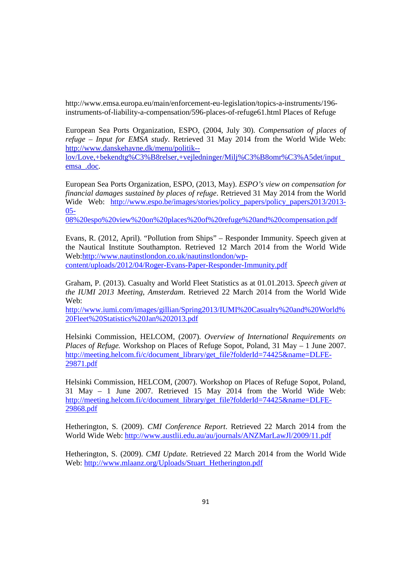http://www.emsa.europa.eu/main/enforcement-eu-legislation/topics-a-instruments/196 instruments-of-liability-a-compensation/596-places-of-refuge61.html Places of Refuge

European Sea Ports Organization, ESPO, (2004, July 30). *Compensation of places of refuge – Input for EMSA study*. Retrieved 31 May 2014 from the World Wide Web: http://www.danskehavne.dk/menu/politik--

lov/Love,+bekendtg%C3%B8relser,+vejledninger/Milj%C3%B8omr%C3%A5det/input\_ emsa\_.doc.

European Sea Ports Organization, ESPO, (2013, May). *ESPO's view on compensation for financial damages sustained by places of refuge*. Retrieved 31 May 2014 from the World Wide Web: http://www.espo.be/images/stories/policy papers/policy papers2013/2013-05-

08%20espo%20view%20on%20places%20of%20refuge%20and%20compensation.pdf

Evans, R. (2012, April). "Pollution from Ships" – Responder Immunity. Speech given at the Nautical Institute Southampton. Retrieved 12 March 2014 from the World Wide Web:http://www.nautinstlondon.co.uk/nautinstlondon/wpcontent/uploads/2012/04/Roger-Evans-Paper-Responder-Immunity.pdf

Graham, P. (2013). Casualty and World Fleet Statistics as at 01.01.2013. *Speech given at the IUMI 2013 Meeting, Amsterdam*. Retrieved 22 March 2014 from the World Wide Web:

http://www.iumi.com/images/gillian/Spring2013/IUMI%20Casualty%20and%20World% 20Fleet%20Statistics%20Jan%202013.pdf

Helsinki Commission, HELCOM, (2007). *Overview of International Requirements on Places of Refuge.* Workshop on Places of Refuge Sopot, Poland, 31 May – 1 June 2007. http://meeting.helcom.fi/c/document\_library/get\_file?folderId=74425&name=DLFE-29871.pdf

Helsinki Commission, HELCOM, (2007). Workshop on Places of Refuge Sopot, Poland, 31 May – 1 June 2007. Retrieved 15 May 2014 from the World Wide Web: http://meeting.helcom.fi/c/document\_library/get\_file?folderId=74425&name=DLFE-29868.pdf

Hetherington, S. (2009). *CMI Conference Report*. Retrieved 22 March 2014 from the World Wide Web: http://www.austlii.edu.au/au/journals/ANZMarLawJl/2009/11.pdf

Hetherington, S. (2009). *CMI Update*. Retrieved 22 March 2014 from the World Wide Web: http://www.mlaanz.org/Uploads/Stuart\_Hetherington.pdf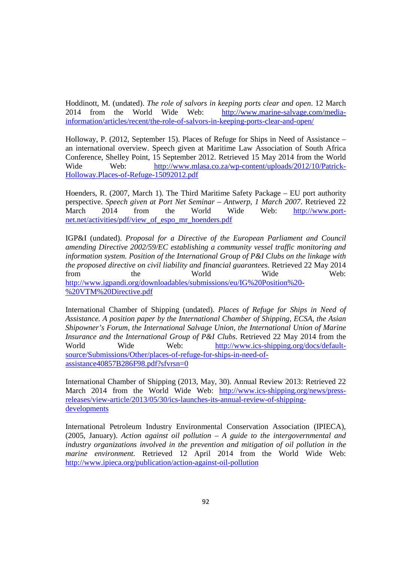Hoddinott, M. (undated). *The role of salvors in keeping ports clear and open*. 12 March 2014 from the World Wide Web: http://www.marine-salvage.com/mediainformation/articles/recent/the-role-of-salvors-in-keeping-ports-clear-and-open/

Holloway, P. (2012, September 15). Places of Refuge for Ships in Need of Assistance – an international overview. Speech given at Maritime Law Association of South Africa Conference, Shelley Point, 15 September 2012. Retrieved 15 May 2014 from the World Wide Web: http://www.mlasa.co.za/wp-content/uploads/2012/10/Patrick-Holloway.Places-of-Refuge-15092012.pdf

Hoenders, R. (2007, March 1). The Third Maritime Safety Package – EU port authority perspective. *Speech given at Port Net Seminar – Antwerp, 1 March 2007*. Retrieved 22 March 2014 from the World Wide Web: http://www.portnet.net/activities/pdf/view\_of\_espo\_mr\_hoenders.pdf

IGP&I (undated). *Proposal for a Directive of the European Parliament and Council amending Directive 2002/59/EC establishing a community vessel traffic monitoring and information system. Position of the International Group of P&I Clubs on the linkage with the proposed directive on civil liability and financial guarantees*. Retrieved 22 May 2014 from the World Wide Web: http://www.igpandi.org/downloadables/submissions/eu/IG%20Position%20- %20VTM%20Directive.pdf

International Chamber of Shipping (undated). *Places of Refuge for Ships in Need of Assistance. A position paper by the International Chamber of Shipping, ECSA, the Asian Shipowner's Forum, the International Salvage Union, the International Union of Marine Insurance and the International Group of P&I Clubs*. Retrieved 22 May 2014 from the World Wide Web: http://www.ics-shipping.org/docs/defaultsource/Submissions/Other/places-of-refuge-for-ships-in-need-ofassistance40857B286F98.pdf?sfvrsn=0

International Chamber of Shipping (2013, May, 30). Annual Review 2013: Retrieved 22 March 2014 from the World Wide Web: http://www.ics-shipping.org/news/pressreleases/view-article/2013/05/30/ics-launches-its-annual-review-of-shippingdevelopments

International Petroleum Industry Environmental Conservation Association (IPIECA), (2005, January). *Action against oil pollution – A guide to the intergovernmental and industry organizations involved in the prevention and mitigation of oil pollution in the marine environment*. Retrieved 12 April 2014 from the World Wide Web: http://www.ipieca.org/publication/action-against-oil-pollution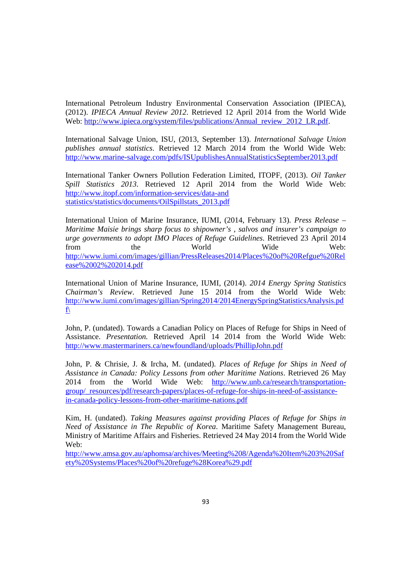International Petroleum Industry Environmental Conservation Association (IPIECA), (2012). *IPIECA Annual Review 2012*. Retrieved 12 April 2014 from the World Wide Web: http://www.ipieca.org/system/files/publications/Annual\_review\_2012\_LR.pdf.

International Salvage Union, ISU, (2013, September 13). *International Salvage Union publishes annual statistics*. Retrieved 12 March 2014 from the World Wide Web: http://www.marine-salvage.com/pdfs/ISUpublishesAnnualStatisticsSeptember2013.pdf

International Tanker Owners Pollution Federation Limited, ITOPF, (2013). *Oil Tanker Spill Statistics 2013*. Retrieved 12 April 2014 from the World Wide Web: http://www.itopf.com/information-services/data-and statistics/statistics/documents/OilSpillstats\_2013.pdf

International Union of Marine Insurance, IUMI, (2014, February 13). *Press Release – Maritime Maisie brings sharp focus to shipowner's , salvos and insurer's campaign to urge governments to adopt IMO Places of Refuge Guidelines*. Retrieved 23 April 2014 from the World Wide Web: http://www.iumi.com/images/gillian/PressReleases2014/Places%20of%20Refgue%20Rel ease%2002%202014.pdf

International Union of Marine Insurance, IUMI, (2014). *2014 Energy Spring Statistics Chairman's Review*. Retrieved June 15 2014 from the World Wide Web: http://www.iumi.com/images/gillian/Spring2014/2014EnergySpringStatisticsAnalysis.pd f\

John, P. (undated). Towards a Canadian Policy on Places of Refuge for Ships in Need of Assistance. *Presentation.* Retrieved April 14 2014 from the World Wide Web: http://www.mastermariners.ca/newfoundland/uploads/PhillipJohn.pdf

John, P. & Chrisie, J. & Ircha, M. (undated). *Places of Refuge for Ships in Need of Assistance in Canada: Policy Lessons from other Maritime Nations*. Retrieved 26 May 2014 from the World Wide Web: http://www.unb.ca/research/transportationgroup/\_resources/pdf/research-papers/places-of-refuge-for-ships-in-need-of-assistancein-canada-policy-lessons-from-other-maritime-nations.pdf

Kim, H. (undated). *Taking Measures against providing Places of Refuge for Ships in Need of Assistance in The Republic of Korea*. Maritime Safety Management Bureau, Ministry of Maritime Affairs and Fisheries. Retrieved 24 May 2014 from the World Wide Web:

http://www.amsa.gov.au/aphomsa/archives/Meeting%208/Agenda%20Item%203%20Saf ety%20Systems/Places%20of%20refuge%28Korea%29.pdf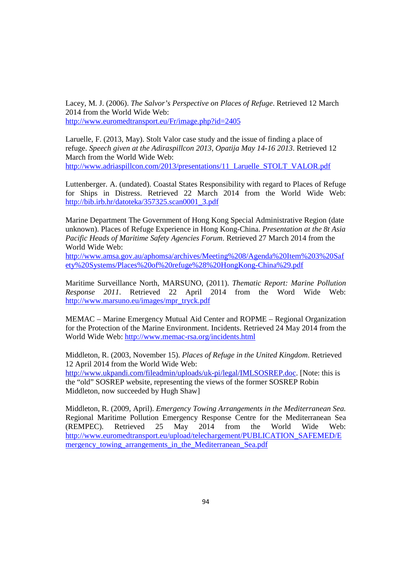Lacey, M. J. (2006). *The Salvor's Perspective on Places of Refuge*. Retrieved 12 March 2014 from the World Wide Web: http://www.euromedtransport.eu/Fr/image.php?id=2405

Laruelle, F. (2013, May). Stolt Valor case study and the issue of finding a place of refuge. *Speech given at the Adiraspillcon 2013, Opatija May 14-16 2013*. Retrieved 12 March from the World Wide Web: http://www.adriaspillcon.com/2013/presentations/11\_Laruelle\_STOLT\_VALOR.pdf

Luttenberger. A. (undated). Coastal States Responsibility with regard to Places of Refuge for Ships in Distress. Retrieved 22 March 2014 from the World Wide Web: http://bib.irb.hr/datoteka/357325.scan0001\_3.pdf

Marine Department The Government of Hong Kong Special Administrative Region (date unknown). Places of Refuge Experience in Hong Kong-China. *Presentation at the 8t Asia Pacific Heads of Maritime Safety Agencies Forum*. Retrieved 27 March 2014 from the World Wide Web:

http://www.amsa.gov.au/aphomsa/archives/Meeting%208/Agenda%20Item%203%20Saf ety%20Systems/Places%20of%20refuge%28%20HongKong-China%29.pdf

Maritime Surveillance North, MARSUNO, (2011). *Thematic Report: Marine Pollution Response 2011*. Retrieved 22 April 2014 from the Word Wide Web: http://www.marsuno.eu/images/mpr\_tryck.pdf

MEMAC – Marine Emergency Mutual Aid Center and ROPME – Regional Organization for the Protection of the Marine Environment. Incidents. Retrieved 24 May 2014 from the World Wide Web: http://www.memac-rsa.org/incidents.html

Middleton, R. (2003, November 15). *Places of Refuge in the United Kingdom*. Retrieved 12 April 2014 from the World Wide Web:

http://www.ukpandi.com/fileadmin/uploads/uk-pi/legal/IMLSOSREP.doc. [Note: this is the "old" SOSREP website, representing the views of the former SOSREP Robin Middleton, now succeeded by Hugh Shaw]

Middleton, R. (2009, April). *Emergency Towing Arrangements in the Mediterranean Sea.*  Regional Maritime Pollution Emergency Response Centre for the Mediterranean Sea (REMPEC). Retrieved 25 May 2014 from the World Wide Web: http://www.euromedtransport.eu/upload/telechargement/PUBLICATION\_SAFEMED/E mergency\_towing\_arrangements\_in\_the\_Mediterranean\_Sea.pdf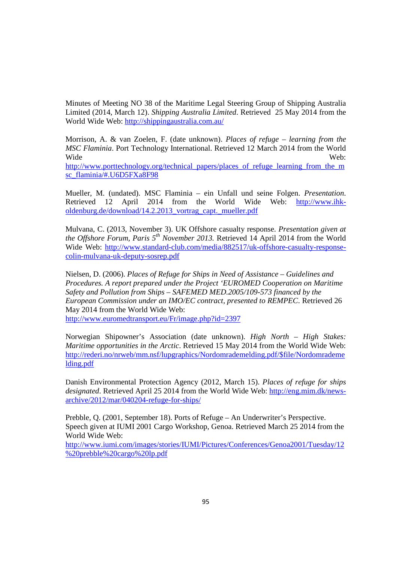Minutes of Meeting NO 38 of the Maritime Legal Steering Group of Shipping Australia Limited (2014, March 12). *Shipping Australia Limited*. Retrieved 25 May 2014 from the World Wide Web: http://shippingaustralia.com.au/

Morrison, A. & van Zoelen, F. (date unknown). *Places of refuge – learning from the MSC Flaminia*. Port Technology International. Retrieved 12 March 2014 from the World Wide Web: http://www.porttechnology.org/technical\_papers/places\_of\_refuge\_learning\_from\_the\_m sc\_flaminia/#.U6D5FXa8F98

Mueller, M. (undated). MSC Flaminia – ein Unfall und seine Folgen. *Presentation*. Retrieved 12 April 2014 from the World Wide Web: http://www.ihkoldenburg.de/download/14.2.2013\_vortrag\_capt.\_mueller.pdf

Mulvana, C. (2013, November 3). UK Offshore casualty response. *Presentation given at the Offshore Forum, Paris 5th November 2013.* Retrieved 14 April 2014 from the World Wide Web: http://www.standard-club.com/media/882517/uk-offshore-casualty-responsecolin-mulvana-uk-deputy-sosrep.pdf

Nielsen, D. (2006). *Places of Refuge for Ships in Need of Assistance – Guidelines and Procedures. A report prepared under the Project 'EUROMED Cooperation on Maritime Safety and Pollution from Ships – SAFEMED MED.2005/109-573 financed by the European Commission under an IMO/EC contract, presented to REMPEC*. Retrieved 26 May 2014 from the World Wide Web:

http://www.euromedtransport.eu/Fr/image.php?id=2397

Norwegian Shipowner's Association (date unknown). *High North – High Stakes: Maritime opportunities in the Arctic*. Retrieved 15 May 2014 from the World Wide Web: http://rederi.no/nrweb/mm.nsf/lupgraphics/Nordomrademelding.pdf/\$file/Nordomrademe lding.pdf

Danish Environmental Protection Agency (2012, March 15). *Places of refuge for ships designated*. Retrieved April 25 2014 from the World Wide Web: http://eng.mim.dk/newsarchive/2012/mar/040204-refuge-for-ships/

Prebble, Q. (2001, September 18). Ports of Refuge – An Underwriter's Perspective. Speech given at IUMI 2001 Cargo Workshop, Genoa. Retrieved March 25 2014 from the World Wide Web:

http://www.iumi.com/images/stories/IUMI/Pictures/Conferences/Genoa2001/Tuesday/12 %20prebble%20cargo%20lp.pdf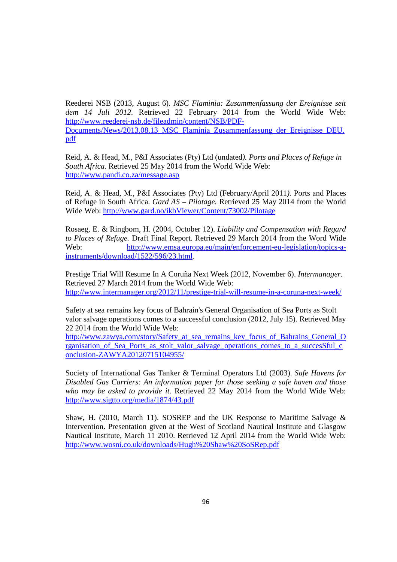Reederei NSB (2013, August 6). *MSC Flaminia: Zusammenfassung der Ereignisse seit dem 14 Juli 2012*. Retrieved 22 February 2014 from the World Wide Web: http://www.reederei-nsb.de/fileadmin/content/NSB/PDF-Documents/News/2013.08.13\_MSC\_Flaminia\_Zusammenfassung\_der\_Ereignisse\_DEU. pdf

Reid, A. & Head, M., P&I Associates (Pty) Ltd (undated*). Ports and Places of Refuge in South Africa.* Retrieved 25 May 2014 from the World Wide Web: http://www.pandi.co.za/message.asp

Reid, A. & Head, M., P&I Associates (Pty) Ltd (February/April 2011*).* Ports and Places of Refuge in South Africa. *Gard AS – Pilotage.* Retrieved 25 May 2014 from the World Wide Web: http://www.gard.no/ikbViewer/Content/73002/Pilotage

Rosaeg, E. & Ringbom, H. (2004, October 12). *Liability and Compensation with Regard to Places of Refuge.* Draft Final Report. Retrieved 29 March 2014 from the Word Wide Web: http://www.emsa.europa.eu/main/enforcement-eu-legislation/topics-ainstruments/download/1522/596/23.html.

Prestige Trial Will Resume In A Coruña Next Week (2012, November 6). *Intermanager*. Retrieved 27 March 2014 from the World Wide Web: http://www.intermanager.org/2012/11/prestige-trial-will-resume-in-a-coruna-next-week/

Safety at sea remains key focus of Bahrain's General Organisation of Sea Ports as Stolt valor salvage operations comes to a successful conclusion (2012, July 15). Retrieved May 22 2014 from the World Wide Web:

http://www.zawya.com/story/Safety\_at\_sea\_remains\_key\_focus\_of\_Bahrains\_General\_O rganisation\_of\_Sea\_Ports\_as\_stolt\_valor\_salvage\_operations\_comes\_to\_a\_succesSful\_c onclusion-ZAWYA20120715104955/

Society of International Gas Tanker & Terminal Operators Ltd (2003). *Safe Havens for Disabled Gas Carriers: An information paper for those seeking a safe haven and those who may be asked to provide it*. Retrieved 22 May 2014 from the World Wide Web: http://www.sigtto.org/media/1874/43.pdf

Shaw, H. (2010, March 11). SOSREP and the UK Response to Maritime Salvage  $\&$ Intervention. Presentation given at the West of Scotland Nautical Institute and Glasgow Nautical Institute, March 11 2010. Retrieved 12 April 2014 from the World Wide Web: http://www.wosni.co.uk/downloads/Hugh%20Shaw%20SoSRep.pdf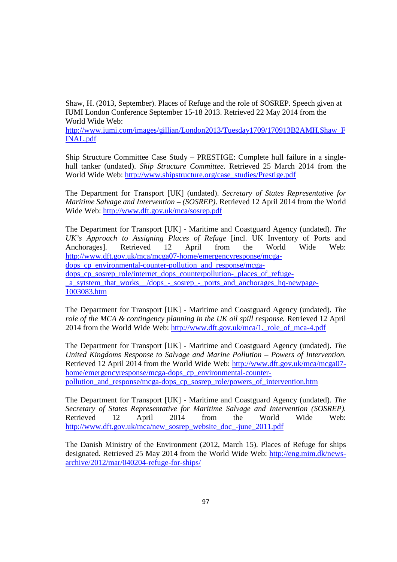Shaw, H. (2013, September). Places of Refuge and the role of SOSREP. Speech given at IUMI London Conference September 15-18 2013. Retrieved 22 May 2014 from the World Wide Web:

http://www.iumi.com/images/gillian/London2013/Tuesday1709/170913B2AMH.Shaw\_F INAL.pdf

Ship Structure Committee Case Study – PRESTIGE: Complete hull failure in a singlehull tanker (undated). *Ship Structure Committee*. Retrieved 25 March 2014 from the World Wide Web: http://www.shipstructure.org/case\_studies/Prestige.pdf

The Department for Transport [UK] (undated). *Secretary of States Representative for Maritime Salvage and Intervention – (SOSREP)*. Retrieved 12 April 2014 from the World Wide Web: http://www.dft.gov.uk/mca/sosrep.pdf

The Department for Transport [UK] - Maritime and Coastguard Agency (undated). *The UK's Approach to Assigning Places of Refuge* [incl. UK Inventory of Ports and Anchorages]. Retrieved 12 April from the World Wide Web: http://www.dft.gov.uk/mca/mcga07-home/emergencyresponse/mcgadops cp environmental-counter-pollution and response/mcgadops cp\_sosrep\_role/internet\_dops\_counterpollution-\_places\_of\_refuge-\_a\_sytstem\_that\_works\_\_/dops\_-\_sosrep\_-\_ports\_and\_anchorages\_hq-newpage-1003083.htm

The Department for Transport [UK] - Maritime and Coastguard Agency (undated). *The role of the MCA & contingency planning in the UK oil spill response.* Retrieved 12 April 2014 from the World Wide Web: http://www.dft.gov.uk/mca/1. role\_of\_mca-4.pdf

The Department for Transport [UK] - Maritime and Coastguard Agency (undated). *The United Kingdoms Response to Salvage and Marine Pollution – Powers of Intervention.* Retrieved 12 April 2014 from the World Wide Web: http://www.dft.gov.uk/mca/mcga07 home/emergencyresponse/mcga-dops\_cp\_environmental-counterpollution\_and\_response/mcga-dops\_cp\_sosrep\_role/powers\_of\_intervention.htm

The Department for Transport [UK] - Maritime and Coastguard Agency (undated). *The Secretary of States Representative for Maritime Salvage and Intervention (SOSREP).*  Retrieved 12 April 2014 from the World Wide Web: http://www.dft.gov.uk/mca/new\_sosrep\_website\_doc\_-june\_2011.pdf

The Danish Ministry of the Environment (2012, March 15). Places of Refuge for ships designated. Retrieved 25 May 2014 from the World Wide Web: http://eng.mim.dk/newsarchive/2012/mar/040204-refuge-for-ships/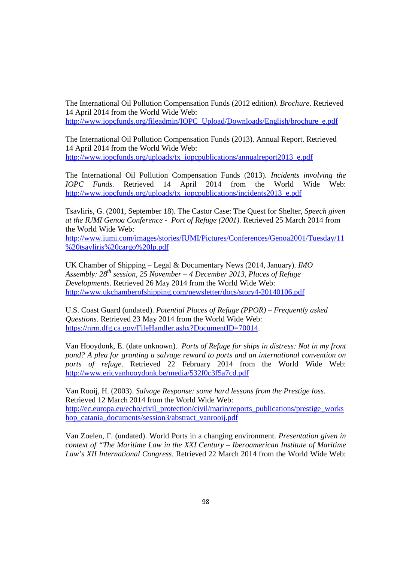The International Oil Pollution Compensation Funds (2012 edition*). Brochure*. Retrieved 14 April 2014 from the World Wide Web: http://www.iopcfunds.org/fileadmin/IOPC\_Upload/Downloads/English/brochure\_e.pdf

The International Oil Pollution Compensation Funds (2013). Annual Report. Retrieved 14 April 2014 from the World Wide Web: http://www.iopcfunds.org/uploads/tx\_iopcpublications/annualreport2013\_e.pdf

The International Oil Pollution Compensation Funds (2013). *Incidents involving the IOPC Funds.* Retrieved 14 April 2014 from the World Wide Web: http://www.iopcfunds.org/uploads/tx\_iopcpublications/incidents2013\_e.pdf

Tsavliris, G. (2001, September 18). The Castor Case: The Quest for Shelter, *Speech given at the IUMI Genoa Conference - Port of Refuge (2001).* Retrieved 25 March 2014 from the World Wide Web:

http://www.iumi.com/images/stories/IUMI/Pictures/Conferences/Genoa2001/Tuesday/11 %20tsavliris%20cargo%20lp.pdf

UK Chamber of Shipping – Legal & Documentary News (2014, January). *IMO Assembly: 28th session, 25 November – 4 December 2013, Places of Refuge Developments.* Retrieved 26 May 2014 from the World Wide Web: http://www.ukchamberofshipping.com/newsletter/docs/story4-20140106.pdf

U.S. Coast Guard (undated). *Potential Places of Refuge (PPOR) – Frequently asked Questions*. Retrieved 23 May 2014 from the World Wide Web: https://nrm.dfg.ca.gov/FileHandler.ashx?DocumentID=70014.

Van Hooydonk, E. (date unknown). *Ports of Refuge for ships in distress: Not in my front pond? A plea for granting a salvage reward to ports and an international convention on ports of refuge*. Retrieved 22 February 2014 from the World Wide Web: http://www.ericvanhooydonk.be/media/532f0c3f5a7cd.pdf

Van Rooij, H. (2003). *Salvage Response: some hard lessons from the Prestige loss*. Retrieved 12 March 2014 from the World Wide Web: http://ec.europa.eu/echo/civil\_protection/civil/marin/reports\_publications/prestige\_works hop\_catania\_documents/session3/abstract\_vanrooij.pdf

Van Zoelen, F. (undated). World Ports in a changing environment. *Presentation given in context of "The Maritime Law in the XXI Century – Iberoamerican Institute of Maritime Law's XII International Congress*. Retrieved 22 March 2014 from the World Wide Web: